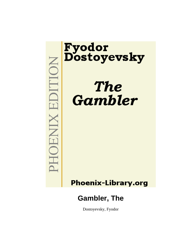# **MOHNIX RIDITION**

# Fyodor<br>Dostoyevsky

# **The Gambler**

# **Phoenix-Library.org**

## **Gambler, The**

Dostoyevsky, Fyodor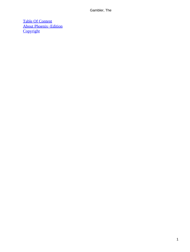[Table Of Content](#page-135-0) [About Phoenix−Edition](#page-136-0) **[Copyright](#page-137-0)**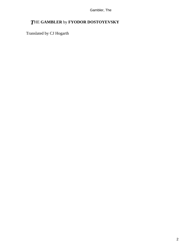### *T*HE **GAMBLER** by **FYODOR DOSTOYEVSKY**

Translated by CJ Hogarth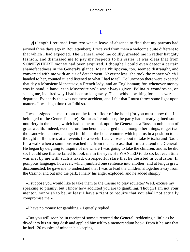### **[I](#page-135-0)**

At length I returned from two weeks leave of absence to find that my patrons had arrived three days ago in Roulettenberg. I received from them a welcome quite different to that which I had expected. The General eyed me coldly, greeted me in rather haughty fashion, and dismissed me to pay my respects to his sister. It was clear that from **SOMEWHERE** money had been acquired. I thought I could even detect a certain shamefacedness in the General's glance. Maria Philipovna, too, seemed distraught, and conversed with me with an air of detachment. Nevertheless, she took the money which I handed to her, counted it, and listened to what I had to tell. To luncheon there were expected that day a Monsieur Mezentsov, a French lady, and an Englishman; for, whenever money was in hand, a banquet in Muscovite style was always given. Polina Alexandrovna, on seeing me, inquired why I had been so long away. Then, without waiting for an answer, she departed. Evidently this was not mere accident, and I felt that I must throw some light upon matters. It was high time that I did so.

 I was assigned a small room on the fourth floor of the hotel (for you must know that I belonged to the General's suite). So far as I could see, the party had already gained some notoriety in the place, which had come to look upon the General as a Russian nobleman of great wealth. Indeed, even before luncheon he charged me, among other things, to get two thousand−franc notes changed for him at the hotel counter, which put us in a position to be thought millionaires at all events for a week! Later, I was about to take Mischa and Nadia for a walk when a summons reached me from the staircase that I must attend the General. He began by deigning to inquire of me where I was going to take the children; and as he did so, I could see that he failed to look me in the eyes. He WANTED to do so, but each time was met by me with such a fixed, disrespectful stare that he desisted in confusion. In pompous language, however, which jumbled one sentence into another, and at length grew disconnected, he gave me to understand that I was to lead the children altogether away from the Casino, and out into the park. Finally his anger exploded, and he added sharply:

 «I suppose you would like to take them to the Casino to play roulette? Well, excuse my speaking so plainly, but I know how addicted you are to gambling. Though I am not your mentor, nor wish to be, at least I have a right to require that you shall not actually compromise me.»

«I have no money for gambling,» I quietly replied.

 «But you will soon be in receipt of some,» retorted the General, reddening a little as he dived into his writing desk and applied himself to a memorandum book. From it he saw that he had 120 roubles of mine in his keeping.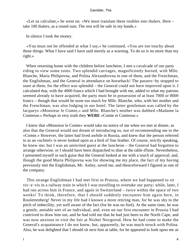«Let us calculate,» he went on. «We must translate these roubles into thalers. Here – take 100 thalers, as a round sum. The rest will be safe in my hands.»

In silence I took the money.

 «You must not be offended at what I say,» he continued. «You are too touchy about these things. What I have said I have said merely as a warning. To do so is no more than my right.»

 When returning home with the children before luncheon, I met a cavalcade of our party riding to view some ruins. Two splendid carriages, magnificently horsed, with Mlle. Blanche, Maria Philipovna, and Polina Alexandrovna in one of them, and the Frenchman, the Englishman, and the General in attendance on horseback! The passers−by stopped to stare at them, for the effect was splendid – the General could not have improved upon it. I calculated that, with the 4000 francs which I had brought with me, added to what my patrons seemed already to have acquired, the party must be in possession of at least 7000 or 8000 francs – though that would be none too much for Mlle. Blanche, who, with her mother and the Frenchman, was also lodging in our hotel. The latter gentleman was called by the lacqueys «Monsieur le Comte,» and Mlle. Blanche's mother was dubbed «Madame la Comtesse.» Perhaps in very truth they **WERE** «Comte et Comtesse.»

 I knew that «Monsieur le Comte» would take no notice of me when we met at dinner, as also that the General would not dream of introducing us, nor of recommending me to the «Comte.» However, the latter had lived awhile in Russia, and knew that the person referred to as an «uchitel» is never looked upon as a bird of fine feather. Of course, strictly speaking, he knew me; but I was an uninvited guest at the luncheon – the General had forgotten to arrange otherwise, or I should have been dispatched to dine at the table d'hote. Nevertheless, I presented myself in such guise that the General looked at me with a touch of approval; and, though the good Maria Philipovna was for showing me my place, the fact of my having previously met the Englishman, Mr. Astley, saved me, and thenceforward I figured as one of the company.

 This strange Englishman I had met first in Prussia, where we had happened to sit vis−a−vis in a railway train in which I was travelling to overtake our party; while, later, I had run across him in France, and again in Switzerland – twice within the space of two weeks! To think, therefore, that I should suddenly encounter him again here, in Roulettenberg! Never in my life had I known a more retiring man, for he was shy to the pitch of imbecility, yet well aware of the fact (for he was no fool). At the same time, he was a gentle, amiable sort of an individual, and, even on our first encounter in Prussia I had contrived to draw him out, and he had told me that he had just been to the North Cape, and was now anxious to visit the fair at Nizhni Novgorod. How he had come to make the General's acquaintance I do not know, but, apparently, he was much struck with Polina. Also, he was delighted that I should sit next him at table, for he appeared to look upon me as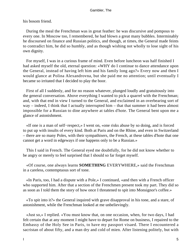his bosom friend.

 During the meal the Frenchman was in great feather: he was discursive and pompous to every one. In Moscow too, I remembered, he had blown a great many bubbles. Interminably he discoursed on finance and Russian politics, and though, at times, the General made feints to contradict him, he did so humbly, and as though wishing not wholly to lose sight of his own dignity.

 For myself, I was in a curious frame of mind. Even before luncheon was half finished I had asked myself the old, eternal question: «WHY do I continue to dance attendance upon the General, instead of having left him and his family long ago?» Every now and then I would glance at Polina Alexandrovna, but she paid me no attention; until eventually I became so irritated that I decided to play the boor.

 First of all I suddenly, and for no reason whatever, plunged loudly and gratuitously into the general conversation. Above everything I wanted to pick a quarrel with the Frenchman; and, with that end in view I turned to the General, and exclaimed in an overbearing sort of way – indeed, I think that I actually interrupted him – that that summer it had been almost impossible for a Russian to dine anywhere at tables d'hote. The General bent upon me a glance of astonishment.

 «If one is a man of self−respect,» I went on, «one risks abuse by so doing, and is forced to put up with insults of every kind. Both at Paris and on the Rhine, and even in Switzerland – there are so many Poles, with their sympathisers, the French, at these tables d'hote that one cannot get a word in edgeways if one happens only to be a Russian.»

 This I said in French. The General eyed me doubtfully, for he did not know whether to be angry or merely to feel surprised that I should so far forget myself.

 «Of course, one always learns **SOMETHING** EVERYWHERE,» said the Frenchman in a careless, contemptuous sort of tone.

 «In Paris, too, I had a dispute with a Pole,» I continued, «and then with a French officer who supported him. After that a section of the Frenchmen present took my part. They did so as soon as I told them the story of how once I threatened to spit into Monsignor's coffee.»

 «To spit into it?» the General inquired with grave disapproval in his tone, and a stare, of astonishment, while the Frenchman looked at me unbelievingly.

 «Just so,» I replied. «You must know that, on one occasion, when, for two days, I had felt certain that at any moment I might have to depart for Rome on business, I repaired to the Embassy of the Holy See in Paris, to have my passport visaed. There I encountered a sacristan of about fifty, and a man dry and cold of mien. After listening politely, but with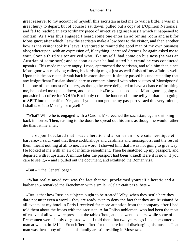great reserve, to my account of myself, this sacristan asked me to wait a little. I was in a great hurry to depart, but of course I sat down, pulled out a copy of L'Opinion Nationale, and fell to reading an extraordinary piece of invective against Russia which it happened to contain. As I was thus engaged I heard some one enter an adjoining room and ask for Monsignor; after which I saw the sacristan make a low bow to the visitor, and then another bow as the visitor took his leave. I ventured to remind the good man of my own business also; whereupon, with an expression of, if anything, increased dryness, he again asked me to wait. Soon a third visitor arrived who, like myself, had come on business (he was an Austrian of some sort); and as soon as ever he had stated his errand he was conducted upstairs! This made me very angry. I rose, approached the sacristan, and told him that, since Monsignor was receiving callers, his lordship might just as well finish off my affair as well. Upon this the sacristan shrunk back in astonishment. It simply passed his understanding that any insignificant Russian should dare to compare himself with other visitors of Monsignor's! In a tone of the utmost effrontery, as though he were delighted to have a chance of insulting me, he looked me up and down, and then said: »Do you suppose that Monsignor is going to put aside his coffee for YOU?« But I only cried the louder: »Let me tell you that I am going to **SPIT** into that coffee! Yes, and if you do not get me my passport visaed this very minute, I shall take it to Monsignor myself."

 "What? While he is engaged with a Cardinal? screeched the sacristan, again shrinking back in horror. Then, rushing to the door, he spread out his arms as though he would rather die than let me enter.

 Thereupon I declared that I was a heretic and a barbarian – «Je suis heretique et barbare,» I said, «and that these archbishops and cardinals and monsignors, and the rest of them, meant nothing at all to me. In a word, I showed him that I was not going to give way. He looked at me with an air of infinite resentment. Then he snatched up my passport, and departed with it upstairs. A minute later the passport had been visaed! Here it is now, if you care to see it,» – and I pulled out the document, and exhibited the Roman visa.

 $\kappa$ But – » the General began.

 «What really saved you was the fact that you proclaimed yourself a heretic and a barbarian,» remarked the Frenchman with a smile. «Cela n'etait pas si bete.»

 «But is that how Russian subjects ought to be treated? Why, when they settle here they dare not utter even a word – they are ready even to deny the fact that they are Russians! At all events, at my hotel in Paris I received far more attention from the company after I had told them about the fracas with the sacristan. A fat Polish nobleman, who had been the most offensive of all who were present at the table d'hote, at once went upstairs, while some of the Frenchmen were simply disgusted when I told them that two years ago I had encountered a man at whom, in 1812, a French 'hero' fired for the mere fun of discharging his musket. That man was then a boy of ten and his family are still residing in Moscow.»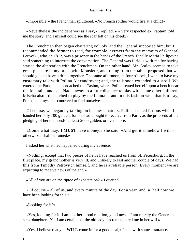«Impossible!» the Frenchman spluttered. «No French soldier would fire at a child!»

 «Nevertheless the incident was as I say,» I replied. «A very respected ex−captain told me the story, and I myself could see the scar left on his cheek.»

 The Frenchman then began chattering volubly, and the General supported him; but I recommended the former to read, for example, extracts from the memoirs of General Perovski, who, in 1812, was a prisoner in the hands of the French. Finally Maria Philipovna said something to interrupt the conversation. The General was furious with me for having started the altercation with the Frenchman. On the other hand, Mr. Astley seemed to take great pleasure in my brush with Monsieur, and, rising from the table, proposed that we should go and have a drink together. The same afternoon, at four o'clock, I went to have my customary talk with Polina Alexandrovna; and, the talk soon extended to a stroll. We entered the Park, and approached the Casino, where Polina seated herself upon a bench near the fountain, and sent Nadia away to a little distance to play with some other children. Mischa also I dispatched to play by the fountain, and in this fashion we – that is to say, Polina and myself – contrived to find ourselves alone.

 Of course, we began by talking on business matters. Polina seemed furious when I handed her only 700 gulden, for she had thought to receive from Paris, as the proceeds of the pledging of her diamonds, at least 2000 gulden, or even more.

 «Come what may, **I MUST** have money,» she said. «And get it somehow I will – otherwise I shall be ruined.»

I asked her what had happened during my absence.

 «Nothing; except that two pieces of news have reached us from St. Petersburg. In the first place, my grandmother is very ill, and unlikely to last another couple of days. We had this from Timothy Petrovitch himself, and he is a reliable person. Every moment we are expecting to receive news of the end.»

«All of you are on the tiptoe of expectation? » I queried.

 «Of course – all of us, and every minute of the day. For a year−and−a−half now we have been looking for this.»

«Looking for it?»

 «Yes, looking for it. I am not her blood relation, you know – I am merely the General's step−daughter. Yet I am certain that the old lady has remembered me in her will.»

«Yes, I believe that you **WILL** come in for a good deal,» I said with some assurance.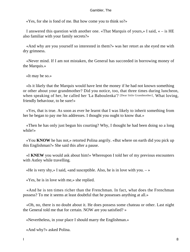«Yes, for she is fond of me. But how come you to think so?»

 I answered this question with another one. «That Marquis of yours,» I said, « – is HE also familiar with your family secrets?»

 «And why are you yourself so interested in them?» was her retort as she eyed me with dry grimness.

 «Never mind. If I am not mistaken, the General has succeeded in borrowing money of the Marquis.»

«It may be so.»

 «Is it likely that the Marquis would have lent the money if he had not known something or other about your grandmother? Did you notice, too, that three times during luncheon, when speaking of her, he called her 'La Baboulenka'? [Dear little Grandmother]. What loving, friendly behaviour, to be sure!»

 «Yes, that is true. As soon as ever he learnt that I was likely to inherit something from her he began to pay me his addresses. I thought you ought to know that.»

 «Then he has only just begun his courting? Why, I thought he had been doing so a long while!»

 «You **KNOW** he has not,» retorted Polina angrily. «But where on earth did you pick up this Englishman?» She said this after a pause.

 «I **KNEW** you would ask about him!» Whereupon I told her of my previous encounters with Astley while travelling.

«He is very shy,» I said, «and susceptible. Also, he is in love with you.  $\rightarrow \rightarrow$ 

«Yes, he is in love with me,» she replied.

 «And he is ten times richer than the Frenchman. In fact, what does the Frenchman possess? To me it seems at least doubtful that he possesses anything at all.»

 «Oh, no, there is no doubt about it. He does possess some chateau or other. Last night the General told me that for certain. NOW are you satisfied? »

«Nevertheless, in your place I should marry the Englishman.»

«And why?» asked Polina.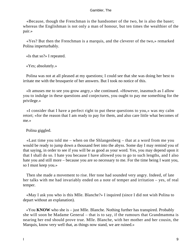«Because, though the Frenchman is the handsomer of the two, he is also the baser; whereas the Englishman is not only a man of honour, but ten times the wealthier of the pair.»

 «Yes? But then the Frenchman is a marquis, and the cleverer of the two,» remarked Polina imperturbably.

«Is that so?» I repeated.

«Yes; absolutely.»

 Polina was not at all pleased at my questions; I could see that she was doing her best to irritate me with the brusquerie of her answers. But I took no notice of this.

 «It amuses me to see you grow angry,» she continued. «However, inasmuch as I allow you to indulge in these questions and conjectures, you ought to pay me something for the privilege.»

 «I consider that I have a perfect right to put these questions to you,» was my calm retort; «for the reason that I am ready to pay for them, and also care little what becomes of me.»

Polina giggled.

 «Last time you told me – when on the Shlangenberg – that at a word from me you would be ready to jump down a thousand feet into the abyss. Some day I may remind you of that saying, in order to see if you will be as good as your word. Yes, you may depend upon it that I shall do so. I hate you because I have allowed you to go to such lengths, and I also hate you and still more – because you are so necessary to me. For the time being I want you, so I must keep you.»

 Then she made a movement to rise. Her tone had sounded very angry. Indeed, of late her talks with me had invariably ended on a note of temper and irritation – yes, of real temper.

 «May I ask you who is this Mlle. Blanche?» I inquired (since I did not wish Polina to depart without an explanation).

 «You **KNOW** who she is – just Mlle. Blanche. Nothing further has transpired. Probably she will soon be Madame General – that is to say, if the rumours that Grandmamma is nearing her end should prove true. Mlle. Blanche, with her mother and her cousin, the Marquis, know very well that, as things now stand, we are ruined.»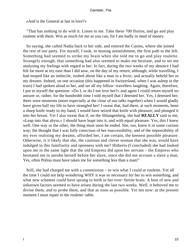«And is the General at last in love?»

 "That has nothing to do with it. Listen to me. Take these 700 florins, and go and play roulette with them. Win as much for me as you can, for I am badly in need of money.

 So saying, she called Nadia back to her side, and entered the Casino, where she joined the rest of our party. For myself, I took, in musing astonishment, the first path to the left. Something had seemed to strike my brain when she told me to go and play roulette. Strangely enough, that something had also seemed to make me hesitate, and to set me analysing my feelings with regard to her. In fact, during the two weeks of my absence I had felt far more at my ease than I did now, on the day of my return; although, while travelling, I had moped like an imbecile, rushed about like a man in a fever, and actually beheld her in my dreams. Indeed, on one occasion (this happened in Switzerland, when I was asleep in the train) I had spoken aloud to her, and set all my fellow−travellers laughing. Again, therefore, I put to myself the question: «Do I, or do I not love her?» and again I could return myself no answer or, rather, for the hundredth time I told myself that I detested her. Yes, I detested her; there were moments (more especially at the close of our talks together) when I would gladly have given half my life to have strangled her! I swear that, had there, at such moments, been a sharp knife ready to my hand, I would have seized that knife with pleasure, and plunged it into her breast. Yet I also swear that if, on the Shlangenberg, she had **REALLY** said to me, «Leap into that abyss,» I should have leapt into it, and with equal pleasure. Yes, this I knew well. One way or the other, the thing must soon be ended. She, too, knew it in some curious way; the thought that I was fully conscious of her inaccessibility, and of the impossibility of my ever realising my dreams, afforded her, I am certain, the keenest possible pleasure. Otherwise, is it likely that she, the cautious and clever woman that she was, would have indulged in this familiarity and openness with me? Hitherto (I concluded) she had looked upon me in the same light that the old Empress did upon her servant – the Empress who hesitated not to unrobe herself before her slave, since she did not account a slave a man. Yes, often Polina must have taken me for something less than a man!"

 Still, she had charged me with a commission – to win what I could at roulette. Yet all the time I could not help wondering WHY it was so necessary for her to win something, and what new schemes could have sprung to birth in her ever−fertile brain. A host of new and unknown factors seemed to have arisen during the last two weeks. Well, it behoved me to divine them, and to probe them, and that as soon as possible. Yet not now: at the present moment I must repair to the roulette−table.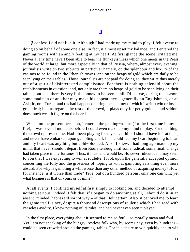### **[II](#page-135-0)**

*I* confess I did not like it. Although I had made up my mind to play, I felt averse to doing so on behalf of some one else. In fact, it almost upset my balance, and I entered the gaming rooms with an angry feeling at my heart. At first glance the scene irritated me. Never at any time have I been able to bear the flunkeyishness which one meets in the Press of the world at large, but more especially in that of Russia, where, almost every evening, journalists write on two subjects in particular namely, on the splendour and luxury of the casinos to be found in the Rhenish towns, and on the heaps of gold which are daily to be seen lying on their tables. Those journalists are not paid for doing so: they write thus merely out of a spirit of disinterested complaisance. For there is nothing splendid about the establishments in question; and, not only are there no heaps of gold to be seen lying on their tables, but also there is very little money to be seen at all. Of course, during the season, some madman or another may make his appearance – generally an Englishman, or an Asiatic, or a Turk – and (as had happened during the summer of which I write) win or lose a great deal; but, as regards the rest of the crowd, it plays only for petty gulden, and seldom does much wealth figure on the board.

 When, on the present occasion, I entered the gaming−rooms (for the first time in my life), it was several moments before I could even make up my mind to play. For one thing, the crowd oppressed me. Had I been playing for myself, I think I should have left at once, and never have embarked upon gambling at all, for I could feel my heart beginning to beat, and my heart was anything but cold−blooded. Also, I knew, I had long ago made up my mind, that never should I depart from Roulettenberg until some radical, some final, change had taken place in my fortunes. Thus, it must and would be. However ridiculous it may seem to you that I was expecting to win at roulette, I look upon the generally accepted opinion concerning the folly and the grossness of hoping to win at gambling as a thing even more absurd. For why is gambling a whit worse than any other method of acquiring money? How, for instance, is it worse than trade? True, out of a hundred persons, only one can win; yet what business is that of yours or of mine?

 At all events, I confined myself at first simply to looking on, and decided to attempt nothing serious. Indeed, I felt that, if I began to do anything at all, I should do it in an absent−minded, haphazard sort of way – of that I felt certain. Also. it behoved me to learn the game itself; since, despite a thousand descriptions of roulette which I had read with ceaseless avidity, I knew nothing of its rules, and had never even seen it played.

 In the first place, everything about it seemed to me so foul – so morally mean and foul. Yet I am not speaking of the hungry, restless folk who, by scores nay, even by hundreds – could be seen crowded around the gaming−tables. For in a desire to win quickly and to win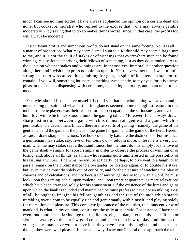much I can see nothing sordid; I have always applauded the opinion of a certain dead and gone, but cocksure, moralist who replied to the excuse that « one may always gamble moderately », by saying that to do so makes things worse, since, in that case, the profits too will always be moderate.

 Insignificant profits and sumptuous profits do not stand on the same footing. No, it is all a matter of proportion. What may seem a small sum to a Rothschild may seem a large sum to me, and it is not the fault of stakes or of winnings that everywhere men can be found winning, can be found depriving their fellows of something, just as they do at roulette. As to the question whether stakes and winnings are, in themselves, immoral is another question altogether, and I wish to express no opinion upon it. Yet the very fact that I was full of a strong desire to win caused this gambling for gain, in spite of its attendant squalor, to contain, if you will, something intimate, something sympathetic, to my eyes: for it is always pleasant to see men dispensing with ceremony, and acting naturally, and in an unbuttoned mood. . . .

 Yet, why should I so deceive myself? I could see that the whole thing was a vain and unreasoning pursuit; and what, at the first glance, seemed to me the ugliest feature in this mob of roulette players was their respect for their occupation – the seriousness, and even the humility, with which they stood around the gaming tables. Moreover, I had always drawn sharp distinctions between a game which is de mauvais genre and a game which is permissible to a decent man. In fact, there are two sorts of gaming – namely, the game of the gentleman and the game of the plebs – the game for gain, and the game of the herd. Herein, as said, I draw sharp distinctions. Yet how essentially base are the distinctions! For instance, a gentleman may stake, say, five or ten louis d'or – seldom more, unless he is a very rich man, when he may stake, say, a thousand francs; but, he must do this simply for the love of the game itself – simply for sport, simply in order to observe the process of winning or of losing, and, above all things, as a man who remains quite uninterested in the possibility of his issuing a winner. If he wins, he will be at liberty, perhaps, to give vent to a laugh, or to pass a remark on the circumstance to a bystander, or to stake again, or to double his stake; but, even this he must do solely out of curiosity, and for the pleasure of watching the play of chances and of calculations, and not because of any vulgar desire to win. In a word, he must look upon the gaming−table, upon roulette, and upon trente et quarante, as mere relaxations which have been arranged solely for his amusement. Of the existence of the lures and gains upon which the bank is founded and maintained he must profess to have not an inkling. Best of all, he ought to imagine his fellow−gamblers and the rest of the mob which stands trembling over a coin to be equally rich and gentlemanly with himself, and playing solely for recreation and pleasure. This complete ignorance of the realities, this innocent view of mankind, is what, in my opinion, constitutes the truly aristocratic. For instance, I have seen even fond mothers so far indulge their guileless, elegant daughters – misses of fifteen or sixteen – as to give them a few gold coins and teach them how to play; and though the young ladies may have won or have lost, they have invariably laughed, and departed as though they were well pleased. In the same way, I saw our General once approach the table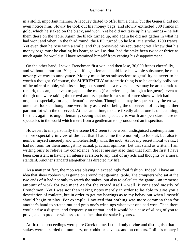in a stolid, important manner. A lacquey darted to offer him a chair, but the General did not even notice him. Slowly he took out his money bags, and slowly extracted 300 francs in gold, which he staked on the black, and won. Yet he did not take up his winnings – he left them there on the table. Again the black turned up, and again he did not gather in what he had won; and when, in the third round, the RED turned up he lost, at a stroke, 1200 francs. Yet even then he rose with a smile, and thus preserved his reputation; yet I knew that his money bags must be chafing his heart, as well as that, had the stake been twice or thrice as much again, he would still have restrained himself from venting his disappointment.

 On the other hand, I saw a Frenchman first win, and then lose, 30,000 francs cheerfully, and without a murmur. Yes; even if a gentleman should lose his whole substance, he must never give way to annoyance. Money must be so subservient to gentility as never to be worth a thought. Of course, the **SUPREMELY** aristocratic thing is to be entirely oblivious of the mire of rabble, with its setting; but sometimes a reverse course may be aristocratic to remark, to scan, and even to gape at, the mob (for preference, through a lorgnette), even as though one were taking the crowd and its squalor for a sort of raree show which had been organised specially for a gentleman's diversion. Though one may be squeezed by the crowd, one must look as though one were fully assured of being the observer – of having neither part nor lot with the observed. At the same time, to stare fixedly about one is unbecoming; for that, again, is ungentlemanly, seeing that no spectacle is worth an open stare – are no spectacles in the world which merit from a gentleman too pronounced an inspection.

 However, to me personally the scene DID seem to be worth undisguised contemplation – more especially in view of the fact that I had come there not only to look at, but also to number myself sincerely and wholeheartedly with, the mob. As for my secret moral views,. I had no room for them amongst my actual, practical opinions. Let that stand as written: I am writing only to relieve my conscience. Yet let me say also this: that from the first I have been consistent in having an intense aversion to any trial of my acts and thoughts by a moral standard. Another standard altogether has directed my life. . . .

 As a matter of fact, the mob was playing in exceedingly foul fashion. Indeed, I have an idea that sheer robbery was going on around that gaming−table. The croupiers who sat at the two ends of it had not only to watch the stakes, but also to calculate the game – an immense amount of work for two men! As for the crowd itself – well, it consisted mostly of Frenchmen. Yet I was not then taking notes merely in order to be able to give you a description of roulette, but in order to get my bearings as to my behaviour when I myself should begin to play. For example, I noticed that nothing was more common than for another's hand to stretch out and grab one's winnings whenever one had won. Then there would arise a dispute, and frequently an uproar; and it would be a case of «I beg of you to prove, and to produce witnesses to the fact, that the stake is yours.»

 At first the proceedings were pure Greek to me. I could only divine and distinguish that stakes were hazarded on numbers, on «odd» or «even,» and on colours. Polina's money I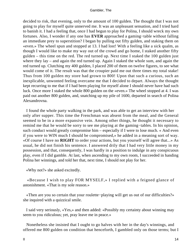decided to risk, that evening, only to the amount of 100 gulden. The thought that I was not going to play for myself quite unnerved me. It was an unpleasant sensation, and I tried hard to banish it. I had a feeling that, once I had begun to play for Polina, I should wreck my own fortunes. Also, I wonder if any one has **EVER** approached a gaming−table without falling an immediate prey to superstition? I began by pulling out fifty gulden, and staking them on «even.» The wheel spun and stopped at 13. I had lost! With a feeling like a sick qualm, as though I would like to make my way out of the crowd and go home, I staked another fifty gulden – this time on the red. The red turned up. Next time I staked the 100 gulden just where they lay – and again the red turned up. Again I staked the whole sum, and again the red turned up. Clutching my 400 gulden, I placed 200 of them on twelve figures, to see what would come of it. The result was that the croupier paid me out three times my total stake! Thus from 100 gulden my store had grown to 800! Upon that such a curious, such an inexplicable, unwonted feeling overcame me that I decided to depart. Always the thought kept recurring to me that if I had been playing for myself alone I should never have had such luck. Once more I staked the whole 800 gulden on the «even.» The wheel stopped at 4. I was paid out another 800 gulden, and, snatching up my pile of 1600, departed in search of Polina Alexandrovna.

 I found the whole party walking in the park, and was able to get an interview with her only after supper. This time the Frenchman was absent from the meal, and the General seemed to be in a more expansive vein. Among other things, he thought it necessary to remind me that he would be sorry to see me playing at the gaming−tables. In his opinion, such conduct would greatly compromise him – especially if I were to lose much. « And even if you were to WIN much I should be compromised,» he added in a meaning sort of way. «Of course I have no **RIGHT** to order your actions, but you yourself will agree that...» As usual, he did not finish his sentence. I answered drily that I had very little money in my possession, and that, consequently, I was hardly in a position to indulge in any conspicuous play, even if I did gamble. At last, when ascending to my own room, I succeeded in handing Polina her winnings, and told her that, next time, I should not play for her.

«Why not?» she asked excitedly.

 «Because I wish to play FOR MYSELF,» I replied with a feigned glance of astonishment. «That is my sole reason.»

 «Then are you so certain that your roulette−playing will get us out of our difficulties?» she inquired with a quizzical smile.

 I said very seriously, «Yes,» and then added: «Possibly my certainty about winning may seem to you ridiculous; yet, pray leave me in peace.»

 Nonetheless she insisted that I ought to go halves with her in the day's winnings, and offered me 800 gulden on condition that henceforth, I gambled only on those terms; but I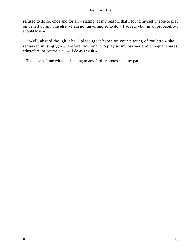refused to do so, once and for all – stating, as my reason, that I found myself unable to play on behalf of any one else, «I am not unwilling so to do,» I added, «but in all probability I should lose.»

 «Well, absurd though it be, I place great hopes on your playing of roulette,» she remarked musingly; «wherefore, you ought to play as my partner and on equal shares; wherefore, of course, you will do as I wish.»

Then she left me without listening to any further protests on my part.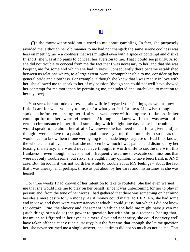### **[III](#page-135-0)**

*O*n the morrow she said not a word to me about gambling. In fact, she purposely avoided me, although her old manner to me had not changed: the same serene coolness was hers on meeting me – a coolness that was mingled even with a spice of contempt and dislike. In short, she was at no pains to conceal her aversion to me. That I could see plainly. Also, she did not trouble to conceal from me the fact that I was necessary to her, and that she was keeping me for some end which she had in view. Consequently there became established between us relations which, to a large extent, were incomprehensible to me, considering her general pride and aloofness. For example, although she knew that I was madly in love with her, she allowed me to speak to her of my passion (though she could not well have showed her contempt for me more than by permitting me, unhindered and unrebuked, to mention to her my love).

 «You see,» her attitude expressed, «how little I regard your feelings, as well as how little I care for what you say to me, or for what you feel for me.» Likewise, though she spoke as before concerning her affairs, it was never with complete frankness. In her contempt for me there were refinements. Although she knew well that I was aware of a certain circumstance in her life of something which might one day cause her trouble, she would speak to me about her affairs (whenever she had need of me for a given end) as though I were a slave or a passing acquaintance – yet tell them me only in so far as one would need to know them if one were going to be made temporary use of. Had I not known the whole chain of events, or had she not seen how much I was pained and disturbed by her teasing insistency, she would never have thought it worthwhile to soothe me with this frankness – even though, since she not infrequently used me to execute commissions that were not only troublesome, but risky, she ought, in my opinion, to have been frank in ANY case. But, forsooth, it was not worth her while to trouble about MY feelings – about the fact that I was uneasy, and, perhaps, thrice as put about by her cares and misfortunes as she was herself!

 For three weeks I had known of her intention to take to roulette. She had even warned me that she would like me to play on her behalf, since it was unbecoming for her to play in person; and, from the tone of her words I had gathered that there was something on her mind besides a mere desire to win money. As if money could matter to HER! No, she had some end in view, and there were circumstances at which I could guess, but which I did not know for certain. True, the slavery and abasement in which she held me might have given me (such things often do so) the power to question her with abrupt directness (seeing that,, inasmuch as I figured in her eyes as a mere slave and nonentity, she could not very well have taken offence at any rude curiosity); but the fact was that, though she let me question her, she never returned me a single answer, and at times did not so much as notice me. That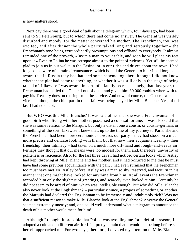is how matters stood.

 Next day there was a good deal of talk about a telegram which, four days ago, had been sent to St. Petersburg, but to which there had come no answer. The General was visibly disturbed and moody, for the matter concerned his mother. The Frenchman, too, was excited, and after dinner the whole party talked long and seriously together – the Frenchman's tone being extraordinarily presumptuous and offhand to everybody. It almost reminded one of the proverb, «Invite a man to your table, and soon he will place his feet upon it.» Even to Polina he was brusque almost to the point of rudeness. Yet still he seemed glad to join us in our walks in the Casino, or in our rides and drives about the town. I had long been aware of certain circumstances which bound the General to him; I had long been aware that in Russia they had hatched some scheme together although I did not know whether the plot had come to anything, or whether it was still only in the stage of being talked of. Likewise I was aware, in part, of a family secret – namely, that, last year, the Frenchman had bailed the General out of debt, and given him 30,000 roubles wherewith to pay his Treasury dues on retiring from the service. And now, of course, the General was in a vice – although the chief part in the affair was being played by Mlle. Blanche. Yes, of this last I had no doubt.

 But WHO was this Mlle. Blanche? It was said of her that she was a Frenchwoman of good birth who, living with her mother, possessed a colossal fortune. It was also said that she was some relation to the Marquis, but only a distant one a cousin, or cousin−german, or something of the sort. Likewise I knew that, up to the time of my journey to Paris, she and the Frenchman had been more ceremonious towards our party – they had stood on a much more precise and delicate footing with them; but that now their acquaintanceship – their friendship, their intimacy – had taken on a much more off−hand and rough−and−ready air. Perhaps they thought that our means were too modest for them, and, therefore, unworthy of politeness or reticence. Also, for the last three days I had noticed certain looks which Astley had kept throwing at Mlle. Blanche and her mother; and it had occurred to me that he must have had some previous acquaintance with the pair. I had even surmised that the Frenchman too must have met Mr. Astley before. Astley was a man so shy, reserved, and taciturn in his manner that one might have looked for anything from him. At all events the Frenchman accorded him only the slightest of greetings, and scarcely even looked at him. Certainly he did not seem to be afraid of him; which was intelligible enough. But why did Mlle. Blanche also never look at the Englishman? – particularly since, a propos of something or another, the Marquis had declared the Englishman to be immensely and indubitably rich? Was not that a sufficient reason to make Mlle. Blanche look at the Englishman? Anyway the General seemed extremely uneasy; and, one could well understand what a telegram to announce the death of his mother would mean for him!

 Although I thought it probable that Polina was avoiding me for a definite reason, I adopted a cold and indifferent air; for I felt pretty certain that it would not be long before she herself approached me. For two days, therefore, I devoted my attention to Mlle. Blanche.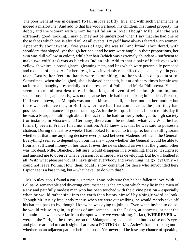The poor General was in despair! To fall in love at fifty−five, and with such vehemence, is indeed a misfortune! And add to that his widowerhood, his children, his ruined property, his debts, and the woman with whom he had fallen in love! Though Mlle. Blanche was extremely good−looking, I may or may not be understood when I say that she had one of those faces which one is afraid of. At all events, I myself have always feared such women. Apparently about twenty−five years of age, she was tall and broad−shouldered, with shoulders that sloped; yet though her neck and bosom were ample in their proportions, her skin was dull yellow in colour, while her hair (which was extremely abundant – sufficient to make two coiffures) was as black as Indian ink. Add to that a pair of black eyes with yellowish whites, a proud glance, gleaming teeth, and lips which were perennially pomaded and redolent of musk. As for her dress, it was invariably rich, effective, and chic, yet in good taste. Lastly, her feet and hands were astonishing, and her voice a deep contralto. Sometimes, when she laughed, she displayed her teeth, but at ordinary times her air was taciturn and haughty – especially in the presence of Polina and Maria Philipovna. Yet she seemed to me almost destitute of education, and even of wits, though cunning and suspicious. This, apparently, was not because her life had been lacking in incident. Perhaps, if all were known, the Marquis was not her kinsman at all, nor her mother, her mother; but there was evidence that, in Berlin, where we had first come across the pair, they had possessed acquaintances of good standing. As for the Marquis himself, I doubt to this day if he was a Marquis – although about the fact that he had formerly belonged to high society (for instance, in Moscow and Germany) there could be no doubt whatever. What he had formerly been in France I had not a notion. All I knew was that he was said to possess a chateau. During the last two weeks I had looked for much to transpire, but am still ignorant whether at that time anything decisive ever passed between Mademoiselle and the General. Everything seemed to depend upon our means – upon whether the General would be able to flourish sufficient money in her face. If ever the news should arrive that the grandmother was not dead, Mlle. Blanche, I felt sure, would disappear in a twinkling. Indeed, it surprised and amused me to observe what a passion for intrigue I was developing. But how I loathed it all! With what pleasure would I have given everybody and everything the go−by! Only – I could not leave Polina. How, then, could I show contempt for those who surrounded her? Espionage is a base thing, but – what have I to do with that?

 Mr. Astley, too, I found a curious person. I was only sure that he had fallen in love With Polina. A remarkable and diverting circumstance is the amount which may lie in the mien of a shy and painfully modest man who has been touched with the divine passion – especially when he would rather sink into the earth than betray himself by a single word or look. Though Mr. Astley frequently met us when we were out walking, he would merely take off his hat and pass us by, though I knew he was dying to join us. Even when invited to do so, he would refuse. Again, in places of amusement – in the Casino, at concerts, or near the fountain – he was never far from the spot where we were sitting. In fact, **WHEREVER** we were in the Park, in the forest, or on the Shlangenberg – one needed but to raise one's eyes and glance around to catch sight of at least a PORTION of Mr. Astley's frame sticking out – whether on an adjacent path or behind a bush. Yet never did he lose any chance of speaking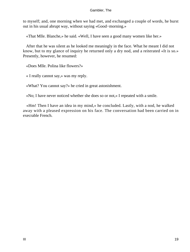to myself; and, one morning when we had met, and exchanged a couple of words, he burst out in his usual abrupt way, without saying «Good−morning.»

«That Mlle. Blanche,» he said. «Well, I have seen a good many women like her.»

 After that he was silent as he looked me meaningly in the face. What he meant I did not know, but to my glance of inquiry he returned only a dry nod, and a reiterated «It is so.» Presently, however, he resumed:

«Does Mlle. Polina like flowers?»

« I really cannot say,» was my reply.

«What? You cannot say?» he cried in great astonishment.

«No; I have never noticed whether she does so or not,» I repeated with a smile.

 «Hm! Then I have an idea in my mind,» he concluded. Lastly, with a nod, he walked away with a pleased expression on his face. The conversation had been carried on in execrable French.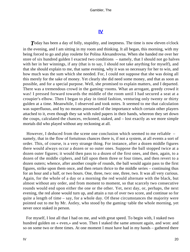### **[IV](#page-135-0)**

**T**oday has been a day of folly, stupidity, and ineptness. The time is now eleven o'clock in the evening, and I am sitting in my room and thinking. It all began, this morning, with my being forced to go and play roulette for Polina Alexandrovna. When she handed me over her store of six hundred gulden I exacted two conditions – namely, that I should not go halves with her in her winnings, if any (that is to say, I should not take anything for myself), and that she should explain to me, that same evening, why it was so necessary for her to win, and how much was the sum which she needed. For, I could not suppose that she was doing all this merely for the sake of money. Yet clearly she did need some money, and that as soon as possible, and for a special purpose. Well, she promised to explain matters, and I departed. There was a tremendous crowd in the gaming−rooms. What an arrogant, greedy crowd it was! I pressed forward towards the middle of the room until I had secured a seat at a croupier's elbow. Then I began to play in timid fashion, venturing only twenty or thirty gulden at a time. Meanwhile, I observed and took notes. It seemed to me that calculation was superfluous, and by no means possessed of the importance which certain other players attached to it, even though they sat with ruled papers in their hands, whereon they set down the coups, calculated the chances, reckoned, staked, and – lost exactly as we more simple mortals did who played without any reckoning at all.

 However, I deduced from the scene one conclusion which seemed to me reliable – namely, that in the flow of fortuitous chances there is, if not a system, at all events a sort of order. This, of course, is a very strange thing. For instance, after a dozen middle figures there would always occur a dozen or so outer ones. Suppose the ball stopped twice at a dozen outer figures; it would then pass to a dozen of the first ones, and then, again, to a dozen of the middle ciphers, and fall upon them three or four times, and then revert to a dozen outers; whence, after another couple of rounds, the ball would again pass to the first figures, strike upon them once, and then return thrice to the middle series – continuing thus for an hour and a half, or two hours. One, three, two: one, three, two. It was all very curious. Again, for the whole of a day or a morning the red would alternate with the black, but almost without any order, and from moment to moment, so that scarcely two consecutive rounds would end upon either the one or the other. Yet, next day, or, perhaps, the next evening, the red alone would turn up, and attain a run of over two score, and continue so for quite a length of time – say, for a whole day. Of these circumstances the majority were pointed out to me by Mr. Astley, who stood by the gaming−table the whole morning, yet never once staked in person.

 For myself, I lost all that I had on me, and with great speed. To begin with, I staked two hundred gulden on « even,» and won. Then I staked the same amount again, and won: and so on some two or three times. At one moment I must have had in my hands – gathered there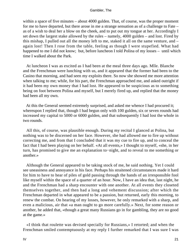within a space of five minutes – about 4000 gulden. That, of course, was the proper moment for me to have departed, but there arose in me a strange sensation as of a challenge to Fate – as of a wish to deal her a blow on the cheek, and to put out my tongue at her. Accordingly I set down the largest stake allowed by the rules – namely, 4000 gulden – and lost. Fired by this mishap, I pulled out all the money left to me, staked it all on the same venture, and – again lost! Then I rose from the table, feeling as though I were stupefied. What had happened to me I did not know; but, before luncheon I told Polina of my losses – until which time I walked about the Park.

 At luncheon I was as excited as I had been at the meal three days ago. Mlle. Blanche and the Frenchman were lunching with us, and it appeared that the former had been to the Casino that morning, and had seen my exploits there. So now she showed me more attention when talking to me; while, for his part, the Frenchman approached me, and asked outright if it had been my own money that I had lost. He appeared to be suspicious as to something being on foot between Polina and myself, but I merely fired up, and replied that the money had been all my own.

 At this the General seemed extremely surprised, and asked me whence I had procured it; whereupon I replied that, though I had begun only with 100 gulden, six or seven rounds had increased my capital to 5000 or 6000 gulden, and that subsequently I had lost the whole in two rounds.

 All this, of course, was plausible enough. During my recital I glanced at Polina, but nothing was to be discerned on her face. However, she had allowed me to fire up without correcting me, and from that I concluded that it was my cue to fire up, and to conceal the fact that I had been playing on her behalf. «At all events,» I thought to myself, «she, in her turn, has promised to give me an explanation to−night, and to reveal to me something or another.»

 Although the General appeared to be taking stock of me, he said nothing. Yet I could see uneasiness and annoyance in his face. Perhaps his straitened circumstances made it hard for him to have to hear of piles of gold passing through the hands of an irresponsible fool like myself within the space of a quarter of an hour. Now, I have an idea that, last night, he and the Frenchman had a sharp encounter with one another. At all events they closeted themselves together, and then had a long and vehement discussion; after which the Frenchman departed in what appeared to be a passion, but returned, early this morning, to renew the combat. On hearing of my losses, however, he only remarked with a sharp, and even a malicious, air that «a man ought to go more carefully.» Next, for some reason or another, he added that, «though a great many Russians go in for gambling, they are no good at the game.»

 «I think that roulette was devised specially for Russians,» I retorted; and when the Frenchman smiled contemptuously at my reply I further remarked that I was sure I was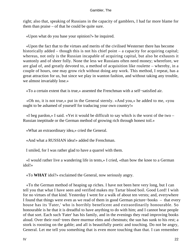right; also that, speaking of Russians in the capacity of gamblers, I had far more blame for them than praise – of that he could be quite sure.

«Upon what do you base your opinion?» he inquired.

 «Upon the fact that to the virtues and merits of the civilised Westerner there has become historically added – though this is not his chief point – a capacity for acquiring capital; whereas, not only is the Russian incapable of acquiring capital, but also he exhausts it wantonly and of sheer folly. None the less we Russians often need money; wherefore, we are glad of, and greatly devoted to, a method of acquisition like roulette – whereby, in a couple of hours, one may grow rich without doing any work. This method, I repeat, has a great attraction for us, but since we play in wanton fashion, and without taking any trouble, we almost invariably lose.»

«To a certain extent that is true,» assented the Frenchman with a self−satisfied air.

 «Oh no, it is not true,» put in the General sternly. «And you,» he added to me, «you ought to be ashamed of yourself for traducing your own country!»

 «I beg pardon,» I said. «Yet it would be difficult to say which is the worst of the two – Russian ineptitude or the German method of growing rich through honest toil.»

«What an extraordinary idea,» cried the General.

«And what a RUSSIAN idea!» added the Frenchman.

I smiled, for I was rather glad to have a quarrel with them.

 «I would rather live a wandering life in tents,» I cried, «than bow the knee to a German idol!»

«To **WHAT** idol?» exclaimed the General, now seriously angry.

 «To the German method of heaping up riches. I have not been here very long, but I can tell you that what I have seen and verified makes my Tartar blood boil. Good Lord! I wish for no virtues of that kind. Yesterday I went for a walk of about ten versts; and, everywhere I found that things were even as we read of them in good German picture−books – that every house has its 'Fater,' who is horribly beneficent and extraordinarily honourable. So honourable is he that it is dreadful to have anything to do with him; and I cannot bear people of that sort. Each such 'Fater' has his family, and in the evenings they read improving books aloud. Over their roof−trees there murmur elms and chestnuts; the sun has sunk to his rest; a stork is roosting on the gable; and all is beautifully poetic and touching. Do not be angry, General. Let me tell you something that is even more touching than that. I can remember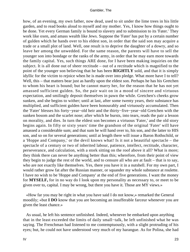how, of an evening, my own father, now dead, used to sit under the lime trees in his little garden, and to read books aloud to myself and my mother. Yes, I know how things ought to be done. Yet every German family is bound to slavery and to submission to its 'Fater.' They work like oxen, and amass wealth like Jews. Suppose the 'Fater' has put by a certain number of gulden which he hands over to his eldest son, in order that the said son may acquire a trade or a small plot of land. Well, one result is to deprive the daughter of a dowry, and so leave her among the unwedded. For the same reason, the parents will have to sell the younger son into bondage or the ranks of the army, in order that he may earn more towards the family capital. Yes, such things ARE done, for I have been making inquiries on the subject. It is all done out of sheer rectitude – out of a rectitude which is magnified to the point of the younger son believing that he has been **RIGHTLY** sold, and that it is simply idyllic for the victim to rejoice when he is made over into pledge. What more have I to tell? Well, this – that matters bear just as hardly upon the eldest son. Perhaps he has his Gretchen to whom his heart is bound; but he cannot marry her, for the reason that he has not yet amassed sufficient gulden. So, the pair wait on in a mood of sincere and virtuous expectation, and smilingly deposit themselves in pawn the while. Gretchen's cheeks grow sunken, and she begins to wither; until at last, after some twenty years, their substance has multiplied, and sufficient gulden have been honourably and virtuously accumulated. Then the 'Fater' blesses his forty−year−old heir and the thirty−five−year−old Gretchen with the sunken bosom and the scarlet nose; after which he bursts, into tears, reads the pair a lesson on morality, and dies. In turn the eldest son becomes a virtuous 'Fater,' and the old story begins again. In fifty or sixty years' time the grandson of the original 'Fater' will have amassed a considerable sum; and that sum he will hand over to, his son, and the latter to HIS son, and so on for several generations; until at length there will issue a Baron Rothschild, or a 'Hoppe and Company,' or the devil knows what! Is it not a beautiful spectacle – the spectacle of a century or two of inherited labour, patience, intellect, rectitude, character, perseverance, and calculation, with a stork sitting on the roof above it all? What is more; they think there can never be anything better than this; wherefore, from their point of view they begin to judge the rest of the world, and to censure all who are at fault – that is to say, who are not exactly like themselves. Yes, there you have it in a nutshell. For my own part, I would rather grow fat after the Russian manner, or squander my whole substance at roulette. I have no wish to be 'Hoppe and Company' at the end of five generations. I want the money for **MYSELF,** for in no way do I look upon my personality as necessary to, or meet to be given over to, capital. I may be wrong, but there you have it. Those are MY views.»

 «How far you may be right in what you have said I do not know,» remarked the General moodily; «but **I DO** know that you are becoming an insufferable farceur whenever you are given the least chance.»

 As usual, he left his sentence unfinished. Indeed, whenever he embarked upon anything that in the least exceeded the limits of daily small−talk, he left unfinished what he was saying. The Frenchman had listened to me contemptuously, with a slight protruding of his eyes; but, he could not have understood very much of my harangue. As for Polina, she had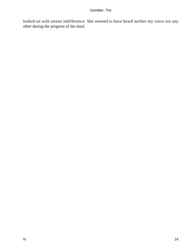looked on with serene indifference. She seemed to have heard neither my voice nor any other during the progress of the meal.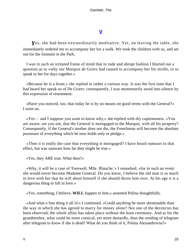### **[V](#page-135-0)**

*Y*es, she had been extraordinarily meditative. Yet, on leaving the table, she immediately ordered me to accompany her for a walk. We took the children with us, and set out for the fountain in the Park.

 I was in such an irritated frame of mind that in rude and abrupt fashion I blurted out a question as to «why our Marquis de Griers had ceased to accompany her for strolls, or to speak to her for days together.»

 «Because he is a brute,» she replied in rather a curious way. It was the first time that I had heard her speak so of De Griers: consequently, I was momentarily awed into silence by this expression of resentment.

 «Have you noticed, too, that today he is by no means on good terms with the General?» I went on.

 «Yes – and I suppose you want to know why,» she replied with dry captiousness. «You are aware, are you not, that the General is mortgaged to the Marquis, with all his property? Consequently, if the General's mother does not die, the Frenchman will become the absolute possessor of everything which he now holds only in pledge.»

 «Then it is really the case that everything is mortgaged? I have heard rumours to that effect, but was unaware how far they might be true.»

«Yes, they ARE true. What then?»

 «Why, it will be a case of 'Farewell, Mlle. Blanche,'» I remarked; «for in such an event she would never become Madame General. Do you know, I believe the old man is so much in love with her that he will shoot himself if she should throw him over. At his age it is a dangerous thing to fall in love.»

«Yes, something, I believe, **WILL** happen to him,» assented Polina thoughtfully.

 «And what a fine thing it all is!» I continued. «Could anything be more abominable than the way in which she has agreed to marry for money alone? Not one of the decencies has been observed; the whole affair has taken place without the least ceremony. And as for the grandmother, what could be more comical, yet more dastardly, than the sending of telegram after telegram to know if she is dead? What do you think of it, Polina Alexandrovna?»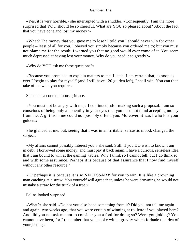«Yes, it is very horrible,» she interrupted with a shudder. «Consequently, I am the more surprised that YOU should be so cheerful. What are YOU so pleased about? About the fact that you have gone and lost my money?»

 «What? The money that you gave me to lose? I told you I should never win for other people – least of all for you. I obeyed you simply because you ordered me to; but you must not blame me for the result. I warned you that no good would ever come of it. You seem much depressed at having lost your money. Why do you need it so greatly?»

«Why do YOU ask me these questions?»

 «Because you promised to explain matters to me. Listen. I am certain that, as soon as ever I 'begin to play for myself' (and I still have 120 gulden left), I shall win. You can then take of me what you require.»

She made a contemptuous grimace.

 «You must not be angry with me,» I continued, «for making such a proposal. I am so conscious of being only a nonentity in your eyes that you need not mind accepting money from me. A gift from me could not possibly offend you. Moreover, it was I who lost your gulden.»

 She glanced at me, but, seeing that I was in an irritable, sarcastic mood, changed the subject.

 «My affairs cannot possibly interest you,» she said. Still, if you DO wish to know, I am in debt. I borrowed some money, and must pay it back again. I have a curious, senseless idea that I am bound to win at the gaming−tables. Why I think so I cannot tell, but I do think so, and with some assurance. Perhaps it is because of that assurance that I now find myself without any other resource."

 «Or perhaps it is because it is so **NECESSARY** for you to win. It is like a drowning man catching at a straw. You yourself will agree that, unless he were drowning he would not mistake a straw for the trunk of a tree.»

Polina looked surprised.

 «What?» she said. «Do not you also hope something from it? Did you not tell me again and again, two weeks ago, that you were certain of winning at roulette if you played here? And did you not ask me not to consider you a fool for doing so? Were you joking? You cannot have been, for I remember that you spoke with a gravity which forbade the idea of your jesting.»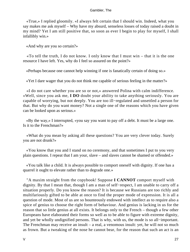«True,» I replied gloomily. «I always felt certain that I should win. Indeed, what you say makes me ask myself – Why have my absurd, senseless losses of today raised a doubt in my mind? Yet I am still positive that, so soon as ever I begin to play for myself, I shall infallibly win.»

«And why are you so certain?»

 «To tell the truth, I do not know. I only know that I must win – that it is the one resource I have left. Yes, why do I feel so assured on the point?»

«Perhaps because one cannot help winning if one is fanatically certain of doing so.»

«Yet I dare wager that you do not think me capable of serious feeling in the matter?»

 «I do not care whether you are so or not,» answered Polina with calm indifference. «Well, since you ask me, **I DO** doubt your ability to take anything seriously. You are capable of worrying, but not deeply. You are too ill−regulated and unsettled a person for that. But why do you want money? Not a single one of the reasons which you have given can be looked upon as serious.»

 «By the way,» I interrupted, «you say you want to pay off a debt. It must be a large one. Is it to the Frenchman?»

 «What do you mean by asking all these questions? You are very clever today. Surely you are not drunk?»

 «You know that you and I stand on no ceremony, and that sometimes I put to you very plain questions. I repeat that I am your, slave – and slaves cannot be shamed or offended.»

 «You talk like a child. It is always possible to comport oneself with dignity. If one has a quarrel it ought to elevate rather than to degrade one.»

 "A maxim straight from the copybook! Suppose **I CANNOT** comport myself with dignity. By that I mean that, though I am a man of self−respect, I am unable to carry off a situation properly. Do you know the reason? It is because we Russians are too richly and multifariously gifted to be able at once to find the proper mode of expression. It is all a question of mode. Most of us are so bounteously endowed with intellect as to require also a spice of genius to choose the right form of behaviour. And genius is lacking in us for the reason that so little genius at all exists. It belongs only to the French – though a few other Europeans have elaborated their forms so well as to be able to figure with extreme dignity, and yet be wholly undignified persons. That is why, with us, the mode is so all−important. The Frenchman may receive an insult – a real, a venomous insult: yet, he will not so much as frown. But a tweaking of the nose he cannot bear, for the reason that such an act is an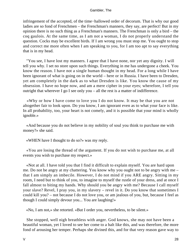infringement of the accepted, of the time−hallowed order of decorum. That is why our good ladies are so fond of Frenchmen – the Frenchman's manners, they say, are perfect! But in my opinion there is no such thing as a Frenchman's manners. The Frenchman is only a bird – the coq gaulois. At the same time, as I am not a woman, I do not properly understand the question. Cocks may be excellent birds. If I am wrong you must stop me. You ought to stop and correct me more often when I am speaking to you, for I am too apt to say everything that is in my head.

 "You see, I have lost my manners. I agree that I have none, nor yet any dignity. I will tell you why. I set no store upon such things. Everything in me has undergone a cheek. You know the reason. I have not a single human thought in my head. For a long while I have been ignorant of what is going on in the world – here or in Russia. I have been to Dresden, yet am completely in the dark as to what Dresden is like. You know the cause of my obsession. I have no hope now, and am a mere cipher in your eyes; wherefore, I tell you outright that wherever I go I see only you – all the rest is a matter of indifference.

 «Why or how I have come to love you I do not know. It may be that you are not altogether fair to look upon. Do you know, I am ignorant even as to what your face is like. In all probability, too, your heart is not comely, and it is possible that your mind is wholly ignoble.»

 «And because you do not believe in my nobility of soul you think to purchase me with money?» she said.

«WHEN have I thought to do so?» was my reply.

 «You are losing the thread of the argument. If you do not wish to purchase me, at all events you wish to purchase my respect.»

 «Not at all. I have told you that I find it difficult to explain myself. You are hard upon me. Do not be angry at my chattering. You know why you ought not to be angry with me – that I am simply an imbecile. However, I do not mind if you ARE angry. Sitting in my room, I need but to think of you, to imagine to myself the rustle of your dress, and at once I fall almost to biting my hands. Why should you be angry with me? Because I call myself your slave? Revel, I pray you, in my slavery – revel in it. Do you know that sometimes I could kill you? – not because I do not love you, or am jealous of you, but, because I feel as though I could simply devour you... You are laughing!»

«No, I am not,» she retorted. «But I order you, nevertheless, to be silent.»

 She stopped, well nigh breathless with anger. God knows, she may not have been a beautiful woman, yet I loved to see her come to a halt like this, and was therefore, the more fond of arousing her temper. Perhaps she divined this, and for that very reason gave way to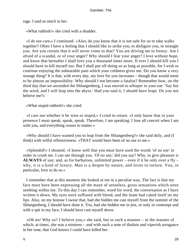rage. I said as much to her.

«What rubbish!» she cried with a shudder.

 «I do not care,» I continued. «Also, do you know that it is not safe for us to take walks together? Often I have a feeling that I should like to strike you, to disfigure you, to strangle you. Are you certain that it will never come to that? You are driving me to frenzy. Am I afraid of a scandal, or of your anger? Why should I fear your anger? I love without hope, and know that hereafter I shall love you a thousand times more. If ever I should kill you I should have to kill myself too. But I shall put off doing so as long as possible, for I wish to continue enjoying the unbearable pain which your coldness gives me. Do you know a very strange thing? It is that, with every day, my love for you increases – though that would seem to be almost an impossibility. Why should I not become a fatalist? Remember how, on the third day that we ascended the Shlangenberg, I was moved to whisper in your ear: 'Say but the word, and I will leap into the abyss.' Had you said it, I should have leapt. Do you not believe me?»

«What stupid rubbish!» she cried.

 «I care not whether it be wise or stupid,» I cried in return. «I only know that in your presence I must speak, speak, speak. Therefore, I am speaking. I lose all conceit when I am with you, and everything ceases to matter.»

 «Why should I have wanted you to leap from the Shlangenberg?» she said drily, and (I think) with wilful offensiveness. «THAT would have been of no use to me.»

 «Splendid!» I shouted. «I know well that you must have used the words 'of no use' in order to crush me. I can see through you. 'Of no use,' did you say? Why, to give pleasure is **ALWAYS** of use; and, as for barbarous, unlimited power – even if it be only over a fly – why, it is a kind of luxury. Man is a despot by nature, and loves to torture. You, in particular, love to do so.»

 I remember that at this moment she looked at me in a peculiar way. The fact is that my face must have been expressing all the maze of senseless, gross sensations which were seething within me. To this day I can remember, word for word, the conversation as I have written it down. My eyes were suffused with blood, and the foam had caked itself on my lips. Also, on my honour I swear that, had she bidden me cast myself from the summit of the Shlangenberg, I should have done it. Yes, had she bidden me in jest, or only in contempt and with a spit in my face, I should have cast myself down.

 «Oh no! Why so? I believe you,» she said, but in such a manner – in the manner of which, at times, she was a mistress – and with such a note of disdain and viperish arrogance in her tone, that God knows I could have killed her.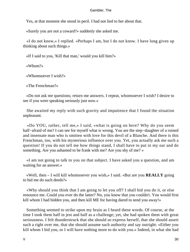Yes, at that moment she stood in peril. I had not lied to her about that.

«Surely you are not a coward?» suddenly she asked me.

 «I do not know,» I replied. «Perhaps I am, but I do not know. I have long given up thinking about such things.»

«If I said to you, 'Kill that man,' would you kill him?»

«Whom?»

«Whomsoever I wish?»

«The Frenchman?»

 «Do not ask me questions; return me answers. I repeat, whomsoever I wish? I desire to see if you were speaking seriously just now.»

 She awaited my reply with such gravity and impatience that I found the situation unpleasant.

 «Do YOU, rather, tell me,» I said, «what is going on here? Why do you seem half−afraid of me? I can see for myself what is wrong. You are the step−daughter of a ruined and insensate man who is smitten with love for this devil of a Blanche. And there is this Frenchman, too, with his mysterious influence over you. Yet, you actually ask me such a question! If you do not tell me how things stand, I shall have to put in my oar and do something. Are you ashamed to be frank with me? Are you shy of me? »

 «I am not going to talk to you on that subject. I have asked you a question, and am waiting for an answer.»

 «Well, then – I will kill whomsoever you wish,» I said. «But are you **REALLY** going to bid me do such deeds?»

 «Why should you think that I am going to let you off? I shall bid you do it, or else renounce me. Could you ever do the latter? No, you know that you couldn't. You would first kill whom I had bidden you, and then kill ME for having dared to send you away!»

 Something seemed to strike upon my brain as I heard these words. Of course, at the time I took them half in jest and half as a challenge; yet, she had spoken them with great seriousness. I felt thunderstruck that she should so express herself, that she should assert such a right over me, that she should assume such authority and say outright: «Either you kill whom I bid you, or I will have nothing more to do with you.» Indeed, in what she had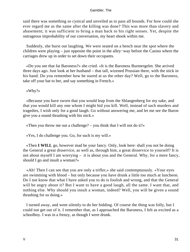said there was something so cynical and unveiled as to pass all bounds. For how could she ever regard me as the same after the killing was done? This was more than slavery and abasement; it was sufficient to bring a man back to his right senses. Yet, despite the outrageous improbability of our conversation, my heart shook within me.

 Suddenly, she burst out laughing. We were seated on a bench near the spot where the children were playing – just opposite the point in the alley−way before the Casino where the carriages drew up in order to set down their occupants.

 «Do you see that fat Baroness?» she cried. «It is the Baroness Burmergelm. She arrived three days ago. Just look at her husband – that tall, wizened Prussian there, with the stick in his hand. Do you remember how he stared at us the other day? Well, go to the Baroness, take off your hat to her, and say something in French.»

«Why?»

 «Because you have sworn that you would leap from the Shlangenberg for my sake, and that you would kill any one whom I might bid you kill. Well, instead of such murders and tragedies, I wish only for a good laugh. Go without answering me, and let me see the Baron give you a sound thrashing with his stick.»

«Then you throw me out a challenge? – you think that I will not do it?»

«Yes, I do challenge you. Go, for such is my will.»

 «Then **I WILL** go, however mad be your fancy. Only, look here: shall you not be doing the General a great disservice, as well as, through him, a great disservice to yourself? It is not about myself I am worrying – it is about you and the General. Why, for a mere fancy, should I go and insult a woman?»

 «Ah! Then I can see that you are only a trifler,» she said contemptuously. «Your eyes are swimming with blood – but only because you have drunk a little too much at luncheon. Do I not know that what I have asked you to do is foolish and wrong, and that the General will be angry about it? But I want to have a good laugh, all the same. I want that, and nothing else. Why should you insult a woman, indeed? Well, you will be given a sound thrashing for so doing.»

 I turned away, and went silently to do her bidding. Of course the thing was folly, but I could not get out of it. I remember that, as I approached the Baroness, I felt as excited as a schoolboy. I was in a frenzy, as though I were drunk.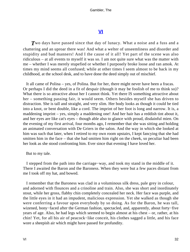### **[VI](#page-135-0)**

**T**wo days have passed since that day of lunacy. What a noise and a fuss and a chattering and an uproar there was! And what a welter of unseemliness and disorder and stupidity and bad manners! And I the cause of it all! Yet part of the scene was also ridiculous – at all events to myself it was so. I am not quite sure what was the matter with me – whether I was merely stupefied or whether I purposely broke loose and ran amok. At times my mind seems all confused; while at other times I seem almost to be back in my childhood, at the school desk, and to have done the deed simply out of mischief.

 It all came of Polina – yes, of Polina. But for her, there might never have been a fracas. Or perhaps I did the deed in a fit of despair (though it may be foolish of me to think so)? What there is so attractive about her I cannot think. Yet there IS something attractive about her – something passing fair, it would seem. Others besides myself she has driven to distraction. She is tall and straight, and very slim. Her body looks as though it could be tied into a knot, or bent double, like a cord. The imprint of her foot is long and narrow. It is, a maddening imprint – yes, simply a maddening one! And her hair has a reddish tint about it, and her eyes are like cat's eyes – though able also to glance with proud, disdainful mien. On the evening of my first arrival, four months ago, I remember that she was sitting and holding an animated conversation with De Griers in the salon. And the way in which she looked at him was such that later, when I retired to my own room upstairs, I kept fancying that she had smitten him in the face – that she had smitten him right on the cheek, so peculiar had been her look as she stood confronting him. Ever since that evening I have loved her.

### But to my tale.

 I stepped from the path into the carriage−way, and took my stand in the middle of it. There I awaited the Baron and the Baroness. When they were but a few paces distant from me I took off my hat, and bowed.

 I remember that the Baroness was clad in a voluminous silk dress, pale grey in colour, and adorned with flounces and a crinoline and train. Also, she was short and inordinately stout, while her gross, flabby chin completely concealed her neck. Her face was purple, and the little eyes in it had an impudent, malicious expression. Yet she walked as though she were conferring a favour upon everybody by so doing. As for the Baron, he was tall, wizened, bony−faced after the German fashion, spectacled, and, apparently, about forty−five years of age. Also, he had legs which seemed to begin almost at his chest – or, rather, at his chin! Yet, for all his air of peacock−like conceit, his clothes sagged a little, and his face wore a sheepish air which might have passed for profundity.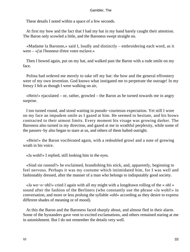These details I noted within a space of a few seconds.

 At first my bow and the fact that I had my hat in my hand barely caught their attention. The Baron only scowled a little, and the Baroness swept straight on.

 «Madame la Baronne,» said I, loudly and distinctly – embroidering each word, as it were – «j'ai l'honneur d'etre votre esclave.»

 Then I bowed again, put on my hat, and walked past the Baron with a rude smile on my face.

 Polina had ordered me merely to take off my hat: the bow and the general effrontery were of my own invention. God knows what instigated me to perpetrate the outrage! In my frenzy I felt as though I were walking on air,

 «Hein!» ejaculated – or, rather, growled – the Baron as he turned towards me in angry surprise.

 I too turned round, and stood waiting in pseudo−courteous expectation. Yet still I wore on my face an impudent smile as I gazed at him. He seemed to hesitate, and his brows contracted to their utmost limits. Every moment his visage was growing darker. The Baroness also turned in my direction, and gazed at me in wrathful perplexity, while some of the passers−by also began to stare at us, and others of them halted outright.

 «Hein!» the Baron vociferated again, with a redoubled growl and a note of growing wrath in his voice.

«Ja wohl!» I replied, still looking him in the eyes.

 «Sind sie rasend?» he exclaimed, brandishing his stick, and, apparently, beginning to feel nervous. Perhaps it was my costume which intimidated him, for I was well and fashionably dressed, after the manner of a man who belongs to indisputably good society.

 «Ja wo−o−ohl!» cried I again with all my might with a longdrawn rolling of the « ohl » sound after the fashion of the Berliners (who constantly use the phrase «Ja wohl!» in conversation, and more or less prolong the syllable «ohl» according as they desire to express different shades of meaning or of mood).

 At this the Baron and the Baroness faced sharply about, and almost fled in their alarm. Some of the bystanders gave vent to excited exclamations, and others remained staring at me in astonishment. But I do not remember the details very well.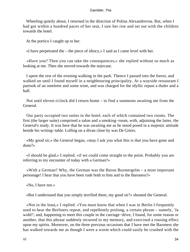Wheeling quietly about, I returned in the direction of Polina Alexandrovna. But, when I had got within a hundred paces of her seat, I saw her rise and set out with the children towards the hotel.

At the portico I caught up to her.

«I have perpetrated the – the piece of idiocy,» I said as I came level with her.

 «Have you? Then you can take the consequences,» she replied without so much as looking at me. Then she moved towards the staircase.

 I spent the rest of the evening walking in the park. Thence I passed into the forest, and walked on until I found myself in a neighbouring principality. At a wayside restaurant I partook of an omelette and some wine, and was charged for the idyllic repast a thaler and a half.

 Not until eleven o'clock did I return home – to find a summons awaiting me from the General.

 Our party occupied two suites in the hotel; each of which contained two rooms. The first (the larger suite) comprised a salon and a smoking−room, with, adjoining the latter, the General's study. It was here that he was awaiting me as he stood posed in a majestic attitude beside his writing−table. Lolling on a divan close by was De Griers.

 «My good sir,» the General began, «may I ask you what this is that you have gone and done?»

 «I should be glad,» I replied, «if we could come straight to the point. Probably you are referring to my encounter of today with a German?»

 «With a German? Why, the German was the Baron Burmergelm – a most important personage! I hear that you have been rude both to him and to the Baroness?»

«No, I have not.»

«But I understand that you simply terrified them, my good sir?» shouted the General.

 «Not in the least,» I replied. «You must know that when I was in Berlin I frequently used to hear the Berliners repeat, and repellently prolong, a certain phrase – namely, 'Ja wohl!'; and, happening to meet this couple in the carriage−drive, I found, for some reason or another, that this phrase suddenly recurred to my memory, and exercised a rousing effect upon my spirits. Moreover, on the three previous occasions that I have met the Baroness she has walked towards me as though I were a worm which could easily be crushed with the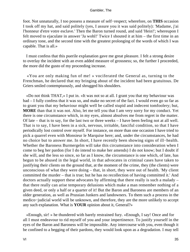foot. Not unnaturally, I too possess a measure of self−respect; wherefore, on **THIS** occasion I took off my hat, and said politely (yes, I assure you it was said politely): 'Madame, j'ai l'honneur d'etre votre esclave.' Then the Baron turned round, and said 'Hein!'; whereupon I felt moved to ejaculate in answer 'Ja wohl!' Twice I shouted it at him – the first time in an ordinary tone, and the second time with the greatest prolonging of the words of which I was capable. That is all.»

 I must confess that this puerile explanation gave me great pleasure. I felt a strong desire to overlay the incident with an even added measure of grossness; so, the further I proceeded, the more did the gusto of my proceeding increase.

 «You are only making fun of me! » vociferated the General as, turning to the Frenchman, he declared that my bringing about of the incident had been gratuitous. De Griers smiled contemptuously, and shrugged his shoulders.

 «Do not think THAT,» I put in. «It was not so at all. I grant you that my behaviour was bad – I fully confess that it was so, and make no secret of the fact. I would even go so far as to grant you that my behaviour might well be called stupid and indecent tomfoolery; but, **MORE** than that it was not. Also, let me tell you that I am very sorry for my conduct. Yet there is one circumstance which, in my eyes, almost absolves me from regret in the matter. Of late – that is to say, for the last two or three weeks – I have been feeling not at all well. That is to say, I have been in a sick, nervous, irritable, fanciful condition, so that I have periodically lost control over myself. For instance, on more than one occasion I have tried to pick a quarrel even with Monsieur le Marquise here; and, under the circumstances, he had no choice but to answer me. In short, I have recently been showing signs of ill−health. Whether the Baroness Burmergelm will take this circumstance into consideration when I come to beg her pardon (for I do intend to make her amends) I do not know; but I doubt if she will, and the less so since, so far as I know, the circumstance is one which, of late, has begun to be abused in the legal world, in that advocates in criminal cases have taken to justifying their clients on the ground that, at the moment of the crime, they (the clients) were unconscious of what they were doing – that, in short, they were out of health. 'My client committed the murder – that is true; but he has no recollection of having committed it.' And doctors actually support these advocates by affirming that there really is such a malady – that there really can arise temporary delusions which make a man remember nothing of a given deed, or only a half or a quarter of it! But the Baron and Baroness are members of an older generation, as well as Prussian Junkers and landowners. To them such a process in the medico−judicial world will be unknown, and therefore, they are the more unlikely to accept any such explanation. What is **YOUR** opinion about it, General?»

 «Enough, sir! » he thundered with barely restrained fury. «Enough, I say! Once and for all I must endeavour to rid myself of you and your impertinence. To justify yourself in the eyes of the Baron and Baroness will be impossible. Any intercourse with you, even though it be confined to a begging of their pardons, they would look upon as a degradation. I may tell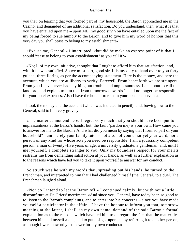you that, on learning that you formed part of, my household, the Baron approached me in the Casino, and demanded of me additional satisfaction. Do you understand, then, what it is that you have entailed upon me – upon ME, my good sir? You have entailed upon me the fact of my being forced to sue humbly to the Baron, and to give him my word of honour that this very day you shall cease to belong to my establishment!»

 «Excuse me, General,» I interrupted, «but did he make an express point of it that I should 'cease to belong to your establishment,' as you call it?»

 «No; I, of my own initiative, thought that I ought to afford him that satisfaction; and, with it he was satisfied. So we must part, good sir. It is my duty to hand over to you forty gulden, three florins, as per the accompanying statement. Here is the money, and here the account, which you are at liberty to verify. Farewell. From henceforth we are strangers. From you I have never had anything but trouble and unpleasantness. I am about to call the landlord, and explain to him that from tomorrow onwards I shall no longer be responsible for your hotel expenses. Also I have the honour to remain your obedient servant.»

 I took the money and the account (which was indicted in pencil), and, bowing low to the General, said to him very gravely:

 «The matter cannot end here. I regret very much that you should have been put to unpleasantness at the Baron's hands; but, the fault (pardon me) is your own. How came you to answer for me to the Baron? And what did you mean by saying that I formed part of your household? I am merely your family tutor – not a son of yours, nor yet your ward, nor a person of any kind for whose acts you need be responsible. I am a judicially competent person, a man of twenty−five years of age, a university graduate, a gentleman, and, until I met yourself, a complete stranger to you. Only my boundless respect for your merits restrains me from demanding satisfaction at your hands, as well as a further explanation as to the reasons which have led you to take it upon yourself to answer for my conduct.»

 So struck was he with my words that, spreading out his hands, he turned to the Frenchman, and interpreted to him that I had challenged himself (the General) to a duel. The Frenchman laughed aloud.

 «Nor do I intend to let the Baron off,» I continued calmly, but with not a little discomfiture at De Griers' merriment. «And since you, General, have today been so good as to listen to the Baron's complaints, and to enter into his concerns – since you have made yourself a participator in the affair – I have the honour to inform you that, tomorrow morning at the latest, I shall, in my own name, demand of the said Baron a formal explanation as to the reasons which have led him to disregard the fact that the matter lies between him and myself alone, and to put a slight upon me by referring it to another person, as though I were unworthy to answer for my own conduct.»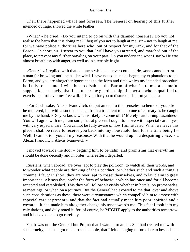Then there happened what I had foreseen. The General on hearing of this further intended outrage, showed the white feather.

 «What? » he cried. «Do you intend to go on with this damned nonsense? Do you not realise the harm that it is doing me? I beg of you not to laugh at me, sir – not to laugh at me, for we have police authorities here who, out of respect for my rank, and for that of the Baron... In short, sir, I swear to you that I will have you arrested, and marched out of the place, to prevent any further brawling on your part. Do you understand what I say?» He was almost breathless with anger, as well as in a terrible fright.

 «General,» I replied with that calmness which he never could abide, «one cannot arrest a man for brawling until he has brawled. I have not so much as begun my explanations to the Baron, and you are altogether ignorant as to the form and time which my intended procedure is likely to assume. I wish but to disabuse the Baron of what is, to me, a shameful supposition – namely, that I am under the guardianship of a person who is qualified to exercise control over my free will. It is vain for you to disturb and alarm yourself.»

 «For God's sake, Alexis Ivanovitch, do put an end to this senseless scheme of yours!» he muttered, but with a sudden change from a truculent tone to one of entreaty as he caught me by the hand. «Do you know what is likely to come of it? Merely further unpleasantness. You will agree with me, I am sure, that at present I ought to move with especial care – yes, with very especial care. You cannot be fully aware of how I am situated. When we leave this place I shall be ready to receive you back into my household; but, for the time being I – Well, I cannot tell you all my reasons.» With that he wound up in a despairing voice: « O Alexis Ivanovitch, Alexis Ivanovitch!»

 I moved towards the door – begging him to be calm, and promising that everything should be done decently and in order; whereafter I departed.

 Russians, when abroad, are over−apt to play the poltroon, to watch all their words, and to wonder what people are thinking of their conduct, or whether such and such a thing is 'comme il faut.' In short, they are over−apt to cosset themselves, and to lay claim to great importance. Always they prefer the form of behaviour which has once and for all become accepted and established. This they will follow slavishly whether in hotels, on promenades, at meetings, or when on a journey. But the General had avowed to me that, over and above such considerations as these, there were circumstances which compelled him to «move with especial care at present», and that the fact had actually made him poor−spirited and a coward – it had made him altogether change his tone towards me. This fact I took into my calculations, and duly noted it, for, of course, he **MIGHT** apply to the authorities tomorrow, and it behoved me to go carefully.

 Yet it was not the General but Polina that I wanted to anger. She had treated me with such cruelty, and had got me into such a hole, that I felt a longing to force her to beseech me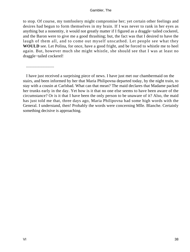to stop. Of course, my tomfoolery might compromise her; yet certain other feelings and desires had begun to form themselves in my brain. If I was never to rank in her eyes as anything but a nonentity, it would not greatly matter if I figured as a draggle−tailed cockerel, and the Baron were to give me a good thrashing; but, the fact was that I desired to have the laugh of them all, and to come out myself unscathed. Let people see what they **WOULD** see. Let Polina, for once, have a good fright, and be forced to whistle me to heel again. But, however much she might whistle, she should see that I was at least no draggle−tailed cockerel!

...........................

 I have just received a surprising piece of news. I have just met our chambermaid on the stairs, and been informed by her that Maria Philipovna departed today, by the night train, to stay with a cousin at Carlsbad. What can that mean? The maid declares that Madame packed her trunks early in the day. Yet how is it that no one else seems to have been aware of the circumstance? Or is it that I have been the only person to be unaware of it? Also, the maid has just told me that, three days ago, Maria Philipovna had some high words with the General. I understand, then! Probably the words were concerning Mlle. Blanche. Certainly something decisive is approaching.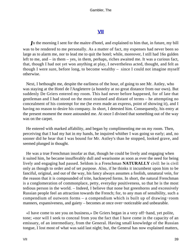## **[VII](#page-135-0)**

*I*n the morning I sent for the maitre d'hotel, and explained to him that, in future, my bill was to be rendered to me personally. As a matter of fact, my expenses had never been so large as to alarm me, nor to lead me to quit the hotel; while, moreover, I still had 16o gulden left to me, and – in them – yes, in them, perhaps, riches awaited me. It was a curious fact, that, though I had not yet won anything at play, I nevertheless acted, thought, and felt as though I were sure, before long, to become wealthy – since I could not imagine myself otherwise.

 Next, I bethought me, despite the earliness of the hour, of going to see Mr. Astley, who was staying at the Hotel de l'Angleterre (a hostelry at no great distance from our own). But suddenly De Griers entered my room. This had never before happened, for of late that gentleman and I had stood on the most strained and distant of terms – he attempting no concealment of his contempt for me (he even made an express, point of showing it), and I having no reason to desire his company. In short, I detested him. Consequently, his entry at the present moment the more astounded me. At once I divined that something out of the way was on the carpet.

 He entered with marked affability, and began by complimenting me on my room. Then, perceiving that I had my hat in my hands, he inquired whither I was going so early; and, no sooner did he hear that I was bound for Mr. Astley's than he stopped, looked grave, and seemed plunged in thought.

 He was a true Frenchman insofar as that, though he could be lively and engaging when it suited him, he became insufferably dull and wearisome as soon as ever the need for being lively and engaging had passed. Seldom is a Frenchman **NATURALLY** civil: he is civil only as though to order and of set purpose. Also, if he thinks it incumbent upon him to be fanciful, original, and out of the way, his fancy always assumes a foolish, unnatural vein, for the reason that it is compounded of trite, hackneyed forms. In short, the natural Frenchman is a conglomeration of commonplace, petty, everyday positiveness, so that he is the most tedious person in the world. – Indeed, I believe that none but greenhorns and excessively Russian people feel an attraction towards the French; for, to any man of sensibility, such a compendium of outworn forms – a compendium which is built up of drawing−room manners, expansiveness, and gaiety – becomes at once over−noticeable and unbearable.

 «I have come to see you on business,» De Griers began in a very off−hand, yet polite, tone; «nor will I seek to conceal from you the fact that I have come in the capacity of an emissary, of an intermediary, from the General. Having small knowledge of the Russian tongue, I lost most of what was said last night; but, the General has now explained matters,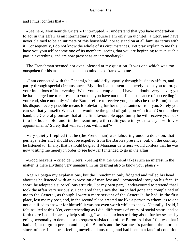and I must confess that  $-\infty$ 

 «See here, Monsieur de Griers,» I interrupted. «I understand that you have undertaken to act in this affair as an intermediary. Of course I am only 'un utchitel,' a tutor, and have never claimed to be an intimate of this household, nor to stand on at all familiar terms with it. Consequently, I do not know the whole of its circumstances. Yet pray explain to me this: have you yourself become one of its members, seeing that you are beginning to take such a part in everything, and are now present as an intermediary?»

 The Frenchman seemed not over−pleased at my question. It was one which was too outspoken for his taste – and he had no mind to be frank with me.

 «I am connected with the General,» he said drily, «partly through business affairs, and partly through special circumstances. My principal has sent me merely to ask you to forego your intentions of last evening. What you contemplate is, I have no doubt, very clever; yet he has charged me to represent to you that you have not the slightest chance of succeeding in your end, since not only will the Baron refuse to receive you, but also he (the Baron) has at his disposal every possible means for obviating further unpleasantness from you. Surely you can see that yourself? What, then, would be the good of going on with it all? On the other hand, the General promises that at the first favourable opportunity he will receive you back into his household, and, in the meantime, will credit you with your salary – with 'vos appointements.' Surely that will suit you, will it not?»

 Very quietly I replied that he (the Frenchman) was labouring under a delusion; that perhaps, after all, I should not be expelled from the Baron's presence, but, on the contrary, be listened to; finally, that I should be glad if Monsieur de Griers would confess that he was now visiting me merely in order to see how far I intended to go in the affair.

 «Good heavens!» cried de Griers. «Seeing that the General takes such an interest in the matter, is there anything very unnatural in his desiring also to know your plans? »

 Again I began my explanations, but the Frenchman only fidgeted and rolled his head about as he listened with an expression of manifest and unconcealed irony on his face. In short, he adopted a supercilious attitude. For my own part, I endeavoured to pretend that I took the affair very seriously. I declared that, since the Baron had gone and complained of me to the General, as though I were a mere servant of the General's, he had, in the first place, lost me my post, and, in the second place, treated me like a person to whom, as to one not qualified to answer for himself, it was not even worth while to speak. Naturally, I said, I felt insulted at this. Yet, comprehending as I did, differences of years, of social status, and so forth (here I could scarcely help smiling), I was not anxious to bring about further scenes by going personally to demand or to request satisfaction of the Baron. All that I felt was that I had a right to go in person and beg the Baron's and the Baroness's pardon – the more so since, of late, I had been feeling unwell and unstrung, and had been in a fanciful condition.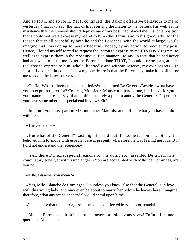And so forth, and so forth. Yet (I continued) the Baron's offensive behaviour to me of yesterday (that is to say, the fact of his referring the matter to the General) as well as his insistence that the General should deprive me of my post, had placed me in such a position that I could not well express my regret to him (the Baron) and to his good lady, for the reason that in all probability both he and the Baroness, with the world at large, would imagine that I was doing so merely because I hoped, by my action, to recover my post. Hence, I found myself forced to request the Baron to express to me **HIS OWN** regrets, as well as to express them in the most unqualified manner – to say, in fact, that he had never had any wish to insult me. After the Baron had done **THAT,** I should, for my part, at once feel free to express to him, whole−heartedly and without reserve, my own regrets.« In short,» I declared in conclusion, « my one desire is that the Baron may make it possible for me to adopt the latter course.»

 «Oh fie! What refinements and subtleties!» exclaimed De Griers. «Besides, what have you to express regret for? Confess, Monsieur, Monsieur – pardon me, but I have forgotten your name – confess, I say, that all this is merely a plan to annoy the General? Or perhaps, you have some other and special end in view? Eh?»

 «In return you must pardon ME, mon cher Marquis, and tell me what you have to do with it.»

«The General  $-\infty$ 

 «But what of the General? Last night he said that, for some reason or another, it behoved him to 'move with especial care at present;' wherefore, he was feeling nervous. But I did not understand the reference.»

 «Yes, there DO exist special reasons for his doing so,» assented De Griers in a conciliatory tone, yet with rising anger. «You are acquainted with Mlle. de Cominges, are you not?»

«Mlle. Blanche, you mean?»

 «Yes, Mlle. Blanche de Cominges. Doubtless you know also that the General is in love with this young lady, and may even be about to marry her before he leaves here? Imagine, therefore, what any scene or scandal would entail upon him!»

«I cannot see that the marriage scheme need, be affected by scenes or scandals.»

 «Mais le Baron est si irascible – un caractere prussien, vous savez! Enfin il fera une querelle d'Allemand.»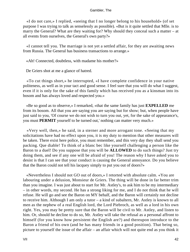«I do not care,» I replied, «seeing that I no longer belong to his household» (of set purpose I was trying to talk as senselessly as possible). «But is it quite settled that Mlle. is to marry the General? What are they waiting for? Why should they conceal such a matter – at all events from ourselves, the General's own party?»

 «I cannot tell you. The marriage is not yet a settled affair, for they are awaiting news from Russia. The General has business transactions to arrange.»

«Ah! Connected, doubtless, with madame his mother?»

De Griers shot at me a glance of hatred.

 «To cut things short,» he interrupted, «I have complete confidence in your native politeness, as well as in your tact and good sense. I feel sure that you will do what I suggest, even if it is only for the sake of this family which has received you as a kinsman into its bosom and has always loved and respected you.»

 «Be so good as to observe,» I remarked, «that the same family has just **EXPELLED** me from its bosom. All that you are saying you are saying but for show; but, when people have just said to you, 'Of course we do not wish to turn you out, yet, for the sake of appearance's, you must **PERMIT** yourself to be turned out,' nothing can matter very much.»

 «Very well, then,» he said, in a sterner and more arrogant tone. «Seeing that my solicitations have had no effect upon you, it is my duty to mention that other measures will be taken. There exist here police, you must remember, and this very day they shall send you packing. Que diable! To think of a blanc bec like yourself challenging a person like the Baron to a duel! Do you suppose that you will be **ALLOWED** to do such things? Just try doing them, and see if any one will be afraid of you! The reason why I have asked you to desist is that I can see that your conduct is causing the General annoyance. Do you believe that the Baron could not tell his lacquey simply to put you out of doors?»

 «Nevertheless I should not GO out of doors,» I retorted with absolute calm. «You are labouring under a delusion, Monsieur de Griers. The thing will be done in far better trim than you imagine. I was just about to start for Mr. Astley's, to ask him to be my intermediary – in other words, my second. He has a strong liking for me, and I do not think that he will refuse. He will go and see the Baron on MY behalf, and the Baron will certainly not decline to receive him. Although I am only a tutor – a kind of subaltern, Mr. Astley is known to all men as the nephew of a real English lord, the Lord Piebroch, as well as a lord in his own right. Yes, you may be pretty sure that the Baron will be civil to Mr. Astley, and listen to him. Or, should he decline to do so, Mr. Astley will take the refusal as a personal affront to himself (for you know how persistent the English are?) and thereupon introduce to the Baron a friend of his own (and he has many friends in a good position). That being so, picture to yourself the issue of the affair – an affair which will not quite end as you think it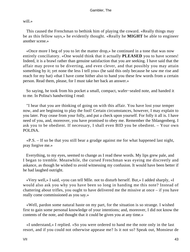will.»

 This caused the Frenchman to bethink him of playing the coward. «Really things may be as this fellow says,» he evidently thought. «Really he **MIGHT** be able to engineer another scene.»

 «Once more I beg of you to let the matter drop,» he continued in a tone that was now entirely conciliatory. «One would think that it actually **PLEASED** you to have scenes! Indeed, it is a brawl rather than genuine satisfaction that you are seeking. I have said that the affair may prove to be diverting, and even clever, and that possibly you may attain something by it; yet none the less I tell you» (he said this only because he saw me rise and reach for my hat) «that I have come hither also to hand you these few words from a certain person. Read them, please, for I must take her back an answer.»

 So saying, he took from his pocket a small, compact, wafer−sealed note, and handed it to me. In Polina's handwriting I read:

 "I hear that you are thinking of going on with this affair. You have lost your temper now, and are beginning to play the fool! Certain circumstances, however, I may explain to you later. Pray cease from your folly, and put a check upon yourself. For folly it all is. I have need of you, and, moreover, you have promised to obey me. Remember the Shlangenberg. I ask you to be obedient. If necessary, I shall even BID you be obedient. – Your own POLINA.

 «P.S. – If so be that you still bear a grudge against me for what happened last night, pray forgive me.»

 Everything, to my eyes, seemed to change as I read these words. My lips grew pale, and I began to tremble. Meanwhile, the cursed Frenchman was eyeing me discreetly and askance, as though he wished to avoid witnessing my confusion. It would have been better if he had laughed outright.

 «Very well,» I said, «you can tell Mlle. not to disturb herself. But,» I added sharply, «I would also ask you why you have been so long in handing me this note? Instead of chattering about trifles, you ought to have delivered me the missive at once – if you have really come commissioned as you say.»

 «Well, pardon some natural haste on my part, for the situation is so strange. I wished first to gain some personal knowledge of your intentions; and, moreover, I did not know the contents of the note, and thought that it could be given you at any time.»

 «I understand,» I replied. «So you were ordered to hand me the note only in the last resort, and if you could not otherwise appease me? Is it not so? Speak out, Monsieur de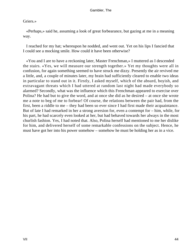## Griers.»

 «Perhaps,» said he, assuming a look of great forbearance, but gazing at me in a meaning way.

 I reached for my hat; whereupon he nodded, and went out. Yet on his lips I fancied that I could see a mocking smile. How could it have been otherwise?

 «You and I are to have a reckoning later, Master Frenchman,» I muttered as I descended the stairs. «Yes, we will measure our strength together.» Yet my thoughts were all in confusion, for again something seemed to have struck me dizzy. Presently the air revived me a little, and, a couple of minutes later, my brain had sufficiently cleared to enable two ideas in particular to stand out in it. Firstly, I asked myself, which of the absurd, boyish, and extravagant threats which I had uttered at random last night had made everybody so alarmed? Secondly, what was the influence which this Frenchman appeared to exercise over Polina? He had but to give the word, and at once she did as he desired – at once she wrote me a note to beg of me to forbear! Of course, the relations between the pair had, from the first, been a riddle to me – they had been so ever since I had first made their acquaintance. But of late I had remarked in her a strong aversion for, even a contempt for – him, while, for his part, he had scarcely even looked at her, but had behaved towards her always in the most churlish fashion. Yes, I had noted that. Also, Polina herself had mentioned to me her dislike for him, and delivered herself of some remarkable confessions on the subject. Hence, he must have got her into his power somehow – somehow he must be holding her as in a vice.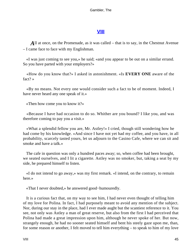# **[VIII](#page-135-0)**

*A*ll at once, on the Promenade, as it was called – that is to say, in the Chestnut Avenue – I came face to face with my Englishman.

 «I was just coming to see you,» he said; «and you appear to be out on a similar errand. So you have parted with your employers?»

 «How do you know that?» I asked in astonishment. «Is **EVERY ONE** aware of the fact? »

 «By no means. Not every one would consider such a fact to be of moment. Indeed, I have never heard any one speak of it.»

«Then how come you to know it?»

 «Because I have had occasion to do so. Whither are you bound? I like you, and was therefore coming to pay you a visit.»

 «What a splendid fellow you are, Mr. Astley!» I cried, though still wondering how he had come by his knowledge. «And since I have not yet had my coffee, and you have, in all probability, scarcely tasted yours, let us adjourn to the Casino Cafe, where we can sit and smoke and have a talk.»

 The cafe in question was only a hundred paces away; so, when coffee had been brought, we seated ourselves, and I lit a cigarette. Astley was no smoker, but, taking a seat by my side, he prepared himself to listen.

 «I do not intend to go away,» was my first remark. «I intend, on the contrary, to remain here.»

«That I never doubted,» he answered good−humouredly.

 It is a curious fact that, on my way to see him, I had never even thought of telling him of my love for Polina. In fact, I had purposely meant to avoid any mention of the subject. Nor, during our stay in the place, had I ever made aught but the scantiest reference to it. You see, not only was Astley a man of great reserve, but also from the first I had perceived that Polina had made a great impression upon him, although he never spoke of her. But now, strangely enough, he had no sooner seated himself and bent his steely gaze upon me, than, for some reason or another, I felt moved to tell him everything – to speak to him of my love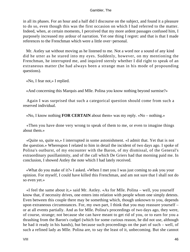in all its phases. For an hour and a half did I discourse on the subject, and found it a pleasure to do so, even though this was the first occasion on which I had referred to the matter. Indeed, when, at certain moments, I perceived that my more ardent passages confused him, I purposely increased my ardour of narration. Yet one thing I regret: and that is that I made references to the Frenchman which were a little over−personal.

 Mr. Astley sat without moving as he listened to me. Not a word nor a sound of any kind did he utter as he stared into my eyes. Suddenly, however, on my mentioning the Frenchman, he interrupted me, and inquired sternly whether I did right to speak of an extraneous matter (he had always been a strange man in his mode of propounding questions).

«No, I fear not,» I replied.

«And concerning this Marquis and Mlle. Polina you know nothing beyond surmise?»

 Again I was surprised that such a categorical question should come from such a reserved individual.

«No, I know nothing **FOR CERTAIN** about them» was my reply. «No – nothing.»

 «Then you have done very wrong to speak of them to me, or even to imagine things about them.»

 «Quite so, quite so,» I interrupted in some astonishment. «I admit that. Yet that is not the question.» Whereupon I related to him in detail the incident of two days ago. I spoke of Polina's outburst, of my encounter with the Baron, of my dismissal, of the General's extraordinary pusillanimity, and of the call which De Griers had that morning paid me. In conclusion, I showed Astley the note which I had lately received.

 «What do you make of it?» I asked. «When I met you I was just coming to ask you your opinion. For myself, I could have killed this Frenchman, and am not sure that I shall not do so even yet.»

 «I feel the same about it,» said Mr. Astley. «As for Mlle. Polina – well, you yourself know that, if necessity drives, one enters into relation with people whom one simply detests. Even between this couple there may be something which, though unknown to you, depends upon extraneous circumstances. For, my own part, I think that you may reassure yourself – or at all events partially. And as for Mlle. Polina's proceedings of two days ago, they were, of course, strange; not because she can have meant to get rid of you, or to earn for you a thrashing from the Baron's cudgel (which for some curious reason, he did not use, although he had it ready in his hands), but because such proceedings on the part of such – well, of such a refined lady as Mlle. Polina are, to say the least of it, unbecoming. But she cannot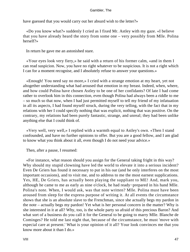have guessed that you would carry out her absurd wish to the letter?»

 «Do you know what?» suddenly I cried as I fixed Mr. Astley with my gaze. «I believe that you have already heard the story from some one – very possibly from Mlle. Polina herself?»

In return he gave me an astonished stare.

 «Your eyes look very fiery,» he said with a return of his former calm, «and in them I can read suspicion. Now, you have no right whatever to be suspicious. It is not a right which I can for a moment recognise, and I absolutely refuse to answer your questions.»

 «Enough! You need say no more,» I cried with a strange emotion at my heart, yet not altogether understanding what had aroused that emotion in my breast. Indeed, when, where, and how could Polina have chosen Astley to be one of her confidants? Of late I had come rather to overlook him in this connection, even though Polina had always been a riddle to me – so much so that now, when I had just permitted myself to tell my friend of my infatuation in all its aspects, I had found myself struck, during the very telling, with the fact that in my relations with her I could specify nothing that was explicit, nothing that was positive. On the contrary, my relations had been purely fantastic, strange, and unreal; they had been unlike anything else that I could think of.

 «Very well, very well,» I replied with a warmth equal to Astley's own. «Then I stand confounded, and have no further opinions to offer. But you are a good fellow, and I am glad to know what you think about it all, even though I do not need your advice.»

Then, after a pause, I resumed:

 «For instance, what reason should you assign for the General taking fright in this way? Why should my stupid clowning have led the world to elevate it into a serious incident? Even De Griers has found it necessary to put in his oar (and he only interferes on the most important occasions), and to visit me, and to address to me the most earnest supplications. Yes, HE, De Griers, has actually been playing the suppliant to ME! And, mark you, although he came to me as early as nine o'clock, he had ready−prepared in his hand Mlle. Polina's note. When, I would ask, was that note written? Mlle. Polina must have been aroused from sleep for the express purpose of writing it. At all events the circumstance shows that she is an absolute slave to the Frenchman, since she actually begs my pardon in the note – actually begs my pardon! Yet what is her personal concern in the matter? Why is she interested in it at all? Why, too, is the whole party so afraid of this precious Baron? And what sort of a business do you call it for the General to be going to marry Mlle. Blanche de Cominges? He told me last night that, because of the circumstance, he must 'move with especial care at present.' What is your opinion of it all? Your look convinces me that you know more about it than I do.»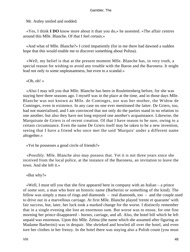Mr. Astley smiled and nodded.

 «Yes, I think **I DO** know more about it than you do,» he assented. «The affair centres around this Mlle. Blanche. Of that I feel certain.»

 «And what of Mlle. Blanche?» I cried impatiently (for in me there had dawned a sudden hope that this would enable me to discover something about Polina).

 «Well, my belief is that at the present moment Mlle. Blanche has, in very truth, a special reason for wishing to avoid any trouble with the Baron and the Baroness. It might lead not only to some unpleasantness, but even to a scandal.»

«Oh, oh! »

 «Also I may tell you that Mlle. Blanche has been in Roulettenberg before, for she was staying here three seasons ago. I myself was in the place at the time, and in those days Mlle. Blanche was not known as Mlle. de Cominges, nor was her mother, the Widow de Cominges, even in existence. In any case no one ever mentioned the latter. De Griers, too, had not materialised, and I am convinced that not only do the parties stand in no relation to one another, but also they have not long enjoyed one another's acquaintance. Likewise, the Marquisate de Griers is of recent creation. Of that I have reason to be sure, owing to a certain circumstance. Even the name De Griers itself may be taken to be a new invention, seeing that I have a friend who once met the said 'Marquis' under a different name altogether.»

«Yet he possesses a good circle of friends?»

 «Possibly. Mlle. Blanche also may possess that. Yet it is not three years since she received from the local police, at the instance of the Baroness, an invitation to leave the town. And she left it.»

«But why?»

 «Well, I must tell you that she first appeared here in company with an Italian – a prince of some sort, a man who bore an historic name (Barberini or something of the kind). The fellow was simply a mass of rings and diamonds – real diamonds, too – and the couple used to drive out in a marvellous carriage. At first Mlle. Blanche played 'trente et quarante' with fair success, but, later, her luck took a marked change for the worse. I distinctly remember that in a single evening she lost an enormous sum. But worse was to ensue, for one fine morning her prince disappeared – horses, carriage, and all. Also, the hotel bill which he left unpaid was enormous. Upon this Mlle. Zelma (the name which she assumed after figuring as Madame Barberini) was in despair. She shrieked and howled all over the hotel, and even tore her clothes in her frenzy. In the hotel there was staying also a Polish count (you must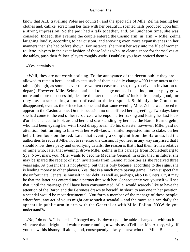know that ALL travelling Poles are counts!), and the spectacle of Mlle. Zelma tearing her clothes and, catlike, scratching her face with her beautiful, scented nails produced upon him a strong impression. So the pair had a talk together, and, by luncheon time, she was consoled. Indeed, that evening the couple entered the Casino arm−in−arm – Mlle. Zelma laughing loudly, according to her custom, and showing even more expansiveness in her manners than she had before shown. For instance, she thrust her way into the file of women roulette−players in the exact fashion of those ladies who, to clear a space for themselves at the tables, push their fellow−players roughly aside. Doubtless you have noticed them?»

## «Yes, certainly.»

 «Well, they are not worth noticing. To the annoyance of the decent public they are allowed to remain here – at all events such of them as daily change 4000 franc notes at the tables (though, as soon as ever these women cease to do so, they receive an invitation to depart). However, Mlle. Zelma continued to change notes of this kind, but her play grew more and more unsuccessful, despite the fact that such ladies' luck is frequently good, for they have a surprising amount of cash at their disposal. Suddenly, the Count too disappeared, even as the Prince had done, and that same evening Mlle. Zelma was forced to appear in the Casino alone. On this occasion no one offered her a greeting. Two days later she had come to the end of her resources; whereupon, after staking and losing her last louis d'or she chanced to look around her, and saw standing by her side the Baron Burmergelm, who had been eyeing her with fixed disapproval. To his distaste, however, Mlle. paid no attention, but, turning to him with her well−known smile, requested him to stake, on her behalf, ten louis on the red. Later that evening a complaint from the Baroness led the authorities to request Mlle. not to re−enter the Casino. If you feel in any way surprised that I should know these petty and unedifying details, the reason is that I had them from a relative of mine who, later that evening, drove Mlle. Zelma in his carriage from Roulettenberg to Spa. Now, mark you, Mlle. wants to become Madame General, in order that, in future, she may be spared the receipt of such invitations from Casino authorities as she received three years ago. At present she is not playing; but that is only because, according to the signs, she is lending money to other players. Yes, that is a much more paying game. I even suspect that the unfortunate General is himself in her debt, as well as, perhaps, also De Griers. Or, it may be that the latter has entered into a partnership with her. Consequently you yourself will see that, until the marriage shall have been consummated, Mlle. would scarcely like to have the attention of the Baron and the Baroness drawn to herself. In short, to any one in her position, a scandal would be most detrimental. You form a member of the menage of these people; wherefore, any act of yours might cause such a scandal – and the more so since daily she appears in public arm in arm with the General or with Mlle. Polina. NOW do you understand?»

 «No, I do not!» I shouted as I banged my fist down upon the table – banged it with such violence that a frightened waiter came running towards us. «Tell me, Mr. Astley, why, if you knew this history all along, and, consequently, always knew who this Mlle. Blanche is,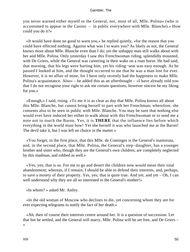you never warned either myself or the General, nor, most of all, Mlle. Polina» (who is accustomed to appear in the Casino – in public everywhere with Mlle. Blanche).« How could you do it?»

 «It would have done no good to warn you,» he replied quietly, «for the reason that you could have effected nothing. Against what was I to warn you? As likely as not, the General knows more about Mlle. Blanche even than I do; yet the unhappy man still walks about with her and Mlle. Polina. Only yesterday I saw this Frenchwoman riding, splendidly mounted, with De Griers, while the General was careering in their wake on a roan horse. He had said, that morning, that his legs were hurting him, yet his riding−seat was easy enough. As he passed I looked at him, and the thought occurred to me that he was a man lost for ever. However, it is no affair of mine, for I have only recently had the happiness to make Mlle. Polina's acquaintance. Also» – he added this as an afterthought – «I have already told you that I do not recognise your right to ask me certain questions, however sincere be my liking for you.»

 «Enough,» I said, rising. «To me it is as clear as day that Mlle. Polina knows all about this Mlle. Blanche, but cannot bring herself to part with her Frenchman; wherefore, she consents also to be seen in public with Mlle. Blanche. You may be sure that nothing else would ever have induced her either to walk about with this Frenchwoman or to send me a note not to touch the Baron. Yes, it is **THERE** that the influence lies before which everything in the world must bow! Yet she herself it was who launched me at the Baron! The devil take it, but I was left no choice in the matter.»

 «You forget, in the first place, that this Mlle. de Cominges is the General's inamorata, and, in the second place, that Mlle. Polina, the General's step−daughter, has a younger brother and sister who, though they are the General's own children, are completely neglected by this madman, and robbed as well.»

 «Yes, yes; that is so. For me to go and desert the children now would mean their total abandonment; whereas, if I remain, I should be able to defend their interests, and, perhaps, to save a moiety of their property. Yes, yes; that is quite true. And yet, and yet – Oh, I can well understand why they are all so interested in the General's mother!»

«In whom? » asked Mr. Astley.

 «In the old woman of Moscow who declines to die, yet concerning whom they are for ever expecting telegrams to notify the fact of her death.»

 «Ah, then of course their interests centre around her. It is a question of succession. Let that but be settled, and the General will marry, Mlle. Polina will be set free, and De Griers – »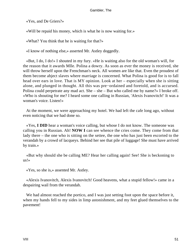«Yes, and De Griers?»

«Will be repaid his money, which is what he is now waiting for.»

«What? You think that he is waiting for that?»

«I know of nothing else,» asserted Mr. Astley doggedly.

 «But, I do, I do!» I shouted in my fury. «He is waiting also for the old woman's will, for the reason that it awards Mlle. Polina a dowry. As soon as ever the money is received, she will throw herself upon the Frenchman's neck. All women are like that. Even the proudest of them become abject slaves where marriage is concerned. What Polina is good for is to fall head over ears in love. That is MY opinion. Look at her – especially when she is sitting alone, and plunged in thought. All this was pre−ordained and foretold, and is accursed. Polina could perpetrate any mad act. She – she – But who called me by name?» I broke off. «Who is shouting for me? I heard some one calling in Russian, 'Alexis Ivanovitch!' It was a woman's voice. Listen!»

 At the moment, we were approaching my hotel. We had left the cafe long ago, without even noticing that we had done so.

 «Yes, **I DID** hear a woman's voice calling, but whose I do not know. The someone was calling you in Russian. Ah! **NOW I** can see whence the cries come. They come from that lady there – the one who is sitting on the settee, the one who has just been escorted to the verandah by a crowd of lacqueys. Behind her see that pile of luggage! She must have arrived by train.»

 «But why should she be calling ME? Hear her calling again! See! She is beckoning to us!»

«Yes, so she is,» assented Mr. Astley.

 «Alexis Ivanovitch, Alexis Ivanovitch! Good heavens, what a stupid fellow!» came in a despairing wail from the verandah.

We had almost reached the portico, and I was just setting foot upon the space before it, when my hands fell to my sides in limp astonishment, and my feet glued themselves to the pavement!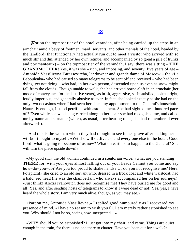## **[IX](#page-135-0)**

*F* or on the topmost tier of the hotel verandah, after being carried up the steps in an armchair amid a bevy of footmen, maid−servants, and other menials of the hotel, headed by the landlord (that functionary had actually run out to meet a visitor who arrived with so much stir and din, attended by her own retinue, and accompanied by so great a pile of trunks and portmanteaux) – on the topmost tier of the verandah, I say, there was sitting – **THE GRANDMOTHER!** Yes, it was she – rich, and imposing, and seventy−five years of age – Antonida Vassilievna Tarassevitcha, landowner and grande dame of Moscow – the «La Baboulenka» who had caused so many telegrams to be sent off and received – who had been dying, yet not dying – who had, in her own person, descended upon us even as snow might fall from the clouds! Though unable to walk, she had arrived borne aloft in an armchair (her mode of conveyance for the last five years), as brisk, aggressive, self−satisfied, bolt−upright, loudly imperious, and generally abusive as ever. In fact, she looked exactly as she had on the only two occasions when I had seen her since my appointment to the General's household. Naturally enough, I stood petrified with astonishment. She had sighted me a hundred paces off! Even while she was being carried along in her chair she had recognised me, and called me by name and surname (which, as usual, after hearing once, she had remembered ever afterwards).

 «And this is the woman whom they had thought to see in her grave after making her will!» I thought to myself. «Yet she will outlive us, and every one else in the hotel. Good Lord! what is going to become of us now? What on earth is to happen to the General? She will turn the place upside down!»

 «My good sir,» the old woman continued in a stentorian voice, «what are you standing **THERE** for, with your eyes almost falling out of your head? Cannot you come and say how−do−you−do? Are you too proud to shake hands? Or do you not recognise me? Here, Potapitch!» she cried to an old servant who, dressed in a frock coat and white waistcoat, had a bald, red head (he was the chamberlain who always accompanied her on her journeys). «Just think! Alexis Ivanovitch does not recognise me! They have buried me for good and all! Yes, and after sending hosts of telegrams to know if I were dead or not! Yes, yes, I have heard the whole story. I am very much alive, though, as you may see.»

 «Pardon me, Antonida Vassilievna,» I replied good humouredly as I recovered my presence of mind. «I have no reason to wish you ill. I am merely rather astonished to see you. Why should I not be so, seeing how unexpected  $-\infty$ 

 «WHY should you be astonished? I just got into my chair, and came. Things are quiet enough in the train, for there is no one there to chatter. Have you been out for a walk?»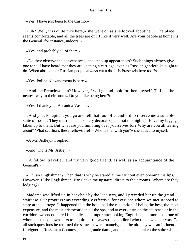«Yes. I have just been to the Casino.»

 «Oh? Well, it is quite nice here,» she went on as she looked about her. «The place seems comfortable, and all the trees are out. I like it very well. Are your people at home? Is the General, for instance, indoors?»

«Yes; and probably all of them.»

 «Do they observe the convenances, and keep up appearances? Such things always give one tone. I have heard that they are keeping a carriage, even as Russian gentlefolks ought to do. When abroad, our Russian people always cut a dash. Is Prascovia here too ?»

«Yes. Polina Alexandrovna is here.»

 «And the Frenchwoman? However, I will go and look for them myself. Tell me the nearest way to their rooms. Do you like being here?»

«Yes, I thank you, Antonida Vassilievna.»

 «And you, Potapitch, you go and tell that fool of a landlord to reserve me a suitable suite of rooms. They must be handsomely decorated, and not too high up. Have my luggage taken up to them. But what are you tumbling over yourselves for? Why are you all tearing about? What scullions these fellows are! – Who is that with you?» she added to myself.

«A Mr. Astley,» I replied.

«And who is Mr. Astley?»

 «A fellow−traveller, and my very good friend, as well as an acquaintance of the General's.»

 «Oh, an Englishman? Then that is why he stared at me without even opening his lips. However, I like Englishmen. Now, take me upstairs, direct to their rooms. Where are they lodging?»

 Madame was lifted up in her chair by the lacqueys, and I preceded her up the grand staircase. Our progress was exceedingly effective, for everyone whom we met stopped to stare at the cortege. It happened that the hotel had the reputation of being the best, the most expensive, and the most aristocratic in all the spa, and at every turn on the staircase or in the corridors we encountered fine ladies and important−looking Englishmen – more than one of whom hastened downstairs to inquire of the awestruck landlord who the newcomer was. To all such questions he returned the same answer – namely, that the old lady was an influential foreigner, a Russian, a Countess, and a grande dame, and that she had taken the suite which,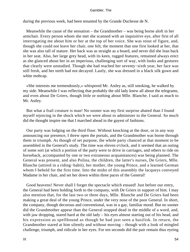during the previous week, had been tenanted by the Grande Duchesse de N.

 Meanwhile the cause of the sensation – the Grandmother – was being borne aloft in her armchair. Every person whom she met she scanned with an inquisitive eye, after first of all interrogating me about him or her at the top of her voice. She was stout of figure, and, though she could not leave her chair, one felt, the moment that one first looked at her, that she was also tall of stature. Her back was as straight as a board, and never did she lean back in her seat. Also, her large grey head, with its keen, rugged features, remained always erect as she glanced about her in an imperious, challenging sort of way, with looks and gestures that clearly were unstudied. Though she had reached her seventy−sixth year, her face was still fresh, and her teeth had not decayed. Lastly, she was dressed in a black silk gown and white mobcap.

 «She interests me tremendously,» whispered Mr. Astley as, still smoking, he walked by my side. Meanwhile I was reflecting that probably the old lady knew all about the telegrams, and even about De Griers, though little or nothing about Mlle. Blanche. I said as much to Mr. Astley.

 But what a frail creature is man! No sooner was my first surprise abated than I found myself rejoicing in the shock which we were about to administer to the General. So much did the thought inspire me that I marched ahead in the gayest of fashions.

 Our party was lodging on the third floor. Without knocking at the door, or in any way announcing our presence, I threw open the portals, and the Grandmother was borne through them in triumph. As though of set purpose, the whole party chanced at that moment to be assembled in the General's study. The time was eleven o'clock, and it seemed that an outing of some sort (at which a portion of the party were to drive in carriages, and others to ride on horseback, accompanied by one or two extraneous acquaintances) was being planned. The General was present, and also Polina, the children, the latter's nurses, De Griers, Mlle. Blanche (attired in a riding−habit), her mother, the young Prince, and a learned German whom I beheld for the first time. Into the midst of this assembly the lacqueys conveyed Madame in her chair, and set her down within three paces of the General!

 Good heavens! Never shall I forget the spectacle which ensued! Just before our entry, the General had been holding forth to the company, with De Griers in support of him. I may also mention that, for the last two or three days, Mlle. Blanche and De Griers had been making a great deal of the young Prince, under the very nose of the poor General. In short, the company, though decorous and conventional, was in a gay, familiar mood. But no sooner did the Grandmother appear than the General stopped dead in the middle of a word, and, with jaw dropping, stared hard at the old lady – his eyes almost starting out of his head, and his expression as spellbound as though he had just seen a basilisk. In return, the Grandmother stared at him silently and without moving – though with a look of mingled challenge, triumph, and ridicule in her eyes. For ten seconds did the pair remain thus eyeing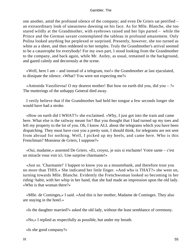one another, amid the profound silence of the company; and even De Griers sat petrified – an extraordinary look of uneasiness dawning on his face. As for Mlle. Blanche, she too stared wildly at the Grandmother, with eyebrows raised and her lips parted – while the Prince and the German savant contemplated the tableau in profound amazement. Only Polina looked anything but perplexed or surprised. Presently, however, she too turned as white as a sheet, and then reddened to her temples. Truly the Grandmother's arrival seemed to be a catastrophe for everybody! For my own part, I stood looking from the Grandmother to the company, and back again, while Mr. Astley, as usual, remained in the background, and gazed calmly and decorously at the scene.

 «Well, here I am – and instead of a telegram, too!» the Grandmother at last ejaculated, to dissipate the silence. «What? You were not expecting me?»

«Antonida Vassilievna! O my dearest mother! But how on earth did you, did you –  $?$ » The mutterings of the unhappy General died away.

 I verily believe that if the Grandmother had held her tongue a few seconds longer she would have had a stroke.

 «How on earth did I WHAT?» she exclaimed. «Why, I just got into the train and came here. What else is the railway meant for? But you thought that I had turned up my toes and left my property to the lot of you. Oh, I know ALL about the telegrams which you have been dispatching. They must have cost you a pretty sum, I should think, for telegrams are not sent from abroad for nothing. Well, I picked up my heels, and came here. Who is this Frenchman? Monsieur de Griers, I suppose?»

 «Oui, madame,» assented De Griers. «Et, croyez, je suis si enchante! Votre sante – c'est un miracle vous voir ici. Une surprise charmante!»

 «Just so. 'Charmante!' I happen to know you as a mountebank, and therefore trust you no more than THIS.» She indicated her little finger. «And who is THAT?» she went on, turning towards Mlle. Blanche. Evidently the Frenchwoman looked so becoming in her riding−habit, with her whip in her hand, that she had made an impression upon the old lady. «Who is that woman there?»

 «Mlle. de Cominges,» I said. «And this is her mother, Madame de Cominges. They also are staying in the hotel.»

«Is the daughter married?» asked the old lady, without the least semblance of ceremony.

«No,» I replied as respectfully as possible, but under my breath.

«Is she good company?»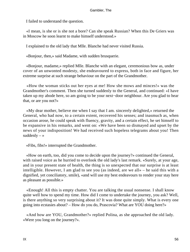I failed to understand the question.

 «I mean, is she or is she not a bore? Can she speak Russian? When this De Griers was in Moscow he soon learnt to make himself understood.»

I explained to the old lady that Mlle. Blanche had never visited Russia.

«Bonjour, then,» said Madame, with sudden brusquerie.

 «Bonjour, madame,» replied Mlle. Blanche with an elegant, ceremonious bow as, under cover of an unwonted modesty, she endeavoured to express, both in face and figure, her extreme surprise at such strange behaviour on the part of the Grandmother.

 «How the woman sticks out her eyes at me! How she mows and minces!» was the Grandmother's comment. Then she turned suddenly to the General, and continued: «I have taken up my abode here, so am going to be your next−door neighbour. Are you glad to hear that, or are you not?»

 «My dear mother, believe me when I say that I am. sincerely delighted,» returned the General, who had now, to a certain extent, recovered his senses; and inasmuch as, when occasion arose, he could speak with fluency, gravity, and a certain effect, he set himself to be expansive in his remarks, and went on: «We have been so dismayed and upset by the news of your indisposition! We had received such hopeless telegrams about you! Then suddenly  $-\infty$ 

«Fibs, fibs!» interrupted the Grandmother.

 «How on earth, too, did you come to decide upon the journey?» continued the General, with raised voice as he hurried to overlook the old lady's last remark. «Surely, at your age, and in your present state of health, the thing is so unexpected that our surprise is at least intelligible. However, I am glad to see you (as indeed, are we all» – he said this with a dignified, yet conciliatory, smile), «and will use my best endeavours to render your stay here as pleasant as possible.»

 «Enough! All this is empty chatter. You are talking the usual nonsense. I shall know quite well how to spend my time. How did I come to undertake the journey, you ask? Well, is there anything so very surprising about it? It was done quite simply. What is every one going into ecstasies about? – How do you do, Prascovia? What are YOU doing here?»

 «And how are YOU, Grandmother?» replied Polina, as she approached the old lady. «Were you long on the journey?».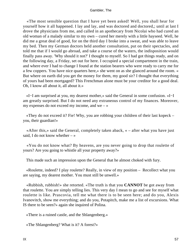«The most sensible question that I have yet been asked! Well, you shall hear for yourself how it all happened. I lay and lay, and was doctored and doctored,; until at last I drove the physicians from me, and called in an apothecary from Nicolai who had cured an old woman of a malady similar to my own – cured her merely with a little hayseed. Well, he did me a great deal of good, for on the third day I broke into a sweat, and was able to leave my bed. Then my German doctors held another consultation, put on their spectacles, and told me that if I would go abroad, and take a course of the waters, the indisposition would finally pass away. 'Why should it not?' I thought to myself. So I had got things ready, and on the following day, a Friday, set out for here. I occupied a special compartment in the train, and where ever I had to change I found at the station bearers who were ready to carry me for a few coppers. You have nice quarters here,» she went on as she glanced around the room. « But where on earth did you get the money for them, my good sir? I thought that everything of yours had been mortgaged? This Frenchman alone must be your creditor for a good deal. Oh, I know all about it, all about it.»

 «I−I am surprised at you, my dearest mother,» said the General in some confusion. «I−I am greatly surprised. But I do not need any extraneous control of my finances. Moreover, my expenses do not exceed my income, and we  $-\infty$ 

 «They do not exceed it? Fie! Why, you are robbing your children of their last kopeck – you, their guardian!»

 «After this,» said the General, completely taken aback, « – after what you have just said. I do not know whether  $-\infty$ 

 «You do not know what? By heavens, are you never going to drop that roulette of yours? Are you going to whistle all your property away?»

This made such an impression upon the General that he almost choked with fury.

 «Roulette, indeed? I play roulette? Really, in view of my position – Recollect what you are saying, my dearest mother. You must still be unwell.»

 «Rubbish, rubbish!» she retorted. «The truth is that you **CANNOT** be got away from that roulette. You are simply telling lies. This very day I mean to go and see for myself what roulette is like. Prascovia, tell me what there is to be seen here; and do you, Alexis Ivanovitch, show me everything; and do you, Potapitch, make me a list of excursions. What IS there to be seen?» again she inquired of Polina.

«There is a ruined castle, and the Shlangenberg.»

«The Shlangenberg? What is it? A forest?»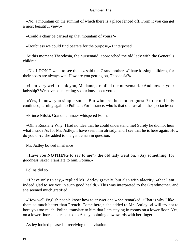«No, a mountain on the summit of which there is a place fenced off. From it you can get a most beautiful view.»

«Could a chair be carried up that mountain of yours?»

«Doubtless we could find bearers for the purpose,» I interposed.

 At this moment Theodosia, the nursemaid, approached the old lady with the General's children.

 «No, I DON'T want to see them,» said the Grandmother. «I hate kissing children, for their noses are always wet. How are you getting on, Theodosia?»

 «I am very well, thank you, Madame,» replied the nursemaid. «And how is your ladyship? We have been feeling so anxious about you!»

 $\langle$  Yes, I know, you simple soul – But who are those other guests?» the old lady continued, turning again to Polina. «For instance, who is that old rascal in the spectacles?»

«Prince Nilski, Grandmamma,» whispered Polina.

 «Oh, a Russian? Why, I had no idea that he could understand me! Surely he did not hear what I said? As for Mr. Astley, I have seen him already, and I see that he is here again. How do you do?» she added to the gentleman in question.

Mr. Astley bowed in silence

 «Have you **NOTHING** to say to me?» the old lady went on. «Say something, for goodness' sake! Translate to him, Polina.»

Polina did so.

 «I have only to say,» replied Mr. Astley gravely, but also with alacrity, «that I am indeed glad to see you in such good health.» This was interpreted to the Grandmother, and she seemed much gratified.

 «How well English people know how to answer one!» she remarked. «That is why I like them so much better than French. Come here,» she added to Mr. Astley. «I will try not to bore you too much. Polina, translate to him that I am staying in rooms on a lower floor. Yes, on a lower floor,» she repeated to Astley, pointing downwards with her finger.

Astley looked pleased at receiving the invitation.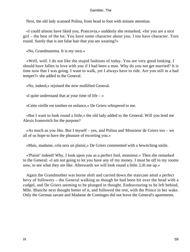Next, the old lady scanned Polina, from head to foot with minute attention.

 «I could almost have liked you, Prascovia,» suddenly she remarked, «for you are a nice girl – the best of the lot. You have some character about you. I too have character. Turn round. Surely that is not false hair that you are wearing?»

«No, Grandmamma. It is my own.»

 «Well, well. I do not like the stupid fashions of today. You are very good looking. I should have fallen in love with you if I had been a man. Why do you not get married? It is time now that I was going. I want to walk, yet I always have to ride. Are you still in a bad temper?» she added to the General.

«No, indeed,» rejoined the now mollified General.

«I quite understand that at your time of life  $-\infty$ 

«Cette vieille est tombee en enfance,» De Griers whispered to me.

 «But I want to look round a little,» the old lady added to the General. Will you lend me Alexis Ivanovitch for the purpose?

 «As much as you like. But I myself – yes, and Polina and Monsieur de Griers too – we all of us hope to have the pleasure of escorting you.»

«Mais, madame, cela sera un plaisir,» De Griers commented with a bewitching smile.

 «'Plaisir' indeed! Why, I look upon you as a perfect fool, monsieur.» Then she remarked to the General: «I am not going to let you have any of my money. I must be off to my rooms now, to see what they are like. Afterwards we will look round a little. Lift me up.»

 Again the Grandmother was borne aloft and carried down the staircase amid a perfect bevy of followers – the General walking as though he had been hit over the head with a cudgel, and De Griers seeming to be plunged in thought. Endeavouring to be left behind, Mlle. Blanche next thought better of it, and followed the rest, with the Prince in her wake. Only the German savant and Madame de Cominges did not leave the General's apartments.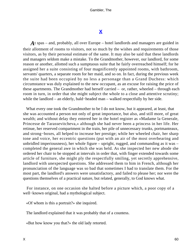# **[X](#page-135-0)**

*A*t spas – and, probably, all over Europe – hotel landlords and managers are guided in their allotment of rooms to visitors, not so much by the wishes and requirements of those visitors, as by their personal estimate of the same. It may also be said that these landlords and managers seldom make a mistake. To the Grandmother, however, our landlord, for some reason or another, allotted such a sumptuous suite that he fairly overreached himself; for he assigned her a suite consisting of four magnificently appointed rooms, with bathroom, servants' quarters, a separate room for her maid, and so on. In fact, during the previous week the suite had been occupied by no less a personage than a Grand Duchess: which circumstance was duly explained to the new occupant, as an excuse for raising the price of these apartments. The Grandmother had herself carried – or, rather, wheeled – through each room in turn, in order that she might subject the whole to a close and attentive scrutiny; while the landlord – an elderly, bald−headed man – walked respectfully by her side.

 What every one took the Grandmother to be I do not know, but it appeared, at least, that she was accounted a person not only of great importance, but also, and still more, of great wealth; and without delay they entered her in the hotel register as «Madame la Generale, Princesse de Tarassevitcheva,» although she had never been a princess in her life. Her retinue, her reserved compartment in the train, her pile of unnecessary trunks, portmanteaux, and strong−boxes, all helped to increase her prestige; while her wheeled chair, her sharp tone and voice, her eccentric questions (put with an air of the most overbearing and unbridled imperiousness), her whole figure – upright, rugged, and commanding as it was – completed the general awe in which she was held. As she inspected her new abode she ordered her chair to be stopped at intervals in order that, with finger extended towards some article of furniture, she might ply the respectfully smiling, yet secretly apprehensive, landlord with unexpected questions. She addressed them to him in French, although her pronunciation of the language was so bad that sometimes I had to translate them. For the most part, the landlord's answers were unsatisfactory, and failed to please her; nor were the questions themselves of a practical nature, but related, generally, to God knows what.

 For instance, on one occasion she halted before a picture which, a poor copy of a well−known original, had a mythological subject.

«Of whom is this a portrait?» she inquired.

The landlord explained that it was probably that of a countess.

«But how know you that?» the old lady retorted.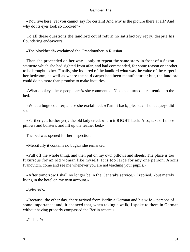«You live here, yet you cannot say for certain! And why is the picture there at all? And why do its eyes look so crooked?»

 To all these questions the landlord could return no satisfactory reply, despite his floundering endeavours.

«The blockhead!» exclaimed the Grandmother in Russian.

 Then she proceeded on her way – only to repeat the same story in front of a Saxon statuette which she had sighted from afar, and had commanded, for some reason or another, to be brought to her. Finally, she inquired of the landlord what was the value of the carpet in her bedroom, as well as where the said carpet had been manufactured; but, the landlord could do no more than promise to make inquiries.

 «What donkeys these people are!» she commented. Next, she turned her attention to the bed.

 «What a huge counterpane!» she exclaimed. «Turn it back, please.» The lacqueys did so.

 «Further yet, further yet,» the old lady cried. «Turn it **RIGHT** back. Also, take off those pillows and bolsters, and lift up the feather bed.»

The bed was opened for her inspection.

«Mercifully it contains no bugs,» she remarked.

 «Pull off the whole thing, and then put on my own pillows and sheets. The place is too luxurious for an old woman like myself. It is too large for any one person. Alexis Ivanovitch, come and see me whenever you are not teaching your pupils,»

 «After tomorrow I shall no longer be in the General's service,» I replied, «but merely living in the hotel on my own account.»

«Why so?»

 «Because, the other day, there arrived from Berlin a German and his wife – persons of some importance; and, it chanced that, when taking a walk, I spoke to them in German without having properly compassed the Berlin accent.»

«Indeed?»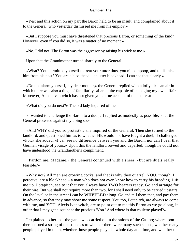«Yes: and this action on my part the Baron held to be an insult, and complained about it to the General, who yesterday dismissed me from his employ.»

 «But I suppose you must have threatened that precious Baron, or something of the kind? However, even if you did so, it was a matter of no moment.»

«No, I did not. The Baron was the aggressor by raising his stick at me.»

Upon that the Grandmother turned sharply to the General.

 «What? You permitted yourself to treat your tutor thus, you nincompoop, and to dismiss him from his post? You are a blockhead – an utter blockhead! I can see that clearly.»

 «Do not alarm yourself, my dear mother,» the General replied with a lofty air – an air in which there was also a tinge of familiarity. «I am quite capable of managing my own affairs. Moreover, Alexis Ivanovitch has not given you a true account of the matter.»

«What did you do next?» The old lady inquired of me.

 «I wanted to challenge the Baron to a duel,» I replied as modestly as possible; «but the General protested against my doing so.»

 «And WHY did you so protest? » she inquired of the General. Then she turned to the landlord, and questioned him as to whether HE would not have fought a duel, if challenged. «For,» she added, «I can see no difference between you and the Baron; nor can I bear that German visage of yours.» Upon this the landlord bowed and departed, though he could not have understood the Grandmother's compliment.

 «Pardon me, Madame,» the General continued with a sneer, «but are duels really feasible?»

 «Why not? All men are crowing cocks, and that is why they quarrel. YOU, though, I perceive, are a blockhead – a man who does not even know how to carry his breeding. Lift me up. Potapitch, see to it that you always have TWO bearers ready. Go and arrange for their hire. But we shall not require more than two, for I shall need only to be carried upstairs. On the level or in the street I can be **WHEELED** along. Go and tell them that, and pay them in advance, so that they may show me some respect. You too, Potapitch, are always to come with me, and YOU, Alexis Ivanovitch, are to point out to me this Baron as we go along, in order that I may get a squint at the precious 'Von.' And where is that roulette played?»

 I explained to her that the game was carried on in the salons of the Casino; whereupon there ensued a string of questions as to whether there were many such salons, whether many people played in them, whether those people played a whole day at a time, and whether the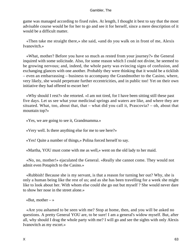game was managed according to fixed rules. At length, I thought it best to say that the most advisable course would be for her to go and see it for herself, since a mere description of it would be a difficult matter.

 «Then take me straight there,» she said, «and do you walk on in front of me, Alexis Ivanovitch.»

 «What, mother? Before you have so much as rested from your journey?» the General inquired with some solicitude. Also, for some reason which I could not divine, he seemed to be growing nervous; and, indeed, the whole party was evincing signs of confusion, and exchanging glances with one another. Probably they were thinking that it would be a ticklish – even an embarrassing – business to accompany the Grandmother to the Casino, where, very likely, she would perpetrate further eccentricities, and in public too! Yet on their own initiative they had offered to escort her!

 «Why should I rest?» she retorted. «I am not tired, for I have been sitting still these past five days. Let us see what your medicinal springs and waters are like, and where they are situated. What, too, about that, that – what did you call it, Prascovia? – oh, about that mountain top?»

«Yes, we are going to see it, Grandmamma.»

«Very well. Is there anything else for me to see here?»

«Yes! Quite a number of things,» Polina forced herself to say.

«Martha, YOU must come with me as well,» went on the old lady to her maid.

 «No, no, mother!» ejaculated the General. «Really she cannot come. They would not admit even Potapitch to the Casino.»

 «Rubbish! Because she is my servant, is that a reason for turning her out? Why, she is only a human being like the rest of us; and as she has been travelling for a week she might like to look about her. With whom else could she go out but myself ? She would never dare to show her nose in the street alone.»

«But, mother  $-\infty$ 

 «Are you ashamed to be seen with me? Stop at home, then, and you will be asked no questions. A pretty General YOU are, to be sure! I am a general's widow myself. But, after all, why should I drag the whole party with me? I will go and see the sights with only Alexis Ivanovitch as my escort.»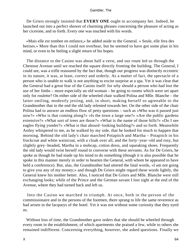De Griers strongly insisted that **EVERY ONE** ought to accompany her. Indeed, he launched out into a perfect shower of charming phrases concerning the pleasure of acting as her cicerone, and so forth. Every one was touched with his words.

 «Mais elle est tombee en enfance,» he added aside to the General. « Seule, elle fera des betises.» More than this I could not overhear, but he seemed to have got some plan in his mind, or even to be feeling a slight return of his hopes.

 The distance to the Casino was about half a verst, and our route led us through the Chestnut Avenue until we reached the square directly fronting the building. The General, I could see, was a trifle reassured by the fact that, though our progress was distinctly eccentric in its nature, it was, at least, correct and orderly. As a matter of fact, the spectacle of a person who is unable to walk is not anything to excite surprise at a spa. Yet it was clear that the General had a great fear of the Casino itself: for why should a person who had lost the use of her limbs – more especially an old woman – be going to rooms which were set apart only for roulette? On either side of the wheeled chair walked Polina and Mlle. Blanche – the latter smiling, modestly jesting, and, in short, making herself so agreeable to the Grandmother that in the end the old lady relented towards her. On the other side of the chair Polina had to answer an endless flow of petty questions – such as «Who was it passed just now?» «Who is that coming along?» «Is the town a large one?» «Are the public gardens extensive?» «What sort of trees are those?» «What is the name of those hills?» «Do I see eagles flying yonder?» «What is that absurd−looking building?» and so forth. Meanwhile Astley whispered to me, as he walked by my side, that he looked for much to happen that morning. Behind the old lady's chair marched Potapitch and Martha – Potapitch in his frockcoat and white waistcoat, with a cloak over all, and the forty−year−old and rosy, but slightly grey−headed, Martha in a mobcap, cotton dress, and squeaking shoes. Frequently the old lady would twist herself round to converse with these servants. As for De Griers, he spoke as though he had made up his mind to do something (though it is also possible that he spoke in this manner merely in order to hearten the General, with whom he appeared to have held a conference). But, alas, the Grandmother had uttered the fatal words, «I am not going to give you any of my money;» and though De Griers might regard these words lightly, the General knew his mother better. Also, I noticed that De Griers and Mlle. Blanche were still exchanging looks; while of the Prince and the German savant I lost sight at the end of the Avenue, where they had turned back and left us.

 Into the Casino we marched in triumph. At once, both in the person of the commissionaire and in the persons of the footmen, there sprang to life the same reverence as had arisen in the lacqueys of the hotel. Yet it was not without some curiosity that they eyed us.

 Without loss of time, the Grandmother gave orders that she should be wheeled through every room in the establishment; of which apartments she praised a few, while to others she remained indifferent. Concerning everything, however, she asked questions. Finally we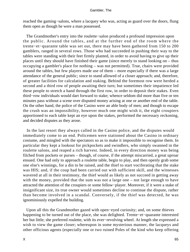reached the gaming−salons, where a lacquey who was, acting as guard over the doors, flung them open as though he were a man possessed.

 The Grandmother's entry into the roulette−salon produced a profound impression upon the public. Around the tables, and at the further end of the room where the trente−et−quarante table was set out, there may have been gathered from 150 to 200 gamblers, ranged in several rows. Those who had succeeded in pushing their way to the tables were standing with their feet firmly planted, in order to avoid having to give up their places until they should have finished their game (since merely to stand looking on – thus occupying a gambler's place for nothing – was not permitted). True, chairs were provided around the tables, but few players made use of them – more especially if there was a large attendance of the general public; since to stand allowed of a closer approach; and, therefore, of greater facilities for calculation and staking. Behind the foremost row were herded a second and a third row of people awaiting their turn; but sometimes their impatience led these people to stretch a hand through the first row, in order to deposit their stakes. Even third−row individuals would dart forward to stake; whence seldom did more than five or ten minutes pass without a scene over disputed money arising at one or another end of the table. On the other hand, the police of the Casino were an able body of men; and though to escape the crush was an impossibility, however much one might wish it, the eight croupiers apportioned to each table kept an eye upon the stakes, performed the necessary reckoning, and decided disputes as they arose.

 In the last resort they always called in the Casino police, and the disputes would immediately come to an end. Policemen were stationed about the Casino in ordinary costume, and mingled with the spectators so as to make it impossible to recognise them. In particular they kept a lookout for pickpockets and swindlers, who simply swanned in the roulette salons, and reaped a rich harvest. Indeed, in every direction money was being filched from pockets or purses – though, of course, if the attempt miscarried, a great uproar ensued. One had only to approach a roulette table, begin to play, and then openly grab some one else's winnings, for a din to be raised, and the thief to start vociferating that the stake was HIS; and, if the coup had been carried out with sufficient skill, and the witnesses wavered at all in their testimony, the thief would as likely as not succeed in getting away with the money, provided that the sum was not a large one – not large enough to have attracted the attention of the croupiers or some fellow−player. Moreover, if it were a stake of insignificant size, its true owner would sometimes decline to continue the dispute, rather than become involved in a scandal. Conversely, if the thief was detected, he was ignominiously expelled the building.

 Upon all this the Grandmother gazed with open−eyed curiosity; and, on some thieves happening to be turned out of the place, she was delighted. Trente−et−quarante interested her but little; she preferred roulette, with its ever−revolving wheel. At length she expressed a wish to view the game closer; whereupon in some mysterious manner, the lacqueys and other officious agents (especially one or two ruined Poles of the kind who keep offering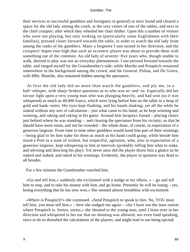their services to successful gamblers and foreigners in general) at once found and cleared a space for the old lady among the crush, at the very centre of one of the tables, and next to the chief croupier; after which they wheeled her chair thither. Upon this a number of visitors who were not playing, but only looking on (particularly some Englishmen with their families), pressed closer forward towards the table, in order to watch the old lady from among the ranks of the gamblers. Many a lorgnette I saw turned in her direction, and the croupiers' hopes rose high that such an eccentric player was about to provide them with something out of the common. An old lady of seventy−five years who, though unable to walk, desired to play was not an everyday phenomenon. I too pressed forward towards the table, and ranged myself by the Grandmother's side; while Martha and Potapitch remained somewhere in the background among the crowd, and the General, Polina, and De Griers, with Mlle. Blanche, also remained hidden among the spectators.

 At first the old lady did no more than watch the gamblers, and ply me, in a half−whisper, with sharp−broken questions as to who was so−and−so. Especially did her favour light upon a very young man who was plunging heavily, and had won (so it was whispered) as much as 40,000 francs, which were lying before him on the table in a heap of gold and bank−notes. His eyes kept flashing, and his hands shaking; yet all the while he staked without any sort of calculation – just what came to his hand, as he kept winning and winning, and raking and raking in his gains. Around him lacqueys fussed – placing chairs just behind where he was standing – and clearing the spectators from his vicinity, so that he should have more room, and not be crowded – the whole done, of course, in expectation of a generous largesse. From time to time other gamblers would hand him part of their winnings – being glad to let him stake for them as much as his hand could grasp; while beside him stood a Pole in a state of violent, but respectful, agitation, who, also in expectation of a generous largesse, kept whispering to him at intervals (probably telling him what to stake, and advising and directing his play). Yet never once did the player throw him a glance as he staked and staked, and raked in his winnings. Evidently, the player in question was dead to all besides.

For a few minutes the Grandmother watched him.

 «Go and tell him,» suddenly she exclaimed with a nudge at my elbow, « – go and tell him to stop, and to take his money with him, and go home. Presently he will be losing – yes, losing everything that he has now won.» She seemed almost breathless with excitement.

 «Where is Potapitch?» she continued. «Send Potapitch to speak to him. No, YOU must tell him, you must tell him,» – here she nudged me again – «for I have not the least notion where Potapitch is. Sortez, sortez,» she shouted to the young man, until I leant over in her direction and whispered in her ear that no shouting was allowed, nor even loud speaking, since to do so disturbed the calculations of the players, and might lead to our being ejected.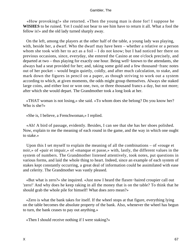«How provoking!» she retorted. «Then the young man is done for! I suppose he **WISHES** to be ruined. Yet I could not bear to see him have to return it all. What a fool the fellow is!» and the old lady turned sharply away.

 On the left, among the players at the other half of the table, a young lady was playing, with, beside her, a dwarf. Who the dwarf may have been – whether a relative or a person whom she took with her to act as a foil – I do not know; but I had noticed her there on previous occasions, since, everyday, she entered the Casino at one o'clock precisely, and departed at two – thus playing for exactly one hour. Being well−known to the attendants, she always had a seat provided for her; and, taking some gold and a few thousand−franc notes out of her pocket – would begin quietly, coldly, and after much calculation, to stake, and mark down the figures in pencil on a paper, as though striving to work out a system according to which, at given moments, the odds might group themselves. Always she staked large coins, and either lost or won one, two, or three thousand francs a day, but not more; after which she would depart. The Grandmother took a long look at her.

 «THAT woman is not losing,» she said. «To whom does she belong? Do you know her? Who is she?»

«She is, I believe, a Frenchwoman,» I replied.

 «Ah! A bird of passage, evidently. Besides, I can see that she has her shoes polished. Now, explain to me the meaning of each round in the game, and the way in which one ought to stake.»

 Upon this I set myself to explain the meaning of all the combinations – of «rouge et noir,» of «pair et impair,» of «manque et passe,» with, lastly, the different values in the system of numbers. The Grandmother listened attentively, took notes, put questions in various forms, and laid the whole thing to heart. Indeed, since an example of each system of stakes kept constantly occurring, a great deal of information could be assimilated with ease and celerity. The Grandmother was vastly pleased.

 «But what is zero?» she inquired. «Just now I heard the flaxen−haired croupier call out 'zero!' And why does he keep raking in all the money that is on the table? To think that he should grab the whole pile for himself! What does zero mean?»

 «Zero is what the bank takes for itself. If the wheel stops at that figure, everything lying on the table becomes the absolute property of the bank. Also, whenever the wheel has begun to turn, the bank ceases to pay out anything.»

«Then I should receive nothing if I were staking?»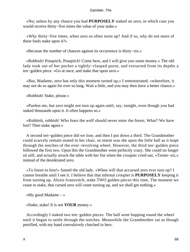«No; unless by any chance you had **PURPOSELY** staked on zero; in which case you would receive thirty−five times the value of your stake.»

 «Why thirty−five times, when zero so often turns up? And if so, why do not more of these fools stake upon it?»

«Because the number of chances against its occurrence is thirty−six.»

 «Rubbish! Potapitch, Potapitch! Come here, and I will give you some money.» The old lady took out of her pocket a tightly−clasped purse, and extracted from its depths a ten−gulden piece. «Go at once, and stake that upon zero.»

 «But, Madame, zero has only this moment turned up,» I remonstrated; «wherefore, it may not do so again for ever so long. Wait a little, and you may then have a better chance.»

«Rubbish! Stake, please.»

 «Pardon me, but zero might not turn up again until, say, tonight, even though you had staked thousands upon it. It often happens so.»

 «Rubbish, rubbish! Who fears the wolf should never enter the forest. What? We have lost? Then stake again.»

 A second ten−gulden piece did we lose, and then I put down a third. The Grandmother could scarcely remain seated in her chair, so intent was she upon the little ball as it leapt through the notches of the ever−revolving wheel. However, the third ten−gulden piece followed the first two. Upon this the Grandmother went perfectly crazy. She could no longer sit still, and actually struck the table with her fist when the croupier cried out, «Trente−six,» instead of the desiderated zero.

 «To listen to him!» fumed the old lady. «When will that accursed zero ever turn up? I cannot breathe until I see it. I believe that that infernal croupier is **PURPOSELY** keeping it from turning up. Alexis Ivanovitch, stake TWO golden pieces this time. The moment we cease to stake, that cursed zero will come turning up, and we shall get nothing.»

«My good Madame  $-\infty$ 

«Stake, stake! It is not **YOUR** money.»

 Accordingly I staked two ten−gulden pieces. The ball went hopping round the wheel until it began to settle through the notches. Meanwhile the Grandmother sat as though petrified, with my hand convulsively clutched in hers.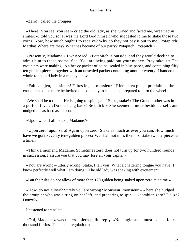«Zero!» called the croupier.

 «There! You see, you see!» cried the old lady, as she turned and faced me, wreathed in smiles. «I told you so! It was the Lord God himself who suggested to me to stake those two coins. Now, how much ought I to receive? Why do they not pay it out to me? Potapitch! Martha! Where are they? What has become of our party? Potapitch, Potapitch!»

 «Presently, Madame,» I whispered. «Potapitch is outside, and they would decline to admit him to these rooms. See! You are being paid out your money. Pray take it.» The croupiers were making up a heavy packet of coins, sealed in blue paper, and containing fifty ten gulden pieces, together with an unsealed packet containing another twenty. I handed the whole to the old lady in a money−shovel.

 «Faites le jeu, messieurs! Faites le jeu, messieurs! Rien ne va plus,» proclaimed the croupier as once more he invited the company to stake, and prepared to turn the wheel.

 «We shall be too late! He is going to spin again! Stake, stake!» The Grandmother was in a perfect fever. «Do not hang back! Be quick!» She seemed almost beside herself, and nudged me as hard as she could.

«Upon what shall I stake, Madame?»

 «Upon zero, upon zero! Again upon zero! Stake as much as ever you can. How much have we got? Seventy ten−gulden pieces? We shall not miss them, so stake twenty pieces at a time.»

 «Think a moment, Madame. Sometimes zero does not turn up for two hundred rounds in succession. I assure you that you may lose all your capital.»

 «You are wrong – utterly wrong. Stake, I tell you! What a chattering tongue you have! I know perfectly well what I am doing.» The old lady was shaking with excitement.

«But the rules do not allow of more than 120 gulden being staked upon zero at a time.»

 «How 'do not allow'? Surely you are wrong? Monsieur, monsieur – » here she nudged the croupier who was sitting on her left, and preparing to spin – «combien zero? Douze? Douze?»

I hastened to translate.

 «Oui, Madame,» was the croupier's polite reply. «No single stake must exceed four thousand florins. That is the regulation.»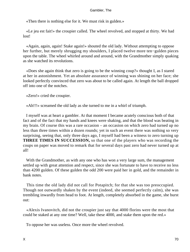«Then there is nothing else for it. We must risk in gulden.»

 «Le jeu est fait!» the croupier called. The wheel revolved, and stopped at thirty. We had lost!

 «Again, again, again! Stake again!» shouted the old lady. Without attempting to oppose her further, but merely shrugging my shoulders, I placed twelve more ten−gulden pieces upon the table. The wheel whirled around and around, with the Grandmother simply quaking as she watched its revolutions.

 «Does she again think that zero is going to be the winning coup?» thought I, as I stared at her in astonishment. Yet an absolute assurance of winning was shining on her face; she looked perfectly convinced that zero was about to be called again. At length the ball dropped off into one of the notches.

«Zero!» cried the croupier.

«Ah!!!» screamed the old lady as she turned to me in a whirl of triumph.

 I myself was at heart a gambler. At that moment I became acutely conscious both of that fact and of the fact that my hands and knees were shaking, and that the blood was beating in my brain. Of course this was a rare occasion – an occasion on which zero had turned up no less than three times within a dozen rounds; yet in such an event there was nothing so very surprising, seeing that, only three days ago, I myself had been a witness to zero turning up **THREE TIMES IN SUCCESSION,** so that one of the players who was recording the coups on paper was moved to remark that for several days past zero had never turned up at all!

With the Grandmother, as with any one who has won a very large sum, the management settled up with great attention and respect, since she was fortunate to have to receive no less than 4200 gulden. Of these gulden the odd 200 were paid her in gold, and the remainder in bank notes.

 This time the old lady did not call for Potapitch; for that she was too preoccupied. Though not outwardly shaken by the event (indeed, she seemed perfectly calm), she was trembling inwardly from head to foot. At length, completely absorbed in the game, she burst out:

 «Alexis Ivanovitch, did not the croupier just say that 4000 florins were the most that could be staked at any one time? Well, take these 4000, and stake them upon the red.»

To oppose her was useless. Once more the wheel revolved.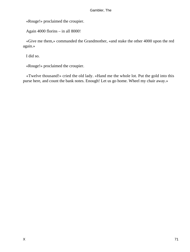«Rouge!» proclaimed the croupier.

Again 4000 florins – in all 8000!

 «Give me them,» commanded the Grandmother, «and stake the other 4000 upon the red again.»

I did so.

«Rouge!» proclaimed the croupier.

 «Twelve thousand!» cried the old lady. «Hand me the whole lot. Put the gold into this purse here, and count the bank notes. Enough! Let us go home. Wheel my chair away.»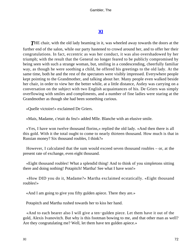# **[XI](#page-135-0)**

**THE** chair, with the old lady beaming in it, was wheeled away towards the doors at the further end of the salon, while our party hastened to crowd around her, and to offer her their congratulations. In fact, eccentric as was her conduct, it was also overshadowed by her triumph; with the result that the General no longer feared to be publicly compromised by being seen with such a strange woman, but, smiling in a condescending, cheerfully familiar way, as though he were soothing a child, he offered his greetings to the old lady. At the same time, both he and the rest of the spectators were visibly impressed. Everywhere people kept pointing to the Grandmother, and talking about her. Many people even walked beside her chair, in order to view her the better while, at a little distance, Astley was carrying on a conversation on the subject with two English acquaintances of his. De Griers was simply overflowing with smiles and compliments, and a number of fine ladies were staring at the Grandmother as though she had been something curious.

«Quelle victoire!» exclaimed De Griers.

«Mais, Madame, c'etait du feu!» added Mlle. Blanche with an elusive smile.

 «Yes, I have won twelve thousand florins,» replied the old lady. «And then there is all this gold. With it the total ought to come to nearly thirteen thousand. How much is that in Russian money? Six thousand roubles, I think?»

 However, I calculated that the sum would exceed seven thousand roubles – or, at the present rate of exchange, even eight thousand.

 «Eight thousand roubles! What a splendid thing! And to think of you simpletons sitting there and doing nothing! Potapitch! Martha! See what I have won!»

 «How DID you do it, Madame?» Martha exclaimed ecstatically. «Eight thousand roubles!»

«And I am going to give you fifty gulden apiece. There they are.»

Potapitch and Martha rushed towards her to kiss her hand.

 «And to each bearer also I will give a ten−gulden piece. Let them have it out of the gold, Alexis Ivanovitch. But why is this footman bowing to me, and that other man as well? Are they congratulating me? Well, let them have ten gulden apiece.»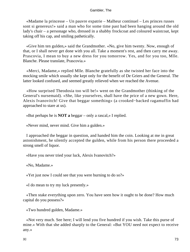«Madame la princesse – Un pauvre expatrie – Malheur continuel – Les princes russes sont si genereux!» said a man who for some time past had been hanging around the old lady's chair – a personage who, dressed in a shabby frockcoat and coloured waistcoat, kept taking off his cap, and smiling pathetically.

 «Give him ten gulden,» said the Grandmother. «No, give him twenty. Now, enough of that, or I shall never get done with you all. Take a moment's rest, and then carry me away. Prascovia, I mean to buy a new dress for you tomorrow. Yes, and for you too, Mlle. Blanche. Please translate, Prascovia.»

 «Merci, Madame,» replied Mlle. Blanche gratefully as she twisted her face into the mocking smile which usually she kept only for the benefit of De Griers and the General. The latter looked confused, and seemed greatly relieved when we reached the Avenue.

 «How surprised Theodosia too will be!» went on the Grandmother (thinking of the General's nursemaid). «She, like yourselves, shall have the price of a new gown. Here, Alexis Ivanovitch! Give that beggar something» (a crooked−backed ragamuffin had approached to stare at us).

«But perhaps he is **NOT a** beggar – only a rascal,» I replied.

«Never mind, never mind. Give him a gulden.»

 I approached the beggar in question, and handed him the coin. Looking at me in great astonishment, he silently accepted the gulden, while from his person there proceeded a strong smell of liquor.

«Have you never tried your luck, Alexis Ivanovitch?»

«No, Madame.»

«Yet just now I could see that you were burning to do so?»

«I do mean to try my luck presently.»

 «Then stake everything upon zero. You have seen how it ought to be done? How much capital do you possess?»

«Two hundred gulden, Madame.»

 «Not very much. See here; I will lend you five hundred if you wish. Take this purse of mine.» With that she added sharply to the General: «But YOU need not expect to receive any.»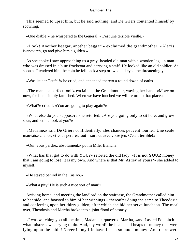This seemed to upset him, but he said nothing, and De Griers contented himself by scowling.

«Que diable!» he whispered to the General. «C'est une terrible vieille.»

 «Look! Another beggar, another beggar!» exclaimed the grandmother. «Alexis Ivanovitch, go and give him a gulden.»

 As she spoke I saw approaching us a grey−headed old man with a wooden leg – a man who was dressed in a blue frockcoat and carrying a staff. He looked like an old soldier. As soon as I tendered him the coin he fell back a step or two, and eyed me threateningly.

«Was ist der Teufel!» he cried, and appended thereto a round dozen of oaths.

 «The man is a perfect fool!» exclaimed the Grandmother, waving her hand. «Move on now, for I am simply famished. When we have lunched we will return to that place.»

«What?» cried I. «You are going to play again?»

 «What else do you suppose?» she retorted. «Are you going only to sit here, and grow sour, and let me look at you?»

 «Madame,» said De Griers confidentially, «les chances peuvent tourner. Une seule mauvaise chance, et vous perdrez tout – surtout avec votre jeu. C'etait terrible!»

«Oui; vous perdrez absolument,» put in Mlle. Blanche.

 «What has that got to do with YOU?» retorted the old lady. «It is not **YOUR** money that I am going to lose; it is my own. And where is that Mr. Astley of yours?» she added to myself.

«He stayed behind in the Casino.»

«What a pity! He is such a nice sort of man!»

 Arriving home, and meeting the landlord on the staircase, the Grandmother called him to her side, and boasted to him of her winnings – thereafter doing the same to Theodosia, and conferring upon her thirty gulden; after which she bid her serve luncheon. The meal over, Theodosia and Martha broke into a joint flood of ecstasy.

 «I was watching you all the time, Madame,» quavered Martha, «and I asked Potapitch what mistress was trying to do. And, my word! the heaps and heaps of money that were lying upon the table! Never in my life have I seen so much money. And there were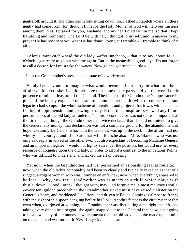gentlefolk around it, and other gentlefolk sitting down. So, I asked Potapitch where all these gentry had come from; for, thought I, maybe the Holy Mother of God will help our mistress among them. Yes, I prayed for you, Madame, and my heart died within me, so that I kept trembling and trembling. The Lord be with her, I thought to myself; and in answer to my prayer He has now sent you what He has done! Even yet I tremble – I tremble to think of it all.»

 «Alexis Ivanovitch,» said the old lady, «after luncheon, – that is to say, about four o'clock – get ready to go out with me again. But in the meanwhile, good−bye. Do not forget to call a doctor, for I must take the waters. Now go and get rested a little.»

I left the Grandmother's presence in a state of bewilderment.

 Vainly I endeavoured to imagine what would become of our party, or what turn the affair would next take. I could perceive that none of the party had yet recovered their presence of mind – least of all the General. The factor of the Grandmother's appearance in place of the hourly expected telegram to announce her death (with, of course, resultant legacies) had so upset the whole scheme of intentions and projects that it was with a decided feeling of apprehension and growing paralysis that the conspirators viewed any future performances of the old lady at roulette. Yet this second factor was not quite so important as the first, since, though the Grandmother had twice declared that she did not intend to give the General any money, that declaration was not a complete ground for the abandonment of hope. Certainly De Griers, who, with the General, was up to the neck in the affair, had not wholly lost courage; and I felt sure that Mlle. Blanche also – Mlle. Blanche who was not only as deeply involved as the other two, but also expectant of becoming Madame General and an important legatee – would not lightly surrender the position, but would use her every resource of coquetry upon the old lady, in order to afford a contrast to the impetuous Polina, who was difficult to understand, and lacked the art of pleasing.

 Yet now, when the Grandmother had just performed an astonishing feat at roulette; now, when the old lady's personality had been so clearly and typically revealed as that of a rugged, arrogant woman who was «tombee en enfance»; now, when everything appeared to be lost, – why, now the Grandmother was as merry as a child which plays with thistle−down. «Good Lord!» I thought with, may God forgive me, a most malicious smile, «every ten−gulden piece which the Grandmother staked must have raised a blister on the General's heart, and maddened De Griers, and driven Mlle. de Cominges almost to frenzy with the sight of this spoon dangling before her lips.» Another factor is the circumstance that even when, overjoyed at winning, the Grandmother was distributing alms right and left, and taking every one to be a beggar, she again snapped out to the General that he was not going to be allowed any of her money – which meant that the old lady had quite made up her mind on the point, and was sure of it. Yes, danger loomed ahead.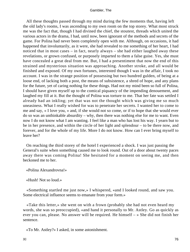All these thoughts passed through my mind during the few moments that, having left the old lady's rooms, I was ascending to my own room on the top storey. What most struck me was the fact that, though I had divined the chief, the stoutest, threads which united the various actors in the drama, I had, until now, been ignorant of the methods and secrets of the game. For Polina had never been completely open with me. Although, on occasions, it had happened that involuntarily, as it were, she had revealed to me something of her heart, I had noticed that in most cases – in fact, nearly always – she had either laughed away these revelations, or grown confused, or purposely imparted to them a false guise. Yes, she must have concealed a great deal from me. But, I had a presentiment that now the end of this strained and mysterious situation was approaching. Another stroke, and all would be finished and exposed. Of my own fortunes, interested though I was in the affair, I took no account. I was in the strange position of possessing but two hundred gulden, of being at a loose end, of lacking both a post, the means of subsistence, a shred of hope, and any plans for the future, yet of caring nothing for these things. Had not my mind been so full of Polina, I should have given myself up to the comical piquancy of the impending denouement, and laughed my fill at it. But the thought of Polina was torture to me. That her fate was settled I already had an inkling; yet that was not the thought which was giving me so much uneasiness. What I really wished for was to penetrate her secrets. I wanted her to come to me and say, « I love you, » and, if she would not so come, or if to hope that she would ever do so was an unthinkable absurdity – why, then there was nothing else for me to want. Even now I do not know what I am wanting. I feel like a man who has lost his way. I yearn but to be in her presence, and within the circle of her light and splendour – to be there now, and forever, and for the whole of my life. More I do not know. How can I ever bring myself to leave her?

 On reaching the third storey of the hotel I experienced a shock. I was just passing the General's suite when something caused me to look round. Out of a door about twenty paces away there was coming Polina! She hesitated for a moment on seeing me, and then beckoned me to her.

«Polina Alexandrovna!»

«Hush! Not so loud.»

 «Something startled me just now,» I whispered, «and I looked round, and saw you. Some electrical influence seems to emanate from your form.»

 «Take this letter,» she went on with a frown (probably she had not even heard my words, she was so preoccupied), «and hand it personally to Mr. Astley. Go as quickly as ever you can, please. No answer will be required. He himself – » She did not finish her sentence.

«To Mr. Astley?» I asked, in some astonishment.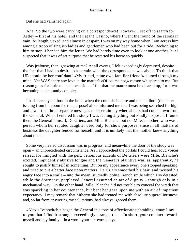But she had vanished again.

 Aha! So the two were carrying on a correspondence! However, I set off to search for Astley – first at his hotel, and then at the Casino, where I went the round of the salons in vain. At length, vexed, and almost in despair, I was on my way home when I ran across him among a troop of English ladies and gentlemen who had been out for a ride. Beckoning to him to stop, I handed him the letter. We had barely time even to look at one another, but I suspected that it was of set purpose that he restarted his horse so quickly.

 Was jealousy, then, gnawing at me? At all events, I felt exceedingly depressed, despite the fact that I had no desire to ascertain what the correspondence was about. To think that HE should be her confidant! «My friend, mine own familiar friend!» passed through my mind. Yet WAS there any love in the matter? «Of course not,» reason whispered to me. But reason goes for little on such occasions. I felt that the matter must be cleared up, for it was becoming unpleasantly complex.

 I had scarcely set foot in the hotel when the commissionaire and the landlord (the latter issuing from his room for the purpose) alike informed me that I was being searched for high and low – that three separate messages to ascertain my whereabouts had come down from the General. When I entered his study I was feeling anything but kindly disposed. I found there the General himself, De Griers, and Mlle. Blanche, but not Mlle.'s mother, who was a person whom her reputed daughter used only for show purposes, since in all matters of business the daughter fended for herself, and it is unlikely that the mother knew anything about them.

 Some very heated discussion was in progress, and meanwhile the door of the study was open – an unprecedented circumstance. As I approached the portals I could hear loud voices raised, for mingled with the pert, venomous accents of De Griers were Mlle. Blanche's excited, impudently abusive tongue and the General's plaintive wail as, apparently, he sought to justify himself in something. But on my appearance every one stopped speaking, and tried to put a better face upon matters. De Griers smoothed his hair, and twisted his angry face into a smile – into the mean, studiedly polite French smile which I so detested; while the downcast, perplexed General assumed an air of dignity – though only in a mechanical way. On the other hand, Mlle. Blanche did not trouble to conceal the wrath that was sparkling in her countenance, but bent her gaze upon me with an air of impatient expectancy. I may remark that hitherto she had treated me with absolute superciliousness, and, so far from answering my salutations, had always ignored them.

 «Alexis Ivanovitch,» began the General in a tone of affectionate upbraiding, «may I say to you that I find it strange, exceedingly strange, that – In short, your conduct towards myself and my family – In a word, your−er−extremely»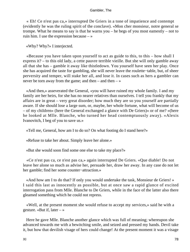« Eh! Ce n'est pas ca,» interrupted De Griers in a tone of impatience and contempt (evidently he was the ruling spirit of the conclave). «Mon cher monsieur, notre general se trompe. What he means to say is that he warns you – he begs of you most eamestly – not to ruin him. I use the expression because  $-\infty$ 

«Why? Why?» I interjected.

 «Because you have taken upon yourself to act as guide to this, to this – how shall I express it? – to this old lady, a cette pauvre terrible vieille. But she will only gamble away all that she has – gamble it away like thistledown. You yourself have seen her play. Once she has acquired the taste for gambling, she will never leave the roulette−table, but, of sheer perversity and temper, will stake her all, and lose it. In cases such as hers a gambler can never be torn away from the game; and then – and then –  $\gg$ 

 «And then,» asseverated the General, «you will have ruined my whole family. I and my family are her heirs, for she has no nearer relatives than ourselves. I tell you frankly that my affairs are in great – very great disorder; how much they are so you yourself are partially aware. If she should lose a large sum, or, maybe, her whole fortune, what will become of us – of my children» (here the General exchanged a glance with De Griers)« or of me? »(here he looked at Mlle. Blanche, who turned her head contemptuously away). «Alexis Ivanovitch, I beg of you to save us.»

«Tell me, General, how am I to do so? On what footing do I stand here?»

«Refuse to take her about. Simply leave her alone.»

«But she would soon find some one else to take my place?»

 «Ce n'est pas ca, ce n'est pas ca,» again interrupted De Griers. «Que diable! Do not leave her alone so much as advise her, persuade her, draw her away. In any case do not let her gamble; find her some counter−attraction.»

 «And how am I to do that? If only you would undertake the task, Monsieur de Griers! » I said this last as innocently as possible, but at once saw a rapid glance of excited interrogation pass from Mlle. Blanche to De Griers, while in the face of the latter also there gleamed something which he could not repress.

 «Well, at the present moment she would refuse to accept my services,» said he with a gesture. «But if, later  $-\infty$ 

 Here he gave Mlle. Blanche another glance which was full of meaning; whereupon she advanced towards me with a bewitching smile, and seized and pressed my hands. Devil take it, but how that devilish visage of hers could change! At the present moment it was a visage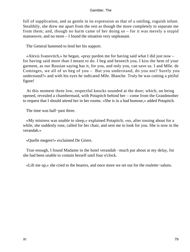full of supplication, and as gentle in its expression as that of a smiling, roguish infant. Stealthily, she drew me apart from the rest as though the more completely to separate me from them; and, though no harm came of her doing so – for it was merely a stupid manoeuvre, and no more – I found the situation very unpleasant.

The General hastened to lend her his support.

 «Alexis Ivanovitch,» he began, «pray pardon me for having said what I did just now – for having said more than I meant to do. I beg and beseech you, I kiss the hem of your garment, as our Russian saying has it, for you, and only you, can save us. I and Mlle. de Cominges, we all of us beg of you – But you understand, do you not? Surely you understand?» and with his eyes he indicated Mlle. Blanche. Truly he was cutting a pitiful figure!

 At this moment three low, respectful knocks sounded at the door; which, on being opened, revealed a chambermaid, with Potapitch behind her – come from the Grandmother to request that I should attend her in her rooms. «She is in a bad humour,» added Potapitch.

The time was half−past three.

 «My mistress was unable to sleep,» explained Potapitch; «so, after tossing about for a while, she suddenly rose, called for her chair, and sent me to look for you. She is now in the verandah.»

«Quelle megere!» exclaimed De Griers.

 True enough, I found Madame in the hotel verandah −much put about at my delay, for she had been unable to contain herself until four o'clock.

«Lift me up,» she cried to the bearers, and once more we set out for the roulette−salons.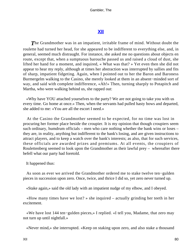# **[XII](#page-135-0)**

**The Grandmother was in an impatient, irritable frame of mind. Without doubt the** roulette had turned her head, for she appeared to be indifferent to everything else, and, in general, seemed much distraught. For instance, she asked me no questions about objects en route, except that, when a sumptuous barouche passed us and raised a cloud of dust, she lifted her hand for a moment, and inquired, « What was that? » Yet even then she did not appear to hear my reply, although at times her abstraction was interrupted by sallies and fits of sharp, impatient fidgeting. Again, when I pointed out to her the Baron and Baroness Burmergelm walking to the Casino, she merely looked at them in an absent−minded sort of way, and said with complete indifference, «Ah!» Then, turning sharply to Potapitch and Martha, who were walking behind us, she rapped out:

 «Why have YOU attached yourselves to the party? We are not going to take you with us every time. Go home at once.» Then, when the servants had pulled hasty bows and departed, she added to me: «You are all the escort I need.»

 At the Casino the Grandmother seemed to be expected, for no time was lost in procuring her former place beside the croupier. It is my opinion that though croupiers seem such ordinary, humdrum officials – men who care nothing whether the bank wins or loses – they are, in reality, anything but indifferent to the bank's losing, and are given instructions to attract players, and to keep a watch over the bank's interests; as also, that for such services, these officials are awarded prizes and premiums. At all events, the croupiers of Roulettenberg seemed to look upon the Grandmother as their lawful prey – whereafter there befell what our party had foretold.

It happened thus:

 As soon as ever we arrived the Grandmother ordered me to stake twelve ten−gulden pieces in succession upon zero. Once, twice, and thrice I did so, yet zero never turned up.

«Stake again,» said the old lady with an impatient nudge of my elbow, and I obeyed.

 «How many times have we lost? » she inquired – actually grinding her teeth in her excitement.

 «We have lost 144 ten−gulden pieces,» I replied. «I tell you, Madame, that zero may not turn up until nightfall.»

«Never mind,» she interrupted. «Keep on staking upon zero, and also stake a thousand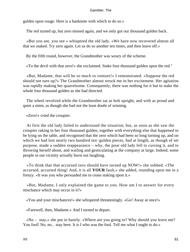gulden upon rouge. Here is a banknote with which to do so.»

The red turned up, but zero missed again, and we only got our thousand gulden back.

 «But you see, you see » whispered the old lady. «We have now recovered almost all that we staked. Try zero again. Let us do so another ten times, and then leave off.»

By the fifth round, however, the Grandmother was weary of the scheme.

«To the devil with that zero!» she exclaimed. Stake four thousand gulden upon the red."

 «But, Madame, that will be so much to venture!» I remonstrated. «Suppose the red should not turn up?» The Grandmother almost struck me in her excitement. Her agitation was rapidly making her quarrelsome. Consequently, there was nothing for it but to stake the whole four thousand gulden as she had directed.

 The wheel revolved while the Grandmother sat as bolt upright, and with as proud and quiet a mien, as though she had not the least doubt of winning.

«Zero!» cried the croupier.

 At first the old lady failed to understand the situation; but, as soon as she saw the croupier raking in her four thousand gulden, together with everything else that happened to be lying on the table, and recognised that the zero which had been so long turning up, and on which we had lost nearly two hundred ten−gulden pieces, had at length, as though of set purpose, made a sudden reappearance – why, the poor old lady fell to cursing it, and to throwing herself about, and wailing and gesticulating at the company at large. Indeed, some people in our vicinity actually burst out laughing.

 «To think that that accursed zero should have turned up NOW!» she sobbed. «The accursed, accursed thing! And, it is all **YOUR** fault,» she added, rounding upon me in a frenzy. «It was you who persuaded me to cease staking upon it.»

 «But, Madame, I only explained the game to you. How am I to answer for every mischance which may occur in it?»

«You and your mischances!» she whispered threateningly. «Go! Away at once!»

«Farewell, then, Madame.» And I turned to depart.

 «No – stay,» she put in hastily. «Where are you going to? Why should you leave me? You fool! No, no... stay here. It is I who was the fool. Tell me what I ought to do.»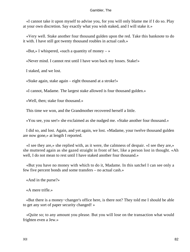«I cannot take it upon myself to advise you, for you will only blame me if I do so. Play at your own discretion. Say exactly what you wish staked, and I will stake it.»

 «Very well. Stake another four thousand gulden upon the red. Take this banknote to do it with. I have still got twenty thousand roubles in actual cash.»

«But,» I whispered, «such a quantity of money – »

«Never mind. I cannot rest until I have won back my losses. Stake!»

I staked, and we lost.

«Stake again, stake again – eight thousand at a stroke!»

«I cannot, Madame. The largest stake allowed is four thousand gulden.»

«Well, then; stake four thousand.»

This time we won, and the Grandmother recovered herself a little.

«You see, you see!» she exclaimed as she nudged me. «Stake another four thousand.»

 I did so, and lost. Again, and yet again, we lost. «Madame, your twelve thousand gulden are now gone,» at length I reported.

 «I see they are,» she replied with, as it were, the calmness of despair. «I see they are,» she muttered again as she gazed straight in front of her, like a person lost in thought. «Ah well. I do not mean to rest until I have staked another four thousand.»

 «But you have no money with which to do it, Madame. In this satchel I can see only a few five percent bonds and some transfers – no actual cash.»

«And in the purse?»

«A mere trifle.»

 «But there is a money−changer's office here, is there not? They told me I should be able to get any sort of paper security changed! »

 «Quite so; to any amount you please. But you will lose on the transaction what would frighten even a Jew.»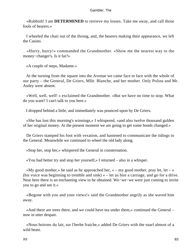«Rubbish! I am **DETERMINED** to retrieve my losses. Take me away, and call those fools of bearers.»

 I wheeled the chair out of the throng, and, the bearers making their appearance, we left the Casino.

 «Hurry, hurry!» commanded the Grandmother. «Show me the nearest way to the money−changer's. Is it far?»

«A couple of steps, Madame.»

 At the turning from the square into the Avenue we came face to face with the whole of our party – the General, De Griers, Mlle. Blanche, and her mother. Only Polina and Mr. Astley were absent.

 «Well, well, well! » exclaimed the Grandmother. «But we have no time to stop. What do you want? I can't talk to you here.»

I dropped behind a little, and immediately was pounced upon by De Griers.

 «She has lost this morning's winnings,» I whispered, «and also twelve thousand gulden of her original money. At the present moment we are going to get some bonds changed.»

 De Griers stamped his foot with vexation, and hastened to communicate the tidings to the General. Meanwhile we continued to wheel the old lady along.

«Stop her, stop her,» whispered the General in consternation.

«You had better try and stop her yourself,» I returned – also in a whisper.

«My good mother,» he said as he approached her,  $\alpha$  – my good mother, pray let, let – » (his voice was beginning to tremble and sink) « – let us hire a carriage, and go for a drive. Near here there is an enchanting view to be obtained. We−we−we were just coming to invite you to go and see it.»

 «Begone with you and your views!» said the Grandmother angrily as she waved him away.

 «And there are trees there, and we could have tea under them,» continued the General – now in utter despair.

 «Nous boirons du lait, sur l'herbe fraiche,» added De Griers with the snarl almost of a wild beast.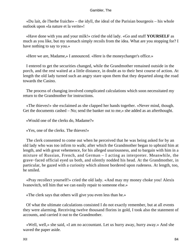«Du lait, de l'herbe fraiche» – the idyll, the ideal of the Parisian bourgeois – his whole outlook upon «la nature et la verite»!

 «Have done with you and your milk!» cried the old lady. «Go and stuff **YOURSELF** as much as you like, but my stomach simply recoils from the idea. What are you stopping for? I have nothing to say to you.»

«Here we are, Madame,» I announced. «Here is the moneychanger's office.»

 I entered to get the securities changed, while the Grandmother remained outside in the porch, and the rest waited at a little distance, in doubt as to their best course of action. At length the old lady turned such an angry stare upon them that they departed along the road towards the Casino.

 The process of changing involved complicated calculations which soon necessitated my return to the Grandmother for instructions.

 «The thieves!» she exclaimed as she clapped her hands together. «Never mind, though. Get the documents cashed – No; send the banker out to me,» she added as an afterthought.

«Would one of the clerks do, Madame?»

«Yes, one of the clerks. The thieves!»

 The clerk consented to come out when he perceived that he was being asked for by an old lady who was too infirm to walk; after which the Grandmother began to upbraid him at length, and with great vehemence, for his alleged usuriousness, and to bargain with him in a mixture of Russian, French, and German – I acting as interpreter. Meanwhile, the grave−faced official eyed us both, and silently nodded his head. At the Grandmother, in particular, he gazed with a curiosity which almost bordered upon rudeness. At length, too, he smiled.

 «Pray recollect yourself!» cried the old lady. «And may my money choke you! Alexis Ivanovitch, tell him that we can easily repair to someone else.»

«The clerk says that others will give you even less than he.»

 Of what the ultimate calculations consisted I do not exactly remember, but at all events they were alarming. Receiving twelve thousand florins in gold, I took also the statement of accounts, and carried it out to the Grandmother.

 «Well, well,» she said, «I am no accountant. Let us hurry away, hurry away.» And she waved the paper aside.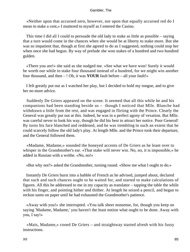«Neither upon that accursed zero, however, nor upon that equally accursed red do I mean to stake a cent,» I muttered to myself as I entered the Casino.

 This time I did all I could to persuade the old lady to stake as little as possible – saying that a turn would come in the chances when she would be at liberty to stake more. But she was so impatient that, though at first she agreed to do as I suggested, nothing could stop her when once she had begun. By way of prelude she won stakes of a hundred and two hundred gulden.

 «There you are!» she said as she nudged me. «See what we have won! Surely it would be worth our while to stake four thousand instead of a hundred, for we might win another four thousand, and then – ! Oh, it was **YOUR** fault before – all your fault!»

 I felt greatly put out as I watched her play, but I decided to hold my tongue, and to give her no more advice.

 Suddenly De Griers appeared on the scene. It seemed that all this while he and his companions had been standing beside us – though I noticed that Mlle. Blanche had withdrawn a little from the rest, and was engaged in flirting with the Prince. Clearly the General was greatly put out at this. Indeed, he was in a perfect agony of vexation. But Mlle. was careful never to look his way, though he did his best to attract her notice. Poor General! By turns his face blanched and reddened, and he was trembling to such an extent that he could scarcely follow the old lady's play. At length Mlle. and the Prince took their departure, and the General followed them.

 «Madame, Madame,» sounded the honeyed accents of De Griers as he leant over to whisper in the Grandmother's ear. «That stake will never win. No, no, it is impossible,» he added in Russian with a writhe. «No, no!»

«But why not?» asked the Grandmother, turning round. «Show me what I ought to do.»

 Instantly De Griers burst into a babble of French as he advised, jumped about, declared that such and such chances ought to be waited for, and started to make calculations of figures. All this he addressed to me in my capacity as translator – tapping the table the while with his finger, and pointing hither and thither. At length he seized a pencil, and began to reckon sums on paper until he had exhausted the Grandmother's patience.

 «Away with you!» she interrupted. «You talk sheer nonsense, for, though you keep on saying 'Madame, Madame,' you haven't the least notion what ought to be done. Away with you, I say!»

 «Mais, Madame,» cooed De Griers – and straightway started afresh with his fussy instructions.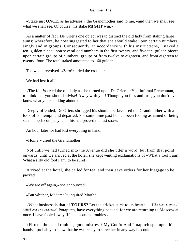«Stake just **ONCE,** as he advises,» the Grandmother said to me, «and then we shall see what we shall see. Of course, his stake **MIGHT** win.»

 As a matter of fact, De Grier's one object was to distract the old lady from staking large sums; wherefore, he now suggested to her that she should stake upon certain numbers, singly and in groups. Consequently, in accordance with his instructions, I staked a ten−gulden piece upon several odd numbers in the first twenty, and five ten−gulden pieces upon certain groups of numbers−groups of from twelve to eighteen, and from eighteen to twenty−four. The total staked amounted to 160 gulden.

The wheel revolved. «Zero!» cried the croupier.

We had lost it all!

 «The fool!» cried the old lady as she turned upon De Griers. «You infernal Frenchman, to think that you should advise! Away with you! Though you fuss and fuss, you don't even know what you're talking about.»

 Deeply offended, De Griers shrugged his shoulders, favoured the Grandmother with a look of contempt, and departed. For some time past he had been feeling ashamed of being seen in such company, and this had proved the last straw.

An hour later we had lost everything in hand.

«Home!» cried the Grandmother.

 Not until we had turned into the Avenue did she utter a word; but from that point onwards, until we arrived at the hotel, she kept venting exclamations of «What a fool I am! What a silly old fool I am, to be sure!»

 Arrived at the hotel, she called for tea, and then gave orders for her luggage to be packed.

«We are off again,» she announced.

«But whither, Madame?» inquired Martha.

 «What business is that of **YOURS?** Let the cricket stick to its hearth. [The Russian form of »Mind your own business.«] Potapitch, have everything packed, for we are returning to Moscow at once. I have fooled away fifteen thousand roubles.»

 «Fifteen thousand roubles, good mistress? My God!» And Potapitch spat upon his hands – probably to show that he was ready to serve her in any way he could.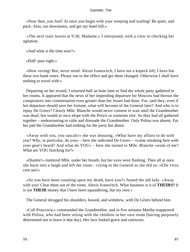«Now then, you fool! At once you begin with your weeping and wailing! Be quiet, and pack. Also, run downstairs, and get my hotel bill.»

 «The next train leaves at 9:30, Madame,» I interposed, with a view to checking her agitation.

«And what is the time now?»

«Half−past eight.»

 «How vexing! But, never mind. Alexis Ivanovitch, I have not a kopeck left; I have but these two bank notes. Please run to the office and get them changed. Otherwise I shall have nothing to travel with.»

 Departing on her errand, I returned half an hour later to find the whole party gathered in her rooms. It appeared that the news of her impending departure for Moscow had thrown the conspirators into consternation even greater than her losses had done. For, said they, even if her departure should save her fortune, what will become of the General later? And who is to repay De Griers? Clearly Mlle. Blanche would never consent to wait until the Grandmother was dead, but would at once elope with the Prince or someone else. So they had all gathered together – endeavouring to calm and dissuade the Grandmother. Only Polina was absent. For her pad the Grandmother had nothing for the party but abuse.

 «Away with you, you rascals!» she was shouting. «What have my affairs to do with you? Why, in particular, do you» – here she indicated De Griers – «come sneaking here with your goat's beard? And what do YOU» – here she turned to Mlle. Blanche «want of me? What are YOU finicking for?»

 «Diantre!» muttered Mlle. under her breath, but her eyes were flashing. Then all at once she burst into a laugh and left the room – crying to the General as she did so: «Elle vivra cent ans!»

 «So you have been counting upon my death, have you?» fumed the old lady. «Away with you! Clear them out of the room, Alexis Ivanovitch. What business is it of **THEIRS?** It is not **THEIR** money that I have been squandering, but my own.»

The General shrugged his shoulders, bowed, and withdrew, with De Griers behind him.

 «Call Prascovia,» commanded the Grandmother, and in five minutes Martha reappeared with Polina, who had been sitting with the children in her own room (having purposely determined not to leave it that day). Her face looked grave and careworn.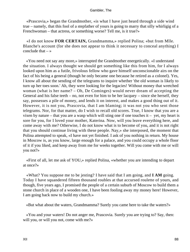«Prascovia,» began the Grandmother, «is what I have just heard through a side wind true – namely, that this fool of a stepfather of yours is going to marry that silly whirligig of a Frenchwoman – that actress, or something worse? Tell me, is it true?»

 «I do not know **FOR CERTAIN,** Grandmamma,» replied Polina; «but from Mlle. Blanche's account (for she does not appear to think it necessary to conceal anything) I conclude that  $-\infty$ 

 «You need not say any more,» interrupted the Grandmother energetically. «I understand the situation. I always thought we should get something like this from him, for I always looked upon him as a futile, frivolous fellow who gave himself unconscionable airs on the fact of his being a general (though he only became one because he retired as a colonel). Yes, I know all about the sending of the telegrams to inquire whether 'the old woman is likely to turn up her toes soon.' Ah, they were looking for the legacies! Without money that wretched woman (what is her name? – Oh, De Cominges) would never dream of accepting the General and his false teeth – no, not even for him to be her lacquey – since she herself, they say, possesses a pile of money, and lends it on interest, and makes a good thing out of it. However, it is not you, Prascovia, that I am blaming; it was not you who sent those telegrams. Nor, for that matter, do I wish to recall old scores. True, I know that you are a vixen by nature – that you are a wasp which will sting one if one touches it – yet, my heart is sore for you, for I loved your mother, Katerina. Now, will you leave everything here, and come away with me? Otherwise, I do not know what is to become of you, and it is not right that you should continue living with these people. Nay,» she interposed, the moment that Polina attempted to speak, «I have not yet finished. I ask of you nothing in return. My house in Moscow is, as you know, large enough for a palace, and you could occupy a whole floor of it if you liked, and keep away from me for weeks together. Will you come with me or will you not?»

 «First of all, let me ask of YOU,» replied Polina, «whether you are intending to depart at once?»

 «What? You suppose me to be jesting? I have said that I am going, and **I AM** going. Today I have squandered fifteen thousand roubles at that accursed roulette of yours, and though, five years ago, I promised the people of a certain suburb of Moscow to build them a stone church in place of a wooden one, I have been fooling away my money here! However, I am going back now to build my church.»

«But what about the waters, Grandmamma? Surely you came here to take the waters?»

 «You and your waters! Do not anger me, Prascovia. Surely you are trying to? Say, then: will you, or will you not, come with me?»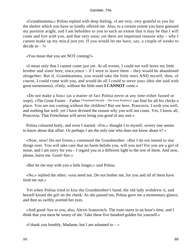«Grandmamma,» Polina replied with deep feeling, «I am very, very grateful to you for the shelter which you have so kindly offered me. Also, to a certain extent you have guessed my position aright, and I am beholden to you to such an extent that it may be that I will come and live with you, and that very soon; yet there are important reasons why – why I cannot make up my min,d just yet. If you would let me have, say, a couple of weeks to decide in  $-$  ?»

«You mean that you are NOT coming?»

 «I mean only that I cannot come just yet. At all events, I could not well leave my little brother and sister here, since, since  $-$  if I were to leave them  $-$  they would be abandoned altogether. But if, Grandmamma, you would take the little ones AND myself, then, of course, I could come with you, and would do all I could to serve you» (this she said with great earnestness). «Only, without the little ones **I CANNOT** come.»

 «Do not make a fuss» (as a matter of fact Polina never at any time either fussed or wept). «The Great Foster – Father [Translated literally – The Great Poulterer] can find for all his chicks a place. You are not coming without the children? But see here, Prascovia. I wish you well, and nothing but well: yet I have divined the reason why you will not come. Yes, I know all, Prascovia. That Frenchman will never bring you good of any sort.»

 Polina coloured hotly, and even I started. «For,» thought I to myself, «every one seems to know about that affair. Or perhaps I am the only one who does not know about it? »

 «Now, now! Do not frown,» continued the Grandmother. «But I do not intend to slur things over. You will take care that no harm befalls you, will you not? For you are a girl of sense, and I am sorry for you – I regard you in a different light to the rest of them. And now, please, leave me. Good−bye.»

«But let me stay with you a little longer,» said Polina.

 «No,» replied the other; «you need not. Do not bother me, for you and all of them have tired me out.»

 Yet when Polina tried to kiss the Grandmother's hand, the old lady withdrew it, and herself kissed the girl on the cheek. As she passed me, Polina gave me a momentary glance, and then as swiftly averted her eyes.

 «And good−bye to you, also, Alexis Ivanovitch. The train starts in an hour's time, and I think that you must be weary of me. Take these five hundred gulden for yourself.»

«I thank you humbly, Madame, but I am ashamed to  $-\infty$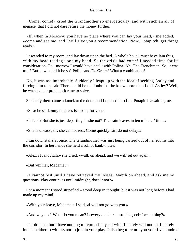«Come, come!» cried the Grandmother so energetically, and with such an air of menace, that I did not dare refuse the money further.

 «If, when in Moscow, you have no place where you can lay your head,» she added, «come and see me, and I will give you a recommendation. Now, Potapitch, get things ready.»

 I ascended to my room, and lay down upon the bed. A whole hour I must have lain thus, with my head resting upon my hand. So the crisis had come! I needed time for its consideration. To− morrow I would have a talk with Polina. Ah! The Frenchman! So, it was true? But how could it be so? Polina and De Griers! What a combination!

 No, it was too improbable. Suddenly I leapt up with the idea of seeking Astley and forcing him to speak. There could be no doubt that he knew more than I did. Astley? Well, he was another problem for me to solve.

Suddenly there came a knock at the door, and I opened it to find Potapitch awaiting me.

«Sir,» he said, «my mistress is asking for you.»

«Indeed? But she is just departing, is she not? The train leaves in ten minutes' time.»

«She is uneasy, sir; she cannot rest. Come quickly, sir; do not delay.»

 I ran downstairs at once. The Grandmother was just being carried out of her rooms into the corridor. In her hands she held a roll of bank−notes.

«Alexis Ivanovitch,» she cried, «walk on ahead, and we will set out again.»

«But whither, Madame?»

 «I cannot rest until I have retrieved my losses. March on ahead, and ask me no questions. Play continues until midnight, does it not?»

 For a moment I stood stupefied – stood deep in thought; but it was not long before I had made up my mind.

«With your leave, Madame,» I said, «I will not go with you.»

«And why not? What do you mean? Is every one here a stupid good−for−nothing?»

 «Pardon me, but I have nothing to reproach myself with. I merely will not go. I merely intend neither to witness nor to join in your play. I also beg to return you your five hundred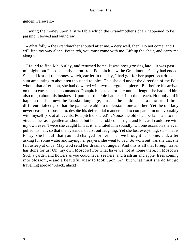# gulden. Farewell.»

 Laying the money upon a little table which the Grandmother's chair happened to be passing, I bowed and withdrew.

 «What folly!» the Grandmother shouted after me. «Very well, then. Do not come, and I will find my way alone. Potapitch, you must come with me. Lift up the chair, and carry me along.»

 I failed to find Mr. Astley, and returned home. It was now growing late – it was past midnight, but I subsequently learnt from Potapitch how the Grandmother's day had ended. She had lost all the money which, earlier in the day, I had got for her paper securities  $-$  a sum amounting to about ten thousand roubles. This she did under the direction of the Pole whom, that afternoon, she had dowered with two ten−gulden pieces. But before his arrival on the scene, she had commanded Potapitch to stake for her; until at length she had told him also to go about his business. Upon that the Pole had leapt into the breach. Not only did it happen that he knew the Russian language, but also he could speak a mixture of three different dialects, so that the pair were able to understand one another. Yet the old lady never ceased to abuse him, despite his deferential manner, and to compare him unfavourably with myself (so, at all events, Potapitch declared). «You,» the old chamberlain said to me, «treated her as a gentleman should, but he – he robbed her right and left, as I could see with my own eyes. Twice she caught him at it, and rated him soundly. On one occasion she even pulled his hair, so that the bystanders burst out laughing. Yet she lost everything, sir – that is to say, she lost all that you had changed for her. Then we brought her home, and, after asking for some water and saying her prayers, she went to bed. So worn out was she that she fell asleep at once. May God send her dreams of angels! And this is all that foreign travel has done for us! Oh, my own Moscow! For what have we not at home there, in Moscow? Such a garden and flowers as you could never see here, and fresh air and apple−trees coming into blossom, – and a beautiful view to look upon. Ah, but what must she do but go travelling abroad? Alack, alack!»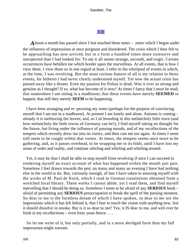# **[XIII](#page-135-0)**

Almost a month has passed since I last touched these notes – notes which I began under the influence of impressions at once poignant and disordered. The crisis which I then felt to be approaching has now arrived, but in a form a hundred times more extensive and unexpected than I had looked for. To me it all seems strange, uncouth, and tragic. Certain occurrences have befallen me which border upon the marvellous. At all events, that is how I view them. I view them so in one regard at least. I refer to the whirlpool of events in which, at the time, I was revolving. But the most curious feature of all is my relation to those events, for hitherto I had never clearly understood myself. Yet now the actual crisis has passed away like a dream. Even my passion for Polina is dead. Was it ever so strong and genuine as I thought? If so, what has become of it now? At times I fancy that I must be mad; that somewhere I am sitting in a madhouse; that these events have merely **SEEMED** to happen; that still they merely **SEEM** to be happening.

 I have been arranging and re−perusing my notes (perhaps for the purpose of convincing myself that I am not in a madhouse). At present I am lonely and alone. Autumn is coming – already it is mellowing the leaves; and, as I sit brooding in this melancholy little town (and how melancholy the little towns of Germany can be!), I find myself taking no thought for the future, but living under the influence of passing moods, and of my recollections of the tempest which recently drew me into its vortex, and then cast me out again. At times I seem still seem to be caught within that vortex. At times, the tempest seems once more to be gathering, and, as it passes overhead, to be wrapping me in its folds, until I have lost my sense of order and reality, and continue whirling and whirling and whirling around.

 Yet, it may be that I shall be able to stop myself from revolving if once I can succeed in rendering myself an exact account of what has happened within the month just past. Somehow I feel drawn towards the pen; on many and many an evening I have had nothing else in the world to do. But, curiously enough, of late I have taken to amusing myself with the works of M. Paul de Kock, which I read in German translations obtained from a wretched local library. These works I cannot abide, yet I read them, and find myself marvelling that I should be doing so. Somehow I seem to be afraid of any **SERIOUS** book – afraid of permitting any **SERIOUS** preoccupation to break the spell of the passing moment. So dear to me is the formless dream of which I have spoken, so dear to me are the impressions which it has left behind it, that I fear to touch the vision with anything new, lest it should dissolve in smoke. But is it so dear to me? Yes, it IS dear to me, and will ever be fresh in my recollections – even forty years hence. . . .

 So let me write of it, but only partially, and in a more abridged form than my full impressions might warrant.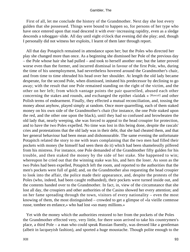First of all, let me conclude the history of the Grandmother. Next day she lost every gulden that she possessed. Things were bound to happen so, for persons of her type who have once entered upon that road descend it with ever−increasing rapidity, even as a sledge descends a toboggan−slide. All day until eight o'clock that evening did she play; and, though I personally did not witness her exploits, I learnt of them later through report.

 All that day Potapitch remained in attendance upon her; but the Poles who directed her play she changed more than once. As a beginning she dismissed her Pole of the previous day – the Pole whose hair she had pulled – and took to herself another one; but the latter proved worse even than the former, and incurred dismissal in favour of the first Pole, who, during the time of his unemployment, had nevertheless hovered around the Grandmother's chair, and from time to time obtruded his head over her shoulder. At length the old lady became desperate, for the second Pole, when dismissed, imitated his predecessor by declining to go away; with the result that one Pole remained standing on the right of the victim, and the other on her left; from which vantage points the pair quarrelled, abused each other concerning the stakes and rounds, and exchanged the epithet «laidak » [Rascal] and other Polish terms of endearment. Finally, they effected a mutual reconciliation, and, tossing the money about anyhow, played simply at random. Once more quarrelling, each of them staked money on his own side of the Grandmother's chair (for instance, the one Pole staked upon the red, and the other one upon the black), until they had so confused and browbeaten the old lady that, nearly weeping, she was forced to appeal to the head croupier for protection, and to have the two Poles expelled. No time was lost in this being done, despite the rascals' cries and protestations that the old lady was in their debt, that she had cheated them, and that her general behaviour had been mean and dishonourable. The same evening the unfortunate Potapitch related the story to me with tears complaining that the two men had filled their pockets with money (he himself had seen them do it) which had been shamelesslly pilfered from his mistress. For instance, one Pole demanded of the Grandmother fifty gulden for his trouble, and then staked the money by the side of her stake. She happened to win; whereupon he cried out that the winning stake was his, and hers the loser. As soon as the two Poles had been expelled, Potapitch left the room, and reported to the authorities that the men's pockets were full of gold; and, on the Grandmother also requesting the head croupier to look into the affair, the police made their appearance, and, despite the protests of the Poles (who, indeed, had been caught redhanded), their pockets were turned inside out, and the contents handed over to the Grandmother. In fact, in, view of the circumstance that she lost all day, the croupiers and other authorities of the Casino showed her every attention; and on her fame spreading through the town, visitors of every nationality – even the most knowing of them, the most distinguished – crowded to get a glimpse of «la vieille comtesse russe, tombee en enfance,» who had lost «so many millions.»

 Yet with the money which the authorities restored to her from the pockets of the Poles the Grandmother effected very, very little, for there soon arrived to take his countrymen's place, a third Pole – a man who could speak Russian fluently, was dressed like a gentleman (albeit in lacqueyish fashion), and sported a huge moustache. Though polite enough to the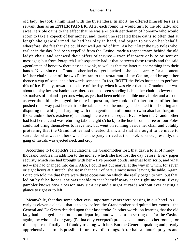old lady, he took a high hand with the bystanders. In short, he offered himself less as a servant than as an **ENTERTAINER.** After each round he would turn to the old lady, and swear terrible oaths to the effect that he was a «Polish gentleman of honour» who would scorn to take a kopeck of her money; and, though he repeated these oaths so often that at length she grew alarmed, he had her play in hand, and began to win on her behalf; wherefore, she felt that she could not well get rid of him. An hour later the two Poles who, earlier in the day, had been expelled from the Casino, made a reappearance behind the old lady's chair, and renewed their offers of service – even if it were only to be sent on messages; but from Potapitch I subsequently had it that between these rascals and the said «gentleman of honour» there passed a wink, as well as that the latter put something into their hands. Next, since the Grandmother had not yet lunched – she had scarcely for a moment left her chair – one of the two Poles ran to the restaurant of the Casino, and brought her thence a cup of soup, and afterwards some tea. In fact, **BOTH** the Poles hastened to perform this office. Finally, towards the close of the day, when it was clear that the Grandmother was about to play her last bank−note, there could be seen standing behind her chair no fewer than six natives of Poland – persons who, as yet, had been neither audible nor visible; and as soon as ever the old lady played the note in question, they took no further notice of her, but pushed their way past her chair to the table; seized the money, and staked it – shouting and disputing the while, and arguing with the «gentleman of honour» (who also had forgotten the Grandmother's existence), as though he were their equal. Even when the Grandmother had lost her all, and was returning (about eight o'clock) to the hotel, some three or four Poles could not bring themselves to leave her, but went on running beside her chair and volubly protesting that the Grandmother had cheated them, and that she ought to be made to surrender what was not her own. Thus the party arrived at the hotel; whence, presently, the gang of rascals was ejected neck and crop.

 According to Potapitch's calculations, the Grandmother lost, that day, a total of ninety thousand roubles, in addition to the money which she had lost the day before. Every paper security which she had brought with her – five percent bonds, internal loan scrip, and what not – she had changed into cash. Also, I could not but marvel at the way in which, for seven or eight hours at a stretch, she sat in that chair of hers, almost never leaving the table. Again, Potapitch told me that there were three occasions on which she really began to win; but that, led on by false hopes, she was unable to tear herself away at the right moment. Every gambler knows how a person may sit a day and a night at cards without ever casting a glance to right or to left.

 Meanwhile, that day some other very important events were passing in our hotel. As early as eleven o'clock – that is to say, before the Grandmother had quitted her rooms – the General and De Griers decided upon their last stroke. In other words, on learning that the old lady had changed her mind about departing, and was bent on setting out for the Casino again, the whole of our gang (Polina only excepted) proceeded en masse to her rooms, for the purpose of finally and frankly treating with her. But the General, quaking and greatly apprehensive as to his possible future, overdid things. After half an hour's prayers and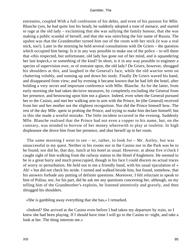entreaties, coupled With a full confession of his debts, and even of his passion for Mlle. Blanche (yes, he had quite lost his head), he suddenly adopted a tone of menace, and started to rage at the old lady – exclaiming that she was sullying the family honour, that she was making a public scandal of herself, and that she was smirching the fair name of Russia. The upshot was that the Grandmother turned him out of the room with her stick (it was a real stick, too!). Later in the morning he held several consultations with De Griers – the question which occupied him being: Is it in any way possible to make use of the police – to tell them that «this respected, but unfortunate, old lady has gone out of her mind, and is squandering her last kopeck,» or something of the kind? In short, is it in any way possible to engineer a species of supervision over, or of restraint upon, the old lady? De Griers, however, shrugged his shoulders at this, and laughed in the General's face, while the old warrior went on chattering volubly, and running up and down his study. Finally De Griers waved his hand, and disappeared from view; and by evening it became known that he had left the hotel, after holding a very secret and important conference with Mlle. Blanche. As for the latter, from early morning she had taken decisive measures, by completely excluding the General from her presence, and bestowing upon him not a glance. Indeed, even when the General pursued her to the Casino, and met her walking arm in arm with the Prince, he (the General) received from her and her mother not the slightest recognition. Nor did the Prince himself bow. The rest of the day Mlle. spent in probing the Prince, and trying to make him declare himself; but in this she made a woeful mistake. The little incident occurred in the evening. Suddenly Mlle. Blanche realised that the Prince had not even a copper to his name, but, on the contrary, was minded to borrow of her money wherewith to play at roulette. In high displeasure she drove him from her presence, and shut herself up in her room.

The same morning I went to see – or, rather, to look for  $-$  Mr. Astley, but was unsuccessful in my quest. Neither in his rooms nor in the Casino nor in the Park was he to be found; nor did he, that day, lunch at his hotel as usual. However, at about five o'clock I caught sight of him walking from the railway station to the Hotel d'Angleterre. He seemed to be in a great hurry and much preoccupied, though in his face I could discern no actual traces of worry or perturbation. He held out to me a friendly hand, with his usual ejaculation of « Ah! » but did not check his stride. I turned and walked beside him, but found, somehow, that his answers forbade any putting of definite questions. Moreover, I felt reluctant to speak to him of Polina; nor, for his part, did he ask me any questions concerning her, although, on my telling him of the Grandmother's exploits, he listened attentively and gravely, and then shrugged his shoulders.

«She is gambling away everything that she has,» I remarked.

 «Indeed? She arrived at the Casino even before I had taken my departure by train, so I knew she had been playing. If I should have time I will go to the Casino to−night, and take a look at her. The thing interests me.»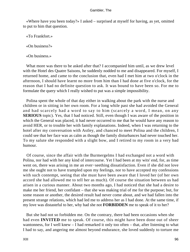«Where have you been today?» I asked – surprised at myself for having, as yet, omitted to put to him that question.

«To Frankfort.»

«On business?»

«On business.»

What more was there to be asked after that? I accompanied him until, as we drew level with the Hotel des Quatre Saisons, he suddenly nodded to me and disappeared. For myself, I returned home, and came to the conclusion that, even had I met him at two o'clock in the afternoon, I should have learnt no more from him than I had done at five o'clock, for the reason that I had no definite question to ask. It was bound to have been so. For me to formulate the query which I really wished to put was a simple impossibility.

 Polina spent the whole of that day either in walking about the park with the nurse and children or in sitting in her own room. For a long while past she had avoided the General and had scarcely had a word to say to him (scarcely a word, I mean, on any **SERIOUS** topic). Yes, that I had noticed. Still, even though I was aware of the position in which the General was placed, it had never occurred to me that he would have any reason to avoid HER, or to trouble her with family explanations. Indeed, when I was returning to the hotel after my conversation with Astley, and chanced to meet Polina and the children, I could see that her face was as calm as though the family disturbances had never touched her. To my salute she responded with a slight bow, and I retired to my room in a very bad humour.

 Of course, since the affair with the Burmergelms I had exchanged not a word with Polina, nor had with her any kind of intercourse. Yet I had been at my wits' end, for, as time went on, there was arising in me an ever−seething dissatisfaction. Even if she did not love me she ought not to have trampled upon my feelings, nor to have accepted my confessions with such contempt, seeing that she must have been aware that I loved her (of her own accord she had allowed me to tell her as much). Of course the situation between us had arisen in a curious manner. About two months ago, I had noticed that she had a desire to make me her friend, her confidant – that she was making trial of me for the purpose; but, for some reason or another, the desired result had never come about, and we had fallen into the present strange relations, which had led me to address her as I had done. At the same time, if my love was distasteful to her, why had she not **FORBIDDEN** me to speak of it to her?

 But she had not so forbidden me. On the contrary, there had been occasions when she had even **INVITED** me to speak. Of course, this might have been done out of sheer wantonness, for I well knew – I had remarked it only too often – that, after listening to what I had to say, and angering me almost beyond endurance, she loved suddenly to torture me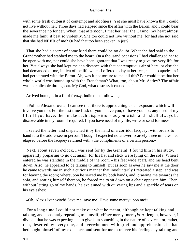with some fresh outburst of contempt and aloofness! Yet she must have known that I could not live without her. Three days had elapsed since the affair with the Baron, and I could bear the severance no longer. When, that afternoon, I met her near the Casino, my heart almost made me faint, it beat so violently. She too could not live without me, for had she not said that she had **NEED** of me? Or had that too been spoken in jest?

 That she had a secret of some kind there could be no doubt. What she had said to the Grandmother had stabbed me to the heart. On a thousand occasions I had challenged her to be open with me, nor could she have been ignorant that I was ready to give my very life for her. Yet always she had kept me at a distance with that contemptuous air of hers; or else she had demanded of me, in lieu of the life which I offered to lay at her feet, such escapades as I had perpetrated with the Baron. Ah, was it not torture to me, all this? For could it be that her whole world was bound up with the Frenchman? What, too, about Mr. Astley? The affair was inexplicable throughout. My God, what distress it caused me!

Arrived home, I, in a fit of frenzy, indited the following:

 «Polina Alexandrovna, I can see that there is approaching us an exposure which will involve you too. For the last time I ask of you – have you, or have you not, any need of my life? If you have, then make such dispositions as you wish, and I shall always be discoverable in my room if required. If you have need of my life, write or send for me.»

 I sealed the letter, and dispatched it by the hand of a corridor lacquey, with orders to hand it to the addressee in person. Though I expected no answer, scarcely three minutes had elapsed before the lacquey returned with «the compliments of a certain person.»

 Next, about seven o'clock, I was sent for by the General. I found him in his study, apparently preparing to go out again, for his hat and stick were lying on the sofa. When I entered he was standing in the middle of the room – his feet wide apart, and his head bent down. Also, he appeared to be talking to himself. But as soon as ever he saw me at the door he came towards me in such a curious manner that involuntarily I retreated a step, and was for leaving the room; whereupon he seized me by both hands, and, drawing me towards the sofa, and seating himself thereon, he forced me to sit down on a chair opposite him. Then, without letting go of my hands, he exclaimed with quivering lips and a sparkle of tears on his eyelashes:

«Oh, Alexis Ivanovitch! Save me, save me! Have some mercy upon me!»

 For a long time I could not make out what he meant, although he kept talking and talking, and constantly repeating to himself, «Have mercy, mercy!» At length, however, I divined that he was expecting me to give him something in the nature of advice – or, rather, that, deserted by every one, and overwhelmed with grief and apprehension, he had bethought himself of my existence, and sent for me to relieve his feelings by talking and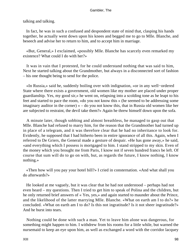talking and talking.

 In fact, he was in such a confused and despondent state of mind that, clasping his hands together, he actually went down upon his knees and begged me to go to Mlle. Blanche, and beseech and advise her to return to him, and to accept him in marriage.

 «But, General,» I exclaimed, «possibly Mlle. Blanche has scarcely even remarked my existence? What could I do with her?»

 It was in vain that I protested, for he could understand nothing that was said to him, Next he started talking about the Grandmother, but always in a disconnected sort of fashion – his one thought being to send for the police.

 «In Russia,» said he, suddenly boiling over with indignation, «or in any well−ordered State where there exists a government, old women like my mother are placed under proper guardianship. Yes, my good sir,» he went on, relapsing into a scolding tone as he leapt to his feet and started to pace the room, «do you not know this » (he seemed to be addressing some imaginary auditor in the corner) « – do you not know this, that in Russia old women like her are subjected to restraint, the devil take them?» Again he threw himself down upon the sofa.

 A minute later, though sobbing and almost breathless, he managed to gasp out that Mlle. Blanche had refused to marry him, for the reason that the Grandmother had turned up in place of a telegram, and it was therefore clear that he had no inheritance to look for. Evidently, he supposed that I had hitherto been in entire ignorance of all this. Again, when I referred to De Griers, the General made a gesture of despair. «He has gone away,» he said, «and everything which I possess is mortgaged to him. I stand stripped to my skin. Even of the money which you brought me from Paris, I know not if seven hundred francs be left. Of course that sum will do to go on with, but, as regards the future, I know nothing, I know nothing.»

 «Then how will you pay your hotel bill?» I cried in consternation. «And what shall you do afterwards?»

 He looked at me vaguely, but it was clear that he had not understood – perhaps had not even heard – my questions. Then I tried to get him to speak of Polina and the children, but he only returned brief answers of « Yes, yes,» and again started to maunder about the Prince, and the likelihood of the latter marrying Mlle. Blanche. «What on earth am I to do?» he concluded. «What on earth am I to do? Is this not ingratitude? Is it not sheer ingratitude?» And he burst into tears.

 Nothing could be done with such a man. Yet to leave him alone was dangerous, for something might happen to him. I withdrew from his rooms for a little while, but warned the nursemaid to keep an eye upon him, as well as exchanged a word with the corridor lacquey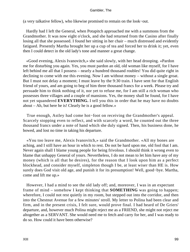(a very talkative fellow), who likewise promised to remain on the look−out.

 Hardly had I left the General, when Potapitch approached me with a summons from the Grandmother. It was now eight o'clock, and she had returned from the Casino after finally losing all that she possessed. I found her sitting in her chair – much distressed and evidently fatigued. Presently Martha brought her up a cup of tea and forced her to drink it; yet, even then I could detect in the old lady's tone and manner a great change.

 «Good evening, Alexis Ivanovitch,» she said slowly, with her head drooping. «Pardon me for disturbing you again. Yes, you must pardon an old, old woman like myself, for I have left behind me all that I possess – nearly a hundred thousand roubles! You did quite right in declining to come with me this evening. Now I am without money – without a single groat. But I must not delay a moment; I must leave by the 9:30 train. I have sent for that English friend of yours, and am going to beg of him three thousand francs for a week. Please try and persuade him to think nothing of it, nor yet to refuse me, for I am still a rich woman who possesses three villages and a couple of mansions. Yes, the money shall be found, for I have not yet squandered **EVERYTHING.** I tell you this in order that he may have no doubts about – Ah, but here he is! Clearly he is a good fellow.»

 True enough, Astley had come hot−foot on receiving the Grandmother's appeal. Scarcely stopping even to reflect, and with scarcely a word, he counted out the three thousand francs under a note of hand which she duly signed. Then, his business done, he bowed, and lost no time in taking his departure.

 «You too leave me, Alexis Ivanovitch,» said the Grandmother. «All my bones are aching, and I still have an hour in which to rest. Do not be hard upon me, old fool that I am. Never again shall I blame young people for being frivolous. I should think it wrong even to blame that unhappy General of yours. Nevertheless, I do not mean to let him have any of my money (which is all that he desires), for the reason that I look upon him as a perfect blockhead, and consider myself, simpleton though I be, at least wiser than HE is. How surely does God visit old age, and punish it for its presumption! Well, good−bye. Martha, come and lift me up.»

 However, I had a mind to see the old lady off; and, moreover, I was in an expectant frame of mind – somehow I kept thinking that **SOMETHING** was going to happen; wherefore, I could not rest quietly in my room, but stepped out into the corridor, and then into the Chestnut Avenue for a few minutes' stroll. My letter to Polina had been clear and firm, and in the present crisis, I felt sure, would prove final. I had heard of De Griers' departure, and, however much Polina might reject me as a FRIEND, she might not reject me altogether as a SERVANT. She would need me to fetch and carry for her, and I was ready to do so. How could it have been otherwise?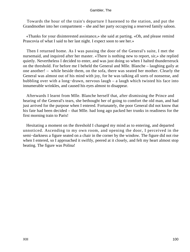Towards the hour of the train's departure I hastened to the station, and put the Grandmother into her compartment – she and her party occupying a reserved family saloon.

 «Thanks for your disinterested assistance,» she said at parting. «Oh, and please remind Prascovia of what I said to her last night. I expect soon to see her.»

 Then I returned home. As I was passing the door of the General's suite, I met the nursemaid, and inquired after her master. «There is nothing new to report, sir,» she replied quietly. Nevertheless I decided to enter, and was just doing so when I halted thunderstruck on the threshold. For before me I beheld the General and Mlle. Blanche – laughing gaily at one another! – while beside them, on the sofa, there was seated her mother. Clearly the General was almost out of his mind with joy, for he was talking all sorts of nonsense, and bubbling over with a long−drawn, nervous laugh – a laugh which twisted his face into innumerable wrinkles, and caused his eyes almost to disappear.

 Afterwards I learnt from Mlle. Blanche herself that, after dismissing the Prince and hearing of the General's tears, she bethought her of going to comfort the old man, and had just arrived for the purpose when I entered. Fortunately, the poor General did not know that his fate had been decided – that Mlle. had long ago packed her trunks in readiness for the first morning train to Paris!

 Hesitating a moment on the threshold I changed my mind as to entering, and departed unnoticed. Ascending to my own room, and opening the door, I perceived in the semi−darkness a figure seated on a chair in the corner by the window. The figure did not rise when I entered, so I approached it swiftly, peered at it closely, and felt my heart almost stop beating. The figure was Polina!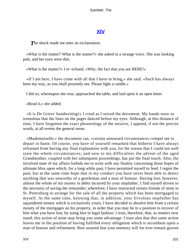# **[XIV](#page-135-0)**

The shock made me utter an exclamation.

 «What is the matter? What is the matter?» she asked in a strange voice. She was looking pale, and her eyes were dim.

«What is the matter?» I re−echoed. «Why, the fact that you are HERE!»

 «If I am here, I have come with all that I have to bring,» she said. «Such has always been my way, as you shall presently see. Please light a candle.»

I did so; whereupon she rose, approached the table, and laid upon it an open letter.

«Read it,» she added.

 «It is De Griers' handwriting!» I cried as I seized the document. My hands were so tremulous that the lines on the pages danced before my eyes. Although, at this distance of time, I have forgotten the exact phraseology of the missive, I append, if not the precise words, at all events the general sense.

 «Mademoiselle,» the document ran, «certain untoward circumstances compel me to depart in haste. Of course, you have of yourself remarked that hitherto I have always refrained from having any final explanation with you, for the reason that I could not well state the whole circumstances; and now to my difficulties the advent of the aged Grandmother, coupled with her subsequent proceedings, has put the final touch. Also, the involved state of my affairs forbids me to write with any finality concerning those hopes of ultimate bliss upon which, for a long while past, I have permitted myself to feed. I regret the past, but at the same time hope that in my conduct you have never been able to detect anything that was unworthy of a gentleman and a man of honour. Having lost, however, almost the whole of my money in debts incurred by your stepfather, I find myself driven to the necessity of saving the remainder; wherefore, I have instructed certain friends of mine in St. Petersburg to arrange for the sale of all the property which has been mortgaged to myself. At the same time, knowing that, in addition, your frivolous stepfather has squandered money which is exclusively yours, I have decided to absolve him from a certain moiety of the mortgages on his property, in order that you may be in a position to recover of him what you have lost, by suing him in legal fashion. I trust, therefore, that, as matters now stand, this action of mine may bring you some advantage. I trust also that this same action leaves me in the position of having fulfilled every obligation which is incumbent upon a man of honour and refinement. Rest assured that your memory will for ever remain graven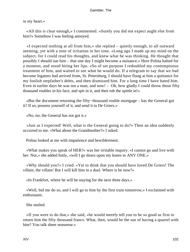in my heart.»

 «All this is clear enough,» I commented. «Surely you did not expect aught else from him?» Somehow I was feeling annoyed.

 «I expected nothing at all from him,» she replied – quietly enough, to all outward seeming, yet with a note of irritation in her tone. «Long ago I made up my mind on the subject, for I could read his thoughts, and knew what he was thinking. He thought that possibly I should sue him – that one day I might become a nuisance.» Here Polina halted for a moment, and stood biting her lips. «So of set purpose I redoubled my contemptuous treatment of him, and waited to see what he would do. If a telegram to say that we had become legatees had arrived from, St. Petersburg, I should have flung at him a quittance for my foolish stepfather's debts, and then dismissed him. For a long time I have hated him. Even in earlier days he was not a man; and now! – Oh, how gladly I could throw those fifty thousand roubles in his face, and spit in it, and then rub the spittle in!»

 «But the document returning the fifty−thousand rouble mortgage – has the General got it? If so, possess yourself of it, and send it to De Griers.»

«No, no; the General has not got it.»

 «Just as I expected! Well, what is the General going to do?» Then an idea suddenly occurred to me. «What about the Grandmother?» I asked.

Polina looked at me with impatience and bewilderment.

 «What makes you speak of HER?» was her irritable inquiry. «I cannot go and live with her. Nor,» she added hotly, «will I go down upon my knees to ANY ONE.»

 «Why should you?» I cried. «Yet to think that you should have loved De Griers! The villain, the villain! But I will kill him in a duel. Where is he now?»

«In Frankfort, where he will be staying for the next three days.»

 «Well, bid me do so, and I will go to him by the first train tomorrow,» I exclaimed with enthusiasm.

She smiled.

 «If you were to do that,» she said, «he would merely tell you to be so good as first to return him the fifty thousand francs. What, then, would be the use of having a quarrel with him? You talk sheer nonsense.»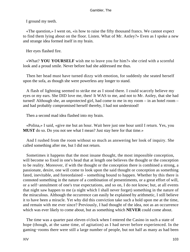I ground my teeth.

 «The question,» I went on, «is how to raise the fifty thousand francs. We cannot expect to find them lying about on the floor. Listen. What of Mr. Astley?» Even as I spoke a new and strange idea formed itself in my brain.

Her eyes flashed fire.

 «What? **YOU YOURSELF** wish me to leave you for him?» she cried with a scornful look and a proud smile. Never before had she addressed me thus.

 Then her head must have turned dizzy with emotion, for suddenly she seated herself upon the sofa, as though she were powerless any longer to stand.

 A flash of lightning seemed to strike me as I stood there. I could scarcely believe my eyes or my ears. She DID love me, then! It WAS to me, and not to Mr. Astley, that she had turned! Although she, an unprotected girl, had come to me in my room – in an hotel room – and had probably compromised herself thereby, I had not understood!

Then a second mad idea flashed into my brain.

 «Polina,» I said, «give me but an hour. Wait here just one hour until I return. Yes, you **MUST** do so. Do you not see what I mean? Just stay here for that time.»

 And I rushed from the room without so much as answering her look of inquiry. She called something after me, but I did not return.

 Sometimes it happens that the most insane thought, the most impossible conception, will become so fixed in one's head that at length one believes the thought or the conception to be reality. Moreover, if with the thought or the conception there is combined a strong, a passionate, desire, one will come to look upon the said thought or conception as something fated, inevitable, and foreordained – something bound to happen. Whether by this there is connoted something in the nature of a combination of presentiments, or a great effort of will, or a self−annulment of one's true expectations, and so on, I do not know; but, at all events that night saw happen to me (a night which I shall never forget) something in the nature of the miraculous. Although the occurrence can easily be explained by arithmetic, I still believe it to have been a miracle. Yet why did this conviction take such a hold upon me at the time, and remain with me ever since? Previously, I had thought of the idea, not as an occurrence which was ever likely to come about, but as something which **NEVER** could come about.

 The time was a quarter past eleven o'clock when I entered the Casino in such a state of hope (though, at the same time, of agitation) as I had never before experienced. In the gaming−rooms there were still a large number of people, but not half as many as had been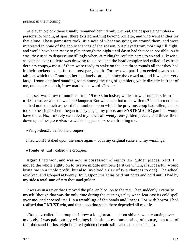present in the morning.

 At eleven o'clock there usually remained behind only the real, the desperate gamblers – persons for whom, at spas, there existed nothing beyond roulette, and who went thither for that alone. These gamesters took little note of what was going on around them, and were interested in none of the appurtenances of the season, but played from morning till night, and would have been ready to play through the night until dawn had that been possible. As it was, they used to disperse unwillingly when, at midnight, roulette came to an end. Likewise, as soon as ever roulette was drawing to a close and the head croupier had called «Les trois derniers coups,» most of them were ready to stake on the last three rounds all that they had in their pockets – and, for the most part, lost it. For my own part I proceeded towards the table at which the Grandmother had lately sat; and, since the crowd around it was not very large, I soon obtained standing room among the ring of gamblers, while directly in front of me, on the green cloth, I saw marked the word «Passe.»

 «Passe» was a row of numbers from 19 to 36 inclusive; while a row of numbers from 1 to 18 inclusive was known as «Manque.» But what had that to do with me? I had not noticed – I had not so much as heard the numbers upon which the previous coup had fallen, and so took no bearings when I began to play, as, in my place, any **SYSTEMATIC** gambler would have done. No, I merely extended my stock of twenty ten−gulden pieces, and threw them down upon the space «Passe» which happened to be confronting me.

«Vingt−deux!» called the croupier.

I had won! I staked upon the same again – both my original stake and my winnings.

«Trente−et−un!» called the croupier.

 Again I had won, and was now in possession of eighty ten−gulden pieces. Next, I moved the whole eighty on to twelve middle numbers (a stake which, if successful, would bring me in a triple profit, but also involved a risk of two chances to one). The wheel revolved, and stopped at twenty−four. Upon this I was paid out notes and gold until I had by my side a total sum of two thousand gulden.

 It was as in a fever that I moved the pile, en bloc, on to the red. Then suddenly I came to myself (though that was the only time during the evening's play when fear cast its cold spell over me, and showed itself in a trembling of the hands and knees). For with horror I had realised that **I MUST** win, and that upon that stake there depended all my life.

 «Rouge!» called the croupier. I drew a long breath, and hot shivers went coursing over my body. I was paid out my winnings in bank−notes – amounting, of course, to a total of four thousand florins, eight hundred gulden (I could still calculate the amounts).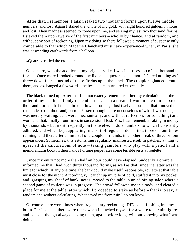After that, I remember, I again staked two thousand florins upon twelve middle numbers, and lost. Again I staked the whole of my gold, with eight hundred gulden, in notes, and lost. Then madness seemed to come upon me, and seizing my last two thousand florins, I staked them upon twelve of the first numbers – wholly by chance, and at random, and without any sort of reckoning. Upon my doing so there followed a moment of suspense only comparable to that which Madame Blanchard must have experienced when, in Paris, she was descending earthwards from a balloon.

«Quatre!» called the croupier.

 Once more, with the addition of my original stake, I was in possession of six thousand florins! Once more I looked around me like a conqueror – once more I feared nothing as I threw down four thousand of these florins upon the black. The croupiers glanced around them, and exchanged a few words; the bystanders murmured expectantly.

 The black turned up. After that I do not exactly remember either my calculations or the order of my stakings. I only remember that, as in a dream, I won in one round sixteen thousand florins; that in the three following rounds, I lost twelve thousand; that I moved the remainder (four thousand) on to «Passe» (though quite unconscious of what I was doing – I was merely waiting, as it were, mechanically, and without reflection, for something) and won; and that, finally, four times in succession I lost. Yes, I can remember raking in money by thousands – but most frequently on the twelve, middle numbers, to which I constantly adhered, and which kept appearing in a sort of regular order – first, three or four times running, and then, after an interval of a couple of rounds, in another break of three or four appearances. Sometimes, this astonishing regularity manifested itself in patches; a thing to upset all the calculations of note – taking gamblers who play with a pencil and a memorandum book in their hands Fortune perpetrates some terrible jests at roulette!

 Since my entry not more than half an hour could have elapsed. Suddenly a croupier informed me that I had, won thirty thousand florins, as well as that, since the latter was the limit for which, at any one time, the bank could make itself responsible, roulette at that table must close for the night. Accordingly, I caught up my pile of gold, stuffed it into my pocket, and, grasping my sheaf of bank−notes, moved to the table in an adjoining salon where a second game of roulette was in progress. The crowd followed me in a body, and cleared a place for me at the table; after which, I proceeded to stake as before – that is to say, at random and without calculating. What saved me from ruin I do not know.

 Of course there were times when fragmentary reckonings DID come flashing into my brain. For instance, there were times when I attached myself for a while to certain figures and coups – though always leaving them, again before long, without knowing what I was doing.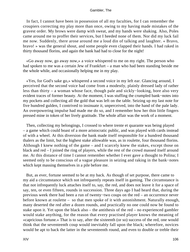In fact, I cannot have been in possession of all my faculties, for I can remember the croupiers correcting my play more than once, owing to my having made mistakes of the gravest order. My brows were damp with sweat, and my hands were shaking. Also, Poles came around me to proffer their services, but I heeded none of them. Nor did my luck fail me now. Suddenly, there arose around me a loud din of talking and laughter. « Bravo, bravo! » was the general shout, and some people even clapped their hands. I had raked in thirty thousand florins, and again the bank had had to close for the night!

 «Go away now, go away now,» a voice whispered to me on my right. The person who had spoken to me was a certain Jew of Frankfurt – a man who had been standing beside me the whole while, and occasionally helping me in my play.

 «Yes, for God's sake go,» whispered a second voice in my left ear. Glancing around, I perceived that the second voice had come from a modestly, plainly dressed lady of rather less than thirty – a woman whose face, though pale and sickly−looking, bore also very evident traces of former beauty. At the moment, I was stuffing the crumpled bank−notes into my pockets and collecting all the gold that was left on the table. Seizing up my last note for five hundred gulden, I contrived to insinuate it, unperceived, into the hand of the pale lady. An overpowering impulse had made me do so, and I remember how her thin little fingers pressed mine in token of her lively gratitude. The whole affair was the work of a moment.

 Then, collecting my belongings, I crossed to where trente et quarante was being played – a game which could boast of a more aristocratic public, and was played with cards instead of with a wheel. At this diversion the bank made itself responsible for a hundred thousand thalers as the limit, but the highest stake allowable was, as in roulette, four thousand florins. Although I knew nothing of the game – and I scarcely knew the stakes, except those on black and red – I joined the ring of players, while the rest of the crowd massed itself around me. At this distance of time I cannot remember whether I ever gave a thought to Polina; I seemed only to be conscious of a vague pleasure in seizing and raking in the bank−notes which kept massing themselves in a pile before me.

 But, as ever, fortune seemed to be at my back. As though of set purpose, there came to my aid a circumstance which not infrequently repeats itself in gaming. The circumstance is that not infrequently luck attaches itself to, say, the red, and does not leave it for a space of say, ten, or even fifteen, rounds in succession. Three days ago I had heard that, during the previous week there had been a run of twenty−two coups on the red – an occurrence never before known at roulette – so that men spoke of it with astonishment. Naturally enough, many deserted the red after a dozen rounds, and practically no one could now be found to stake upon it. Yet upon the black also – the antithesis of the red – no experienced gambler would stake anything, for the reason that every practised player knows the meaning of «capricious fortune.» That is to say, after the sixteenth (or so) success of the red, one would think that the seventeenth coup would inevitably fall upon the black; wherefore, novices would be apt to back the latter in the seventeenth round, and even to double or treble their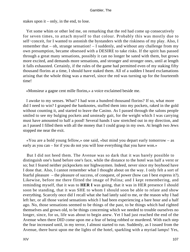stakes upon it – only, in the end, to lose.

 Yet some whim or other led me, on remarking that the red had come up consecutively for seven times, to attach myself to that colour. Probably this was mostly due to self−conceit, for I wanted to astonish the bystanders with the riskiness of my play. Also, I remember that – oh, strange sensation! – I suddenly, and without any challenge from my own presumption, became obsessed with a DESIRE to take risks. If the spirit has passed through a great many sensations, possibly it can no longer be sated with them, but grows more excited, and demands more sensations, and stronger and stronger ones, until at length it falls exhausted. Certainly, if the rules of the game had permitted even of my staking fifty thousand florins at a time, I should have staked them. All of a sudden I heard exclamations arising that the whole thing was a marvel, since the red was turning up for the fourteenth time!

«Monsieur a gagne cent mille florins,» a voice exclaimed beside me.

 I awoke to my senses. What? I had won a hundred thousand florins? If so, what more did I need to win? I grasped the banknotes, stuffed them into my pockets, raked in the gold without counting it, and started to leave the Casino. As I passed through the salons people smiled to see my bulging pockets and unsteady gait, for the weight which I was carrying must have amounted to half a pood! Several hands I saw stretched out in my direction, and as I passed I filled them with all the money that I could grasp in my own. At length two Jews stopped me near the exit.

 «You are a bold young fellow,» one said, «but mind you depart early tomorrow – as early as you can – for if you do not you will lose everything that you have won.»

 But I did not heed them. The Avenue was so dark that it was barely possible to distinguish one's hand before one's face, while the distance to the hotel was half a verst or so; but I feared neither pickpockets nor highwaymen. Indeed, never since my boyhood have I done that. Also, I cannot remember what I thought about on the way. I only felt a sort of fearful pleasure – the pleasure of success, of conquest, of power (how can I best express it?). Likewise, before me there flitted the image of Polina; and I kept remembering, and reminding myself, that it was to **HER I** was going, that it was in HER presence I should soon be standing, that it was SHE to whom I should soon be able to relate and show everything. Scarcely once did I recall what she had lately said to me, or the reason why I had left her, or all those varied sensations which I had been experiencing a bare hour and a half ago. No, those sensations seemed to be things of the past, to be things which had righted themselves and grown old, to be things concerning which we needed to trouble ourselves no longer, since, for us, life was about to begin anew. Yet I had just reached the end of the Avenue when there DID come upon me a fear of being robbed or murdered. With each step the fear increased until, in my terror, I almost started to run. Suddenly, as I issued from the Avenue, there burst upon me the lights of the hotel, sparkling with a myriad lamps! Yes,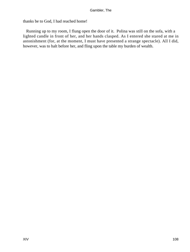thanks be to God, I had reached home!

 Running up to my room, I flung open the door of it. Polina was still on the sofa, with a lighted candle in front of her, and her hands clasped. As I entered she stared at me in astonishment (for, at the moment, I must have presented a strange spectacle). All I did, however, was to halt before her, and fling upon the table my burden of wealth.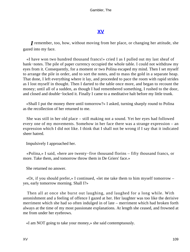# **[XV](#page-135-0)**

<span id="page-109-0"></span>*I* remember, too, how, without moving from her place, or changing her attitude, she gazed into my face.

 «I have won two hundred thousand francs!» cried I as I pulled out my last sheaf of bank−notes. The pile of paper currency occupied the whole table. I could not withdraw my eyes from it. Consequently, for a moment or two Polina escaped my mind. Then I set myself to arrange the pile in order, and to sort the notes, and to mass the gold in a separate heap. That done, I left everything where it lay, and proceeded to pace the room with rapid strides as I lost myself in thought. Then I darted to the table once more, and began to recount the money; until all of a sudden, as though I had remembered something, I rushed to the door, and closed and double−locked it. Finally I came to a meditative halt before my little trunk.

 «Shall I put the money there until tomorrow?» I asked, turning sharply round to Polina as the recollection of her returned to me.

 She was still in her old place – still making not a sound. Yet her eyes had followed every one of my movements. Somehow in her face there was a strange expression – an expression which I did not like. I think that I shall not be wrong if I say that it indicated sheer hatred.

Impulsively I approached her.

 «Polina,» I said, «here are twenty−five thousand florins – fifty thousand francs, or more. Take them, and tomorrow throw them in De Griers' face.»

She returned no answer.

 «Or, if you should prefer,» I continued, «let me take them to him myself tomorrow – yes, early tomorrow morning. Shall I?»

 Then all at once she burst out laughing, and laughed for a long while. With astonishment and a feeling of offence I gazed at her. Her laughter was too like the derisive merriment which she had so often indulged in of late – merriment which had broken forth always at the time of my most passionate explanations. At length she ceased, and frowned at me from under her eyebrows.

«I am NOT going to take your money,» she said contemptuously.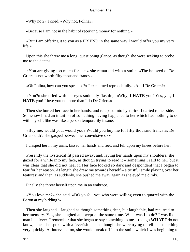«Why not?» I cried. «Why not, Polina?»

«Because I am not in the habit of receiving money for nothing.»

 «But I am offering it to you as a FRIEND in the same way I would offer you my very life.»

 Upon this she threw me a long, questioning glance, as though she were seeking to probe me to the depths.

 «You are giving too much for me,» she remarked with a smile. «The beloved of De Griers is not worth fifty thousand francs.»

«Oh Polina, how can you speak so?» I exclaimed reproachfully. «Am **I De** Griers?»

 «You?» she cried with her eyes suddenly flashing. «Why, **I HATE** you! Yes, yes, **I HATE** you! I love you no more than I do De Griers.»

 Then she buried her face in her hands, and relapsed into hysterics. I darted to her side. Somehow I had an intuition of something having happened to her which had nothing to do with myself. She was like a person temporarily insane.

 «Buy me, would you, would you? Would you buy me for fifty thousand francs as De Griers did?» she gasped between her convulsive sobs.

I clasped her in my arms, kissed her hands and feet, and fell upon my knees before her.

 Presently the hysterical fit passed away, and, laying her hands upon my shoulders, she gazed for a while into my face, as though trying to read it – something I said to her, but it was clear that she did not hear it. Her face looked so dark and despondent that I began to fear for her reason. At length she drew me towards herself – a trustful smile playing over her features; and then, as suddenly, she pushed me away again as she eyed me dimly.

Finally she threw herself upon me in an embrace.

 «You love me?» she said. «DO you? – you who were willing even to quarrel with the Baron at my bidding?»

 Then she laughed – laughed as though something dear, but laughable, had recurred to her memory. Yes, she laughed and wept at the same time. What was I to do? I was like a man in a fever. I remember that she began to say something to me – though **WHAT I** do not know, since she spoke with a feverish lisp, as though she were trying to tell me something very quickly. At intervals, too, she would break off into the smile which I was beginning to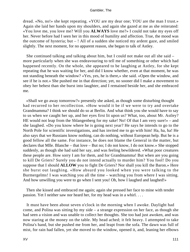dread. «No, no!» she kept repeating. «YOU are my dear one; YOU are the man I trust.» Again she laid her hands upon my shoulders, and again she gazed at me as she reiterated: «You love me, you love me? Will you **ALWAYS** love me?» I could not take my eyes off her. Never before had I seen her in this mood of humility and affection. True, the mood was the outcome of hysteria; but – ! All of a sudden she noticed my ardent gaze, and smiled slightly. The next moment, for no apparent reason, she began to talk of Astley.

 She continued talking and talking about him, but I could not make out all she said – more particularly when she was endeavouring to tell me of something or other which had happened recently. On the whole, she appeared to be laughing at Astley, for she kept repeating that he was waiting for her, and did I know whether, even at that moment, he was not standing beneath the window? «Yes, yes, he is there,» she said. «Open the window, and see if he is not.» She pushed me in that direction; yet, no sooner did I make a movement to obey her behest than she burst into laughter, and I remained beside her, and she embraced me.

 «Shall we go away tomorrow?» presently she asked, as though some disturbing thought had recurred to her recollection. «How would it be if we were to try and overtake Grandmamma? I think we should do so at Berlin. And what think you she would have to say to us when we caught her up, and her eyes first lit upon us? What, too, about Mr. Astley? HE would not leap from the Shlangenberg for my sake! No! Of that I am very sure!» – and she laughed. «Do you know where he is going next year? He says he intends to go to the North Pole for scientific investigations, and has invited me to go with him! Ha, ha, ha! He also says that we Russians know nothing, can do nothing, without European help. But he is a good fellow all the same. For instance, he does not blame the General in the matter, but declares that Mlle. Blanche – that love – But no; I do not know, I do not know.» She stopped suddenly, as though she had said her say, and was feeling bewildered. «What poor creatures these people are. How sorry I am for them, and for Grandmamma! But when are you going to kill De Griers? Surely you do not intend actually to murder him? You fool! Do you suppose that I should **ALLOW** you to fight De Griers? Nor shall you kill the Baron.» Here she burst out laughing. «How absurd you looked when you were talking to the Burmergelms! I was watching you all the time – watching you from where I was sitting. And how unwilling you were to go when I sent you! Oh, how I laughed and laughed!»

 Then she kissed and embraced me again; again she pressed her face to mine with tender passion. Yet I neither saw nor heard her, for my head was in a whirl. . . .

 It must have been about seven o'clock in the morning when I awoke. Daylight had come, and Polina was sitting by my side – a strange expression on her face, as though she had seen a vision and was unable to collect her thoughts. She too had just awoken, and was now staring at the money on the table. My head ached; it felt heavy. I attempted to take Polina's hand, but she pushed me from her, and leapt from the sofa. The dawn was full of mist, for rain had fallen, yet she moved to the window, opened it, and, leaning her elbows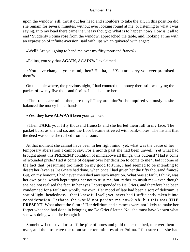upon the window−sill, thrust out her head and shoulders to take the air. In this position did she remain for several minutes, without ever looking round at me, or listening to what I was saying. Into my head there came the uneasy thought: What is to happen now? How is it all to end? Suddenly Polina rose from the window, approached the table, and, looking at me with an expression of infinite aversion, said with lips which quivered with anger:

«Well? Are you going to hand me over my fifty thousand francs?»

«Polina, you say that **AGAIN,** AGAIN?» I exclaimed.

 «You have changed your mind, then? Ha, ha, ha! You are sorry you ever promised them?»

 On the table where, the previous night, I had counted the money there still was lying the packet of twenty five thousand florins. I handed it to her.

 «The francs are mine, then, are they? They are mine?» she inquired viciously as she balanced the money in her hands.

«Yes; they have **ALWAYS** been yours,» I said.

 «Then **TAKE** your fifty thousand francs!» and she hurled them full in my face. The packet burst as she did so, and the floor became strewed with bank−notes. The instant that the deed was done she rushed from the room.

 At that moment she cannot have been in her right mind; yet, what was the cause of her temporary aberration I cannot say. For a month past she had been unwell. Yet what had brought about this **PRESENT** condition of mind,above all things, this outburst? Had it come of wounded pride? Had it come of despair over her decision to come to me? Had it come of the fact that, presuming too much on my good fortune, I had seemed to be intending to desert her (even as De Griers had done) when once I had given her the fifty thousand francs? But, on my honour, I had never cherished any such intention. What was at fault, I think, was her own pride, which kept urging her not to trust me, but, rather, to insult me – even though she had not realised the fact. In her eyes I corresponded to De Griers, and therefore had been condemned for a fault not wholly my own. Her mood of late had been a sort of delirium, a sort of light−headedness – that I knew full well; yet, never had I sufficiently taken it into consideration. Perhaps she would not pardon me now? Ah, but this was **THE PRESENT.** What about the future? Her delirium and sickness were not likely to make her forget what she had done in bringing me De Griers' letter. No, she must have known what she was doing when she brought it.

 Somehow I contrived to stuff the pile of notes and gold under the bed, to cover them over, and then to leave the room some ten minutes after Polina. I felt sure that she had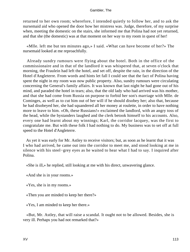returned to her own room; wherefore, I intended quietly to follow her, and to ask the nursemaid aid who opened the door how her mistress was. Judge, therefore, of my surprise when, meeting the domestic on the stairs, she informed me that Polina had not yet returned, and that she (the domestic) was at that moment on her way to my room in quest of her!

 «Mlle. left me but ten minutes ago,» I said. «What can have become of her?» The nursemaid looked at me reproachfully.

 Already sundry rumours were flying about the hotel. Both in the office of the commissionaire and in that of the landlord it was whispered that, at seven o'clock that morning, the Fraulein had left the hotel, and set off, despite the rain, in the direction of the Hotel d'Angleterre. From words and hints let fall I could see that the fact of Polina having spent the night in my room was now public property. Also, sundry rumours were circulating concerning the General's family affairs. It was known that last night he had gone out of his mind, and paraded the hotel in tears; also, that the old lady who had arrived was his mother, and that she had come from Russia on purpose to forbid her son's marriage with Mlle. de Cominges, as well as to cut him out of her will if he should disobey her; also that, because he had disobeyed her, she had squandered all her money at roulette, in order to have nothing more to leave to him. «Oh, these Russians!» exclaimed the landlord, with an angry toss of the head, while the bystanders laughed and the clerk betook himself to his accounts. Also, every one had learnt about my winnings; Karl, the corridor lacquey, was the first to congratulate me. But with these folk I had nothing to do. My business was to set off at full speed to the Hotel d'Angleterre.

 As yet it was early for Mr. Astley to receive visitors; but, as soon as he learnt that it was I who had arrived, he came out into the corridor to meet me, and stood looking at me in silence with his steel−grey eyes as he waited to hear what I had to say. I inquired after Polina.

«She is ill,» he replied, still looking at me with his direct, unwavering glance.

«And she is in your rooms.»

«Yes, she is in my rooms.»

«Then you are minded to keep her there?»

«Yes, I am minded to keep her there.»

 «But, Mr. Astley, that will raise a scandal. It ought not to be allowed. Besides, she is very ill. Perhaps you had not remarked that?»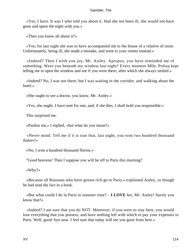«Yes, I have. It was I who told you about it. Had she not been ill, she would not have gone and spent the night with you.»

«Then you know all about it?»

 «Yes; for last night she was to have accompanied me to the house of a relative of mine. Unfortunately, being ill, she made a mistake, and went to your rooms instead.»

 «Indeed? Then I wish you joy, Mr. Astley. Apropos, you have reminded me of something. Were you beneath my window last night? Every moment Mlle. Polina kept telling me to open the window and see if you were there; after which she always smiled.»

 «Indeed? No, I was not there; but I was waiting in the corridor, and walking about the hotel.»

«She ought to see a doctor, you know, Mr. Astley.»

«Yes, she ought. I have sent for one, and, if she dies, I shall hold you responsible.»

This surprised me.

«Pardon me,» I replied, «but what do you mean?»

 «Never mind. Tell me if it is true that, last night, you won two hundred thousand thalers?»

«No; I won a hundred thousand florins.»

"Good heavens! Then I suppose you will be off to Paris this morning?

«Why?»

 «Because all Russians who have grown rich go to Paris,» explained Astley, as though he had read the fact in a book.

 «But what could I do in Paris in summer time? – **I LOVE** her, Mr. Astley! Surely you know that?»

 «Indeed? I am sure that you do NOT. Moreover, if you were to stay here, you would lose everything that you possess, and have nothing left with which to pay your expenses in Paris. Well, good–bye now. I feel sure that today will see you gone from here.»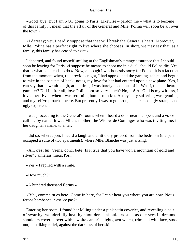«Good−bye. But I am NOT going to Paris. Likewise – pardon me – what is to become of this family? I mean that the affair of the General and Mlle. Polina will soon be all over the town.»

 «I daresay; yet, I hardly suppose that that will break the General's heart. Moreover, Mlle. Polina has a perfect right to live where she chooses. In short, we may say that, as a family, this family has ceased to exist.»

 I departed, and found myself smiling at the Englishman's strange assurance that I should soon be leaving for Paris. «I suppose he means to shoot me in a duel, should Polina die. Yes, that is what he intends to do.» Now, although I was honestly sorry for Polina, it is a fact that, from the moment when, the previous night, I had approached the gaming−table, and begun to rake in the packets of bank−notes, my love for her had entered upon a new plane. Yes, I can say that now; although, at the time, I was barely conscious of it. Was I, then, at heart a gambler? Did I, after all, love Polina not so very much? No, no! As God is my witness, I loved her! Even when I was returning home from Mr. Astley's my suffering was genuine, and my self−reproach sincere. But presently I was to go through an exceedingly strange and ugly experience.

 I was proceeding to the General's rooms when I heard a door near me open, and a voice call me by name. It was Mlle.'s mother, the Widow de Cominges who was inviting me, in her daughter's name, to enter.

 I did so; whereupon, I heard a laugh and a little cry proceed from the bedroom (the pair occupied a suite of two apartments), where Mlle. Blanche was just arising.

 «Ah, c'est lui! Viens, donc, bete! Is it true that you have won a mountain of gold and silver? J'aimerais mieux l'or.»

«Yes,» I replied with a smile.

«How much?»

«A hundred thousand florins.»

 «Bibi, comme tu es bete! Come in here, for I can't hear you where you are now. Nous ferons bombance, n'est−ce pas?»

 Entering her room, I found her lolling under a pink satin coverlet, and revealing a pair of swarthy, wonderfully healthy shoulders – shoulders such as one sees in dreams – shoulders covered over with a white cambric nightgown which, trimmed with lace, stood out, in striking relief, against the darkness of her skin.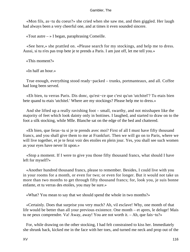«Mon fils, as−tu du coeur?» she cried when she saw me, and then giggled. Her laugh had always been a very cheerful one, and at times it even sounded sincere.

«Tout autre  $-$  » I began, paraphrasing Comeille.

 «See here,» she prattled on. «Please search for my stockings, and help me to dress. Aussi, si tu n'es pas trop bete je te prends a Paris. I am just off, let me tell you.»

«This moment?»

«In half an hour.»

 True enough, everything stood ready−packed – trunks, portmanteaux, and all. Coffee had long been served.

 «Eh bien, tu verras Paris. Dis donc, qu'est−ce que c'est qu'un 'utchitel'? Tu etais bien bete quand tu etais 'utchitel.' Where are my stockings? Please help me to dress.»

 And she lifted up a really ravishing foot – small, swarthy, and not misshapen like the majority of feet which look dainty only in bottines. I laughed, and started to draw on to the foot a silk stocking, while Mlle. Blanche sat on the edge of the bed and chattered.

 «Eh bien, que feras−tu si je te prends avec moi? First of all I must have fifty thousand francs, and you shall give them to me at Frankfurt. Then we will go on to Paris, where we will live together, et je te ferai voir des etoiles en plein jour. Yes, you shall see such women as your eyes have never lit upon.»

 «Stop a moment. If I were to give you those fifty thousand francs, what should I have left for myself?»

 «Another hundred thousand francs, please to remember. Besides, I could live with you in your rooms for a month, or even for two; or even for longer. But it would not take us more than two months to get through fifty thousand francs; for, look you, je suis bonne enfante, et tu verras des etoiles, you may be sure.»

«What? You mean to say that we should spend the whole in two months?»

 «Certainly. Does that surprise you very much? Ah, vil esclave! Why, one month of that life would be better than all your previous existence. One month – et apres, le deluge! Mais tu ne peux comprendre. Va! Away, away! You are not worth it. – Ah, que fais−tu?»

 For, while drawing on the other stocking, I had felt constrained to kiss her. Immediately she shrunk back, kicked me in the face with her toes, and turned me neck and prop out of the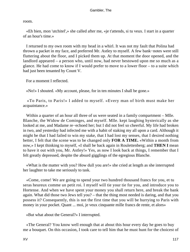room.

 «Eh bien, mon 'utchitel',» she called after me, «je t'attends, si tu veux. I start in a quarter of an hour's time.»

 I returned to my own room with my head in a whirl. It was not my fault that Polina had thrown a packet in my face, and preferred Mr. Astley to myself. A few bank−notes were still fluttering about the floor, and I picked them up. At that moment the door opened, and the landlord appeared – a person who, until now, had never bestowed upon me so much as a glance. He had come to know if I would prefer to move to a lower floor – to a suite which had just been tenanted by Count V.

For a moment I reflected.

«No!» I shouted. «My account, please, for in ten minutes I shall be gone.»

 «To Paris, to Paris!» I added to myself. «Every man of birth must make her acquaintance.»

Within a quarter of an hour all three of us were seated in a family compartment – Mlle. Blanche, the Widow de Cominges, and myself. Mlle. kept laughing hysterically as she looked at me, and Madame re−echoed her; but I did not feel so cheerful. My life had broken in two, and yesterday had infected me with a habit of staking my all upon a card. Although it might be that I had failed to win my stake, that I had lost my senses, that I desired nothing better, I felt that the scene was to be changed only **FOR A TIME.** «Within a month from now,» I kept thinking to myself, «I shall be back again in Roulettenberg; and **THEN I** mean to have it out with you, Mr. Astley!» Yes, as now I look back at things, I remember that I felt greatly depressed, despite the absurd gigglings of the egregious Blanche.

 «What is the matter with you? How dull you are!» she cried at length as she interrupted her laughter to take me seriously to task.

 «Come, come! We are going to spend your two hundred thousand francs for you, et tu seras heureux comme un petit roi. I myself will tie your tie for you, and introduce you to Hortense. And when we have spent your money you shall return here, and break the bank again. What did those two Jews tell you? – that the thing most needed is daring, and that you possess it? Consequently, this is not the first time that you will be hurrying to Paris with money in your pocket. Quant ... moi, je veux cinquante mille francs de rente, et alors»

«But what about the General?» I interrupted.

 «The General? You know well enough that at about this hour every day he goes to buy me a bouquet. On this occasion, I took care to tell him that he must hunt for the choicest of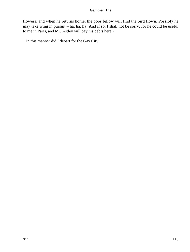flowers; and when he returns home, the poor fellow will find the bird flown. Possibly he may take wing in pursuit – ha, ha, ha! And if so, I shall not be sorry, for he could be useful to me in Paris, and Mr. Astley will pay his debts here.»

In this manner did I depart for the Gay City.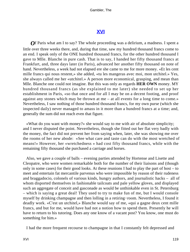# **[XVI](#page-135-0)**

<span id="page-119-0"></span>*O*f Paris what am I to say? The whole proceeding was a delirium, a madness. I spent a little over three weeks there, and, during that time, saw my hundred thousand francs come to an end. I speak only of the ONE hundred thousand francs, for the other hundred thousand I gave to Mlle. Blanche in pure cash. That is to say, I handed her fifty thousand francs at Frankfurt, and, three days later (in Paris), advanced her another fifty thousand on note of hand. Nevertheless, a week had not elapsed ere she came to me for more money. «Et les cent mille francs qui nous restent,» she added, «tu les mangeras avec moi, mon utchitel.» Yes, she always called me her «utchitel.» A person more economical, grasping, and mean than Mlle. Blanche one could not imagine. But this was only as regards **HER OWN** money. MY hundred thousand francs (as she explained to me later) she needed to set up her establishment in Paris, «so that once and for all I may be on a decent footing, and proof against any stones which may be thrown at me – at all events for a long time to come.» Nevertheless, I saw nothing of those hundred thousand francs, for my own purse (which she inspected daily) never managed to amass in it more than a hundred francs at a time; and, generally the sum did not reach even that figure.

 «What do you want with money?» she would say to me with air of absolute simplicity; and I never disputed the point. Nevertheless, though she fitted out her flat very badly with the money, the fact did not prevent her from saying when, later, she was showing me over the rooms of her new abode: «See what care and taste can do with the most wretched of means!» However, her «wretchedness » had cost fifty thousand francs, while with the remaining fifty thousand she purchased a carriage and horses.

 Also, we gave a couple of balls – evening parties attended by Hortense and Lisette and Cleopatre, who were women remarkable both for the number of their liaisons and (though only in some cases) for their good looks. At these reunions I had to play the part of host – to meet and entertain fat mercantile parvenus who were impossible by reason of their rudeness and braggadocio, colonels of various kinds, hungry authors, and journalistic hacks – all of whom disported themselves in fashionable tailcoats and pale yellow gloves, and displayed such an aggregate of conceit and gasconade as would be unthinkable even in St. Petersburg – which is saying a great deal! They used to try to make fun of me, but I would console myself by drinking champagne and then lolling in a retiring−room. Nevertheless, I found it deadly work. «C'est un utchitel,» Blanche would say of me, «qui a gagne deux cent mille francs, and but for me, would have had not a notion how to spend them. Presently he will have to return to his tutoring. Does any one know of a vacant post? You know, one must do something for him.»

I had the more frequent recourse to champagne in that I constantly felt depressed and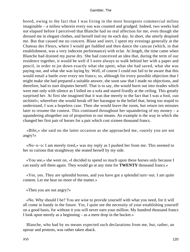bored, owing to the fact that I was living in the most bourgeois commercial milieu imaginable – a milieu wherein every sou was counted and grudged. Indeed, two weeks had not elapsed before I perceived that Blanche had no real affection for me, even though she dressed me in elegant clothes, and herself tied my tie each day. In short, she utterly despised me. But that caused me no concern. Blase and inert, I spent my evenings generally at the Chateau des Fleurs, where I would get fuddled and then dance the cancan (which, in that establishment, was a very indecent performance) with eclat. At length, the time came when Blanche had drained my purse dry. She had conceived an idea that, during the term of our residence together, it would be well if I were always to walk behind her with a paper and pencil, in order to jot down exactly what she spent, what she had saved, what she was paying out, and what she was laying by. Well, of course I could not fail to be aware that this would entail a battle over every ten francs; so, although for every possible objection that I might make she had prepared a suitable answer, she soon saw that I made no objections, and therefore, had to start disputes herself. That is to say, she would burst out into tirades which were met only with silence as I lolled on a sofa and stared fixedly at the ceiling. This greatly surprised her. At first she imagined that it was due merely to the fact that I was a fool, «un utchitel»; wherefore she would break off her harangue in the belief that, being too stupid to understand, I was a hopeless case. Then she would leave the room, but return ten minutes later to resume the contest. This continued throughout her squandering of my money  $-$  a squandering altogether out of proportion to our means. An example is the way in which she changed her first pair of horses for a pair which cost sixteen thousand francs.

 «Bibi,» she said on the latter occasion as she approached me, «surely you are not angry?»

 «No−o−o: I am merely tired,» was my reply as I pushed her from me. This seemed to her so curious that straightway she seated herself by my side.

 «You see,» she went on, «I decided to spend so much upon these horses only because I can easily sell them again. They would go at any time for **TWENTY** thousand francs.»

 «Yes, yes. They are splendid horses, and you have got a splendid turn−out. I am quite content. Let me hear no more of the matter.»

«Then you are not angry?»

 «No. Why should I be? You are wise to provide yourself with what you need, for it will all come in handy in the future. Yes, I quite see the necessity of your establishing yourself on a good basis, for without it you will never earn your million. My hundred thousand francs I look upon merely as a beginning – as a mere drop in the bucket.»

 Blanche, who had by no means expected such declarations from me, but, rather, an uproar and protests, was rather taken aback.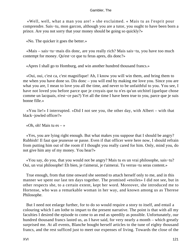«Well, well, what a man you are! » she exclaimed. « Mais tu as l'esprit pour comprendre. Sais−tu, mon garcon, although you are a tutor, you ought to have been born a prince. Are you not sorry that your money should be going so quickly?»

«No. The quicker it goes the better.»

 «Mais – sais−tu−mais dis donc, are you really rich? Mais sais−tu, you have too much contempt for money. Qu'est−ce que tu feras apres, dis donc?»

«Apres I shall go to Homburg, and win another hundred thousand francs.»

 «Oui, oui, c'est ca, c'est magnifique! Ah, I know you will win them, and bring them to me when you have done so. Dis donc – you will end by making me love you. Since you are what you are, I mean to love you all the time, and never to be unfaithful to you. You see, I have not loved you before parce que je croyais que tu n'es qu'un utchitel (quelque chose comme un lacquais, n'est−ce pas?) Yet all the time I have been true to you, parce que je suis bonne fille.»

 «You lie!» I interrupted. «Did I not see you, the other day, with Albert – with that black−jowled officer?»

«Oh, oh! Mais tu es  $-$  »

 «Yes, you are lying right enough. But what makes you suppose that I should be angry? Rubbish! Il faut que jeunesse se passe. Even if that officer were here now, I should refrain from putting him out of the room if I thought you really cared for him. Only, mind you, do not give him any of my money. You hear?»

 «You say, do you, that you would not be angry? Mais tu es un vrai philosophe, sais−tu? Oui, un vrai philosophe! Eh bien, je t'aimerai, je t'aimerai. Tu verras−tu seras content.»

 True enough, from that time onward she seemed to attach herself only to me, and in this manner we spent our last ten days together. The promised «etoiles» I did not see, but in other respects she, to a certain extent, kept her word. Moreover, she introduced me to Hortense, who was a remarkable woman in her way, and known among us as Therese Philosophe.

 But I need not enlarge further, for to do so would require a story to itself, and entail a colouring which I am lothe to impart to the present narrative. The point is that with all my faculties I desired the episode to come to an end as speedily as possible. Unfortunately, our hundred thousand francs lasted us, as I have said, for very nearly a month – which greatly surprised me. At all events, Blanche bought herself articles to the tune of eighty thousand francs, and the rest sufficed just to meet our expenses of living. Towards the close of the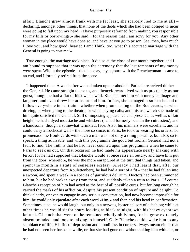affair, Blanche grew almost frank with me (at least, she scarcely lied to me at all) – declaring, amongst other things, that none of the debts which she had been obliged to incur were going to fall upon my head. «I have purposely refrained from making you responsible for my bills or borrowings,» she said, «for the reason that I am sorry for you. Any other woman in my place would have done so, and have let you go to prison. See, then, how much I love you, and how good−hearted I am! Think, too, what this accursed marriage with the General is going to cost me!»

 True enough, the marriage took place. It did so at the close of our month together, and I am bound to suppose that it was upon the ceremony that the last remnants of my money were spent. With it the episode – that is to say, my sojourn with the Frenchwoman – came to an end, and I formally retired from the scene.

 It happened thus: A week after we had taken up our abode in Paris there arrived thither the General. He came straight to see us, and thenceforward lived with us practically as our guest, though he had a flat of his own as well. Blanche met him with merry badinage and laughter, and even threw her arms around him. In fact, she managed it so that he had to follow everywhere in her train – whether when promenading on the Boulevards, or when driving, or when going to the theatre, or when paying calls; and this use which she made of him quite satisfied the General. Still of imposing appearance and presence, as well as of fair height, he had a dyed moustache and whiskers (he had formerly been in the cuirassiers), and a handsome, though a somewhat wrinkled, face. Also, his manners were excellent, and he could carry a frockcoat well – the more so since, in Paris, he took to wearing his orders. To promenade the Boulevards with such a man was not only a thing possible, but also, so to speak, a thing advisable, and with this programme the good but foolish General had not a fault to find. The truth is that he had never counted upon this programme when he came to Paris to seek us out. On that occasion he had made his appearance nearly shaking with terror, for he had supposed that Blanche would at once raise an outcry, and have him put from the door; wherefore, he was the more enraptured at the turn that things had taken, and spent the month in a state of senseless ecstasy. Already I had learnt that, after our unexpected departure from Roulettenberg, he had had a sort of a fit – that he had fallen into a swoon, and spent a week in a species of garrulous delirium. Doctors had been summoned to him, but he had broken away from them, and suddenly taken a train to Paris. Of course Blanche's reception of him had acted as the best of all possible cures, but for long enough he carried the marks of his affliction, despite his present condition of rapture and delight. To think clearly, or even to engage in any serious conversation, had now become impossible for him; he could only ejaculate after each word «Hm!» and then nod his head in confirmation. Sometimes, also, he would laugh, but only in a nervous, hysterical sort of a fashion; while at other times he would sit for hours looking as black as night, with his heavy eyebrows knitted. Of much that went on he remained wholly oblivious, for he grew extremely absent−minded, and took to talking to himself. Only Blanche could awake him to any semblance of life. His fits of depression and moodiness in corners always meant either that he had not seen her for some while, or that she had gone out without taking him with her, or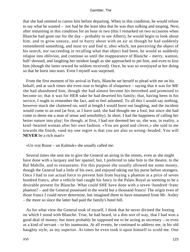that she had omitted to caress him before departing. When in this condition, he would refuse to say what he wanted – nor had he the least idea that he was thus sulking and moping. Next, after remaining in this condition for an hour or two (this I remarked on two occasions when Blanche had gone out for the day – probably to see Albert), he would begin to look about him, and to grow uneasy, and to hurry about with an air as though he had suddenly remembered something, and must try and find it; after which, not perceiving the object of his search, nor succeeding in recalling what that object had been, he would as suddenly relapse into oblivion, and continue so until the reappearance of Blanche – merry, wanton, half–dressed, and laughing her strident laugh as she approached to pet him, and even to kiss him (though the latter reward he seldom received). Once, he was so overjoyed at her doing so that he burst into tears. Even I myself was surprised.

 From the first moment of his arrival in Paris, Blanche set herself to plead with me on his behalf; and at such times she even rose to heights of eloquence – saying that it was for ME she had abandoned him, though she had almost become his betrothed and promised to become so; that it was for HER sake he had deserted his family; that, having been in his service, I ought to remember the fact, and to feel ashamed. To all this I would say nothing, however much she chattered on; until at length I would burst out laughing, and the incident would come to an end (at first, as I have said, she had thought me a fool, but since she had come to deem me a man of sense and sensibility). In short, I had the happiness of calling her better nature into play; for though, at first, I had not deemed her so, she was, in reality, a kind−hearted woman after her own fashion. «You are good and clever,» she said to me towards the finish, «and my one regret is that you are also so wrong−headed. You will **NEVER** be a rich man!»

«Un vrai Russe – un Kalmuk» she usually called me.

 Several times she sent me to give the General an airing in the streets, even as she might have done with a lacquey and her spaniel; but, I preferred to take him to the theatre, to the Bal Mabille, and to restaurants. For this purpose she usually allowed me some money, though the General had a little of his own, and enjoyed taking out his purse before strangers. Once I had to use actual force to prevent him from buying a phaeton at a price of seven hundred francs, after a vehicle had caught his fancy in the Palais Royal as seeming to be a desirable present for Blanche. What could SHE have done with a seven−hundred−franc phaeton? – and the General possessed in the world but a thousand francs! The origin even of those francs I could never determine, but imagined them to have emanated from Mr. Astley – the more so since the latter had paid the family's hotel bill.

 As for what view the General took of myself, I think that he never divined the footing on which I stood with Blanche. True, he had heard, in a dim sort of way, that I had won a good deal of money; but more probably he supposed me to be acting as secretary – or even as a kind of servant – to his inamorata. At all events, he continued to address me, in his old haughty style, as my superior. At times he even took it upon himself to scold me. One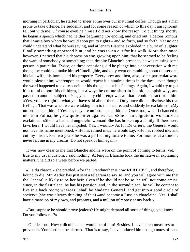morning in particular, he started to sneer at me over our matutinal coffee. Though not a man prone to take offence, he suddenly, and for some reason of which to this day I am ignorant, fell out with me. Of course even he himself did not know the reason. To put things shortly, he began a speech which had neither beginning nor ending, and cried out, a batons rompus, that I was a boy whom he would soon put to rights – and so forth, and so forth. Yet no one could understand what he was saying, and at length Blanche exploded in a burst of laughter. Finally something appeased him, and he was taken out for his walk. More than once, however, I noticed that his depression was growing upon him; that he seemed to be feeling the want of somebody or something; that, despite Blanche's presence, he was missing some person in particular. Twice, on these occasions, did he plunge into a conversation with me, though he could not make himself intelligible, and only went on rambling about the service, his late wife, his home, and his property. Every now and then, also, some particular word would please him; whereupon he would repeat it a hundred times in the day – even though the word happened to express neither his thoughts nor his feelings. Again, I would try to get him to talk about his children, but always he cut me short in his old snappish way, and passed to another subject. «Yes, yes – my children,» was all that I could extract from him. «Yes, you are right in what you have said about them.» Only once did he disclose his real feelings. That was when we were taking him to the theatre, and suddenly he exclaimed: «My unfortunate children! Yes, sir, they are unfortunate children.» Once, too, when I chanced to mention Polina, he grew quite bitter against her. «She is an ungrateful woman!» he exclaimed. «She is a bad and ungrateful woman! She has broken up a family. If there were laws here, I would have her impaled. Yes, I would.» As for De Griers, the General would not have his name mentioned. « He has ruined me,» he would say. «He has robbed me, and cut my throat. For two years he was a perfect nightmare to me. For months at a time he never left me in my dreams. Do not speak of him again.»

 It was now clear to me that Blanche and he were on the point of coming to terms; yet, true to my usual custom, I said nothing. At length, Blanche took the initiative in explaining matters. She did so a week before we parted.

 «Il a du chance,» she prattled, «for the Grandmother is now **REALLY** ill, and therefore, bound to die. Mr. Astley has just sent a telegram to say so, and you will agree with me that the General is likely to be her heir. Even if he should not be so, he will not come amiss, since, in the first place, he has his pension, and, in the second place, he will be content to live in a back room; whereas I shall be Madame General, and get into a good circle of society» (she was always thinking of this) «and become a Russian chatelaine. Yes, I shall have a mansion of my own, and peasants, and a million of money at my back.»

 «But, suppose he should prove jealous? He might demand all sorts of things, you know. Do you follow me?»

 «Oh, dear no! How ridiculous that would be of him! Besides, I have taken measures to prevent it. You need not be alarmed. That is to say, I have induced him to sign notes of hand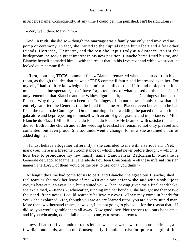in Albert's name. Consequently, at any time I could get him punished. Isn't he ridiculous?»

«Very well, then. Marry him.»

 And, in truth, she did so – though the marriage was a family one only, and involved no pomp or ceremony. In fact, she invited to the nuptials none but Albert and a few other friends. Hortense, Cleopatre, and the rest she kept firmly at a distance. As for the bridegroom, he took a great interest in his new position. Blanche herself tied his tie, and Blanche herself pomaded him – with the result that, in his frockcoat and white waistcoat, he looked quite comme il faut.

 «Il est, pourtant, **TRES** comme il faut,» Blanche remarked when she issued from his room, as though the idea that he was «TRES comme il faut » had impressed even her. For myself, I had so little knowledge of the minor details of the affair, and took part in it so much as a supine spectator, that I have forgotten most of what passed on this occasion. I only remember that Blanche and the Widow figured at it, not as «de Cominges,» but as «du Placet.» Why they had hitherto been «de Cominges » I do not know – I only know that this entirely satisfied the General, that he liked the name «du Placet» even better than he had liked the name «de Cominges.» On the morning of the wedding, he paced the salon in his gala attire and kept repeating to himself with an air of great gravity and importance: « Mlle. Blanche du Placet! Mlle. Blanche du Placet, du Placet!» He beamed with satisfaction as he did so. Both in the church and at the wedding breakfast he remained not only pleased and contented, but even proud. She too underwent a change, for now she assumed an air of added dignity.

 «I must behave altogether differently,» she confided to me with a serious air. «Yet, mark you, there is a tiresome circumstance of which I had never before thought – which is, how best to pronounce my new family name. Zagorianski, Zagozianski, Madame la Generale de Sago, Madame la Generale de Fourteen Consonants – oh these infernal Russian names! The **LAST** of them would be the best to use, don't you think?»

 At length the time had come for us to part, and Blanche, the egregious Blanche, shed real tears as she took her leave of me. «Tu etais bon enfant» she said with a sob. «je te croyais bete et tu en avais l'air, but it suited you.» Then, having given me a final handshake, she exclaimed, «Attends!»; whereafter, running into her boudoir, she brought me thence two thousand−franc notes. I could scarcely believe my eyes! «They may come in handy for you,» she explained, «for, though you are a very learned tutor, you are a very stupid man. More than two thousand francs, however, I am not going to give you, for the reason that, if I did so, you would gamble them all away. Now good−bye. Nous serons toujours bons amis, and if you win again, do not fail to come to me, et tu seras heureux.»

 I myself had still five hundred francs left, as well as a watch worth a thousand francs, a few diamond studs, and so on. Consequently, I could subsist for quite a length of time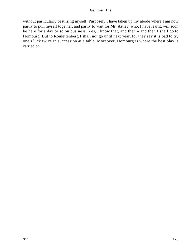without particularly bestirring myself. Purposely I have taken up my abode where I am now partly to pull myself together, and partly to wait for Mr. Astley, who, I have learnt, will soon be here for a day or so on business. Yes, I know that, and then – and then I shall go to Homburg. But to Roulettenberg I shall not go until next year, for they say it is bad to try one's luck twice in succession at a table. Moreover, Homburg is where the best play is carried on.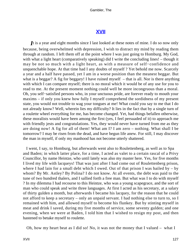# **[XVII](#page-135-0)**

<span id="page-127-0"></span>*I*t is a year and eight months since I last looked at these notes of mine. I do so now only because, being overwhelmed with depression, I wish to distract my mind by reading them through at random. I left them off at the point where I was just going to Homburg. My God, with what a light heart (comparatively speaking) did I write the concluding lines! – though it may be not so much with a light heart, as with a measure of self−confidence and unquenchable hope. At that time had I any doubts of myself ? Yet behold me now. Scarcely a year and a half have passed, yet I am in a worse position than the meanest beggar. But what is a beggar? A fig for beggary! I have ruined myself – that is all. Nor is there anything with which I can compare myself; there is no moral which it would be of any use for you to read to me. At the present moment nothing could well be more incongruous than a moral. Oh, you self−satisfied persons who, in your unctuous pride, are forever ready to mouth your maxims – if only you knew how fully I myself comprehend the sordidness of my present state, you would not trouble to wag your tongues at me! What could you say to me that I do not already know? Well, wherein lies my difficulty? It lies in the fact that by a single turn of a roulette wheel everything for me, has become changed. Yet, had things befallen otherwise, these moralists would have been among the first (yes, I feel persuaded of it) to approach me with friendly jests and congratulations. Yes, they would never have turned from me as they are doing now! A fig for all of them! What am I? I am zero – nothing. What shall I be tomorrow? I may be risen from the dead, and have begun life anew. For still, I may discover the man in myself, if only my manhood has not become utterly shattered.

 I went, I say, to Homburg, but afterwards went also to Roulettenberg, as well as to Spa and Baden; in which latter place, for a time, I acted as valet to a certain rascal of a Privy Councillor, by name Heintze, who until lately was also my master here. Yes, for five months I lived my life with lacqueys! That was just after I had come out of Roulettenberg prison, where I had lain for a small debt which I owed. Out of that prison I was bailed by  $-$  by whom? By Mr. Astley? By Polina? I do not know. At all events, the debt was paid to the tune of two hundred thalers, and I sallied forth a free man. But what was I to do with myself ? In my dilemma I had recourse to this Heintze, who was a young scapegrace, and the sort of man who could speak and write three languages. At first I acted as his secretary, at a salary of thirty gulden a month, but afterwards I became his lacquey, for the reason that he could not afford to keep a secretary – only an unpaid servant. I had nothing else to turn to, so I remained with him, and allowed myself to become his flunkey. But by stinting myself in meat and drink I saved, during my five months of service, some seventy gulden; and one evening, when we were at Baden, I told him that I wished to resign my post, and then hastened to betake myself to roulette.

Oh, how my heart beat as I did so! No, it was not the money that I valued – what I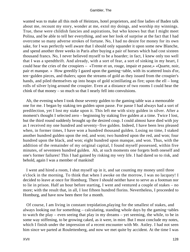wanted was to make all this mob of Heintzes, hotel proprietors, and fine ladies of Baden talk about me, recount my story, wonder at me, extol my doings, and worship my winnings. True, these were childish fancies and aspirations, but who knows but that I might meet Polina, and be able to tell her everything, and see her look of surprise at the fact that I had overcome so many adverse strokes of fortune. No, I had no desire for money for its own sake, for I was perfectly well aware that I should only squander it upon some new Blanche, and spend another three weeks in Paris after buying a pair of horses which had cost sixteen thousand francs. No, I never believed myself to be a hoarder; in fact, I knew only too well that I was a spendthrift. And already, with a sort of fear, a sort of sinking in my heart, I could hear the cries of the croupiers – «Trente et un, rouge, impair et passe,» «Quarte, noir, pair et manque. » How greedily I gazed upon the gaming−table, with its scattered louis d'or, ten−gulden pieces, and thalers; upon the streams of gold as they issued from the croupier's hands, and piled themselves up into heaps of gold scintillating as fire; upon the ell – long rolls of silver lying around the croupier. Even at a distance of two rooms I could hear the chink of that money – so much so that I nearly fell into convulsions.

 Ah, the evening when I took those seventy gulden to the gaming table was a memorable one for me. I began by staking ten gulden upon passe. For passe I had always had a sort of predilection, yet I lost my stake upon it. This left me with sixty gulden in silver. After a moment's thought I selected zero – beginning by staking five gulden at a time. Twice I lost, but the third round suddenly brought up the desired coup. I could almost have died with joy as I received my one hundred and seventy−five gulden. Indeed, I have been less pleased when, in former times, I have won a hundred thousand gulden. Losing no time, I staked another hundred gulden upon the red, and won; two hundred upon the red, and won; four hundred upon the black, and won; eight hundred upon manque, and won. Thus, with the addition of the remainder of my original capital, I found myself possessed, within five minutes, of seventeen hundred gulden. Ah, at such moments one forgets both oneself and one's former failures! This I had gained by risking my very life. I had dared so to risk, and behold, again I was a member of mankind!

 I went and hired a room, I shut myself up in it, and sat counting my money until three o'clock in the morning. To think that when I awoke on the morrow, I was no lacquey! I decided to leave at once for Homburg. There I should neither have to serve as a footman nor to lie in prison. Half an hour before starting, I went and ventured a couple of stakes – no more; with the result that, in all, I lost fifteen hundred florins. Nevertheless, I proceeded to Homburg, and have now been there for a month.

 Of course, I am living in constant trepidation,playing for the smallest of stakes, and always looking out for something – calculating, standing whole days by the gaming−tables to watch the play – even seeing that play in my dreams – yet seeming, the while, to be in some way stiffening, to be growing caked, as it were, in mire. But I must conclude my notes, which I finish under the impression of a recent encounter with Mr. Astley. I had not seen him since we parted at Roulettenberg, and now we met quite by accident. At the time I was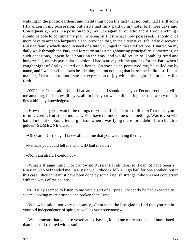walking in the public gardens, and meditating upon the fact that not only had I still some fifty olden in my possession, but also I had fully paid up my hotel bill three days ago. Consequently, I was in a position to try my luck again at roulette; and if I won anything I should be able to continue my play, whereas, if I lost what I now possessed, I should once more have to accept a lacquey's place, provided that, in the alternative, I failed to discover a Russian family which stood in need of a tutor. Plunged in these reflections, I started on my daily walk through the Park and forest towards a neighbouring principality. Sometimes, on such occasions, I spent four hours on the way, and would return to Homburg tired and hungry; but, on this particular occasion, I had scarcely left the gardens for the Park when I caught sight of Astley seated on a bench. As soon as he perceived me, he called me by name, and I went and sat down beside him; but, on noticing that he seemed a little stiff in his manner, I hastened to moderate the expression of joy which the sight of him had called forth.

 «YOU here?» he said. «Well, I had an idea that I should meet you. Do not trouble to tell me anything, for I know all – yes, all. In fact, your whole life during the past twenty months lies within my knowledge.»

 «How closely you watch the doings of your old friends!» I replied. «That does you infinite credit. But stop a moment. You have reminded me of something. Was it you who bailed me out of Roulettenberg prison when I was lying there for a debt of two hundred gulden? **SOMEONE** did so.»

«Oh dear no! – though I knew all the time that you were lying there.»

«Perhaps you could tell me who DID bail me out?»

«No; I am afraid I could not.»

 «What a strange thing! For I know no Russians at all here, so it cannot have been a Russian who befriended me. In Russia we Orthodox folk DO go bail for one another, but in this case I thought it must have been done by some English stranger who was not conversant with the ways of the country.»

 Mr. Astley seemed to listen to me with a sort of surprise. Evidently he had expected to see me looking more crushed and broken than I was.

 «Well,» he said – not very pleasantly, «I am none the less glad to find that you retain your old independence of spirit, as well as your buoyancy.»

 «Which means that you are vexed at not having found me more abased and humiliated than I am?» I retorted with a smile.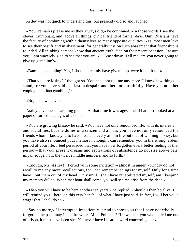Astley was not quick to understand this, but presently did so and laughed.

 «Your remarks please me as they always did,» he continued. «In those words I see the clever, triumphant, and, above all things, cynical friend of former days. Only Russians have the faculty of combining within themselves so many opposite qualities. Yes, most men love to see their best friend in abasement; for generally it is on such abasement that friendship is founded. All thinking persons know that ancient truth. Yet, on the present occasion, I assure you, I am sincerely glad to see that you are NOT cast down. Tell me, are you never going to give up gambling?»

«Damn the gambling! Yes, I should certainly have given it up, were it not that  $-\infty$ 

 «That you are losing? I thought so. You need not tell me any more. I know how things stand, for you have said that last in despair, and therefore, truthfully. Have you no other employment than gambling?»

«No; none whatever.»

 Astley gave me a searching glance. At that time it was ages since I had last looked at a paper or turned the pages of a book.

 «You are growing blase,» he said. «You have not only renounced life, with its interests and social ties, but the duties of a citizen and a man; you have not only renounced the friends whom I know you to have had, and every aim in life but that of winning money; but you have also renounced your memory. Though I can remember you in the strong, ardent period of your life, I feel persuaded that you have now forgotten every better feeling of that period – that your present dreams and aspirations of subsistence do not rise above pair, impair rouge, noir, the twelve middle numbers, and so forth.»

 «Enough, Mr. Astley!» I cried with some irritation – almost in anger. «Kindly do not recall to me any more recollections, for I can remember things for myself. Only for a time have I put them out of my head. Only until I shall have rehabilitated myself, am I keeping my memory dulled. When that hour shall come, you will see me arise from the dead.»

 «Then you will have to be here another ten years,» he replied. «Should I then be alive, I will remind you – here, on this very bench – of what I have just said. In fact, I will bet you a wager that I shall do so.»

 «Say no more,» I interrupted impatiently. «And to show you that I have not wholly forgotten the past, may I enquire where Mlle. Polina is? If it was not you who bailed me out of prison, it must have been she. Yet never have I heard a word concerning her.»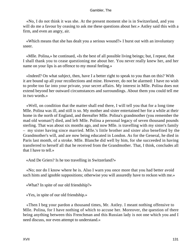«No, I do not think it was she. At the present moment she is in Switzerland, and you will do me a favour by ceasing to ask me these questions about her.» Astley said this with a firm, and even an angry, air.

 «Which means that she has dealt you a serious wound?» I burst out with an involuntary sneer.

 «Mlle. Polina,» he continued, «Is the best of all possible living beings; but, I repeat, that I shall thank you to cease questioning me about her. You never really knew her, and her name on your lips is an offence to my moral feeling.»

 «Indeed? On what subject, then, have I a better right to speak to you than on this? With it are bound up all your recollections and mine. However, do not be alarmed: I have no wish to probe too far into your private, your secret affairs. My interest in Mlle. Polina does not extend beyond her outward circumstances and surroundings. About them you could tell me in two words.»

 «Well, on condition that the matter shall end there, I will tell you that for a long time Mlle. Polina was ill, and still is so. My mother and sister entertained her for a while at their home in the north of England, and thereafter Mlle. Polina's grandmother (you remember the mad old woman?) died, and left Mlle. Polina a personal legacy of seven thousand pounds sterling. That was about six months ago, and now Mlle. is travelling with my sister's family – my sister having since married. Mlle.'s little brother and sister also benefited by the Grandmother's will, and are now being educated in London. As for the General, he died in Paris last month, of a stroke. Mlle. Blanche did well by him, for she succeeded in having transferred to herself all that he received from the Grandmother. That, I think, concludes all that I have to tell.»

«And De Griers? Is he too travelling in Switzerland?»

 «No; nor do I know where he is. Also I warn you once more that you had better avoid such hints and ignoble suppositions; otherwise you will assuredly have to reckon with me.»

«What? In spite of our old friendship?»

«Yes, in spite of our old friendship.»

 «Then I beg your pardon a thousand times, Mr. Astley. I meant nothing offensive to Mlle. Polina, for I have nothing of which to accuse her. Moreover, the question of there being anything between this Frenchman and this Russian lady is not one which you and I need discuss, nor even attempt to understand.»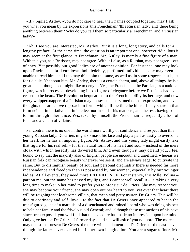«If,» replied Astley, «you do not care to hear their names coupled together, may I ask you what you mean by the expressions 'this Frenchman,' 'this Russian lady,' and 'there being anything between them'? Why do you call them so particularly a 'Frenchman' and a 'Russian lady'?»

 "Ah, I see you are interested, Mr. Astley. But it is a long, long story, and calls for a lengthy preface. At the same time, the question is an important one, however ridiculous it may seem at the first glance. A Frenchman, Mr. Astley, is merely a fine figure of a man. With this you, as a Britisher, may not agree. With it I also, as a Russian, may not agree – out of envy. Yet possibly our good ladies are of another opinion. For instance, one may look upon Racine as a broken−down, hobbledehoy, perfumed individual – one may even be unable to read him; and I too may think him the same, as well as, in some respects, a subject for ridicule. Yet about him, Mr. Astley, there is a certain charm, and, above all things, he is a great poet – though one might like to deny it. Yes, the Frenchman, the Parisian, as a national figure, was in process of developing into a figure of elegance before we Russians had even ceased to be bears. The Revolution bequeathed to the French nobility its heritage, and now every whippersnapper of a Parisian may possess manners, methods of expression, and even thoughts that are above reproach in form, while all the time he himself may share in that form neither in initiative nor in intellect nor in soul – his manners, and the rest, having come to him through inheritance. Yes, taken by himself, the Frenchman is frequently a fool of fools and a villain of villains.

 Per contra, there is no one in the world more worthy of confidence and respect than this young Russian lady. De Griers might so mask his face and play a part as easily to overcome her heart, for he has an imposing figure, Mr. Astley, and this young lady might easily take that figure for his real self – for the natural form of his heart and soul – instead of the mere cloak with which heredity has dowered him. And even though it may offend you, I feel bound to say that the majority also of English people are uncouth and unrefined, whereas we Russian folk can recognise beauty wherever we see it, and are always eager to cultivate the same. But to distinguish beauty of soul and personal originality there is needed far more independence and freedom than is possessed by our women, especially by our younger ladies. At all events, they need more **EXPERIENCE.** For instance, this Mlle. Polina – pardon me, but the name has passed my lips, and I cannot well recall it – is taking a very long time to make up her mind to prefer you to Monsieur de Griers. She may respect you, she may become your friend, she may open out her heart to you; yet over that heart there will be reigning that loathsome villain, that mean and petty usurer, De Griers. This will be due to obstinacy and self−love – to the fact that De Griers once appeared to her in the transfigured guise of a marquis, of a disenchanted and ruined liberal who was doing his best to help her family and the frivolous old General; and, although these transactions of his have since been exposed, you will find that the exposure has made no impression upon her mind. Only give her the De Griers of former days, and she will ask of you no more. The more she may detest the present De Griers, the more will she lament the De Griers of the past – even though the latter never existed but in her own imagination. You are a sugar refiner, Mr.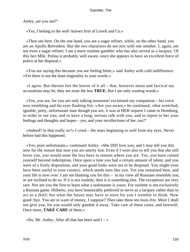Astley, are you not?"

«Yes, I belong to the well−known firm of Lovell and Co.»

 «Then see here. On the one hand, you are a sugar refiner, while, on the other hand, you are an Apollo Belvedere. But the two characters do not mix with one another. I, again, am not even a sugar refiner; I am a mere roulette gambler who has also served as a lacquey. Of this fact Mlle. Polina is probably well aware, since she appears to have an excellent force of police at her disposal.»

 «You are saying this because you are feeling bitter,» said Astley with cold indifference. «Yet there is not the least originality in your words.»

 «I agree. But therein lies the horror of it all – that, however mean and farcical my accusations may be, they are none the less **TRUE.** But I am only wasting words.»

 «Yes, you are, for you are only talking nonsense! exclaimed my companion – his voice now trembling and his eyes flashing fire. »Are you aware,« he continued, »that wretched, ignoble, petty, unfortunate man though you are, it was at HER request I came to Homburg, in order to see you, and to have a long, serious talk with you, and to report to her your feelings and thoughts and hopes – yes, and your recollections of her, too?"

 «Indeed? Is that really so?» I cried – the tears beginning to well from my eyes. Never before had this happened.

 «Yes, poor unfortunate,» continued Astley. «She DID love you; and I may tell you this now for the reason that now you are utterly lost. Even if I were also to tell you that she still loves you, you would none the less have to remain where you are. Yes, you have ruined yourself beyond redemption. Once upon a time you had a certain amount of talent, and you were of a lively disposition, and your good looks were not to be despised. You might even have been useful to your country, which needs men like you. Yet you remained here, and your life is now over. I am not blaming you for this – in my view all Russians resemble you, or are inclined to do so. If it is not roulette, then it is something else. The exceptions are very rare. Nor are you the first to learn what a taskmaster is yours. For roulette is not exclusively a Russian game. Hitherto, you have honourably preferred to serve as a lacquey rather than to act as a thief; but what the future may have in store for you I tremble to think. Now good−bye. You are in want of money, I suppose? Then take these ten louis d'or. More I shall not give you, for you would only gamble it away. Take care of these coins, and farewell. Once more, **TAKE CARE** of them.»

«No, Mr. Astley. After all that has been said  $I - \infty$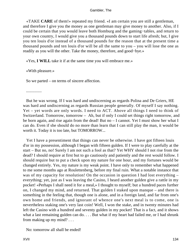«TAKE **CARE** of them!» repeated my friend. «I am certain you are still a gentleman, and therefore I give you the money as one gentleman may give money to another. Also, if I could be certain that you would leave both Homburg and the gaming−tables, and return to your own country, I would give you a thousand pounds down to start life afresh; but, I give you ten louis d'or instead of a thousand pounds for the reason that at the present time a thousand pounds and ten louis d'or will be all the same to you – you will lose the one as readily as you will the other. Take the money, therefore, and good−bye.»

«Yes, **I WILL** take it if at the same time you will embrace me.»

«With pleasure.»

So we parted – on terms of sincere affection.

...............

 But he was wrong. If I was hard and undiscerning as regards Polina and De Griers, HE was hard and undiscerning as regards Russian people generally. Of myself I say nothing. Yet – yet words are only words. I need to ACT. Above all things I need to think of Switzerland. Tomorrow, tomorrow – Ah, but if only I could set things right tomorrow, and be born again, and rise again from the dead! But no – I cannot. Yet I must show her what I can do. Even if she should do no more than learn that I can still play the man, it would be worth it. Today it is too late, but TOMORROW...

 Yet I have a presentiment that things can never be otherwise. I have got fifteen louis d'or in my possession, although I began with fifteen gulden. If I were to play carefully at the start – But no, no! Surely I am not such a fool as that? Yet WHY should I not rise from the dead? I should require at first but to go cautiously and patiently and the rest would follow. I should require but to put a check upon my nature for one hour, and my fortunes would be changed entirely. Yes, my nature is my weak point. I have only to remember what happened to me some months ago at Roulettenberg, before my final ruin. What a notable instance that was of my capacity for resolution! On the occasion in question I had lost everything – everything; yet, just as I was leaving the Casino, I heard another gulden give a rattle in my pocket! «Perhaps I shall need it for a meal,» I thought to myself; but a hundred paces further on, I changed my mind, and returned. That gulden I staked upon manque – and there is something in the feeling that, though one is alone, and in a foreign land, and far from one's own home and friends, and ignorant of whence one's next meal is to come, one is nevertheless staking one's very last coin! Well, I won the stake, and in twenty minutes had left the Casino with a hundred and seventy gulden in my pocket! That is a fact, and it shows what a last remaining gulden can do. . . . But what if my heart had failed me, or I had shrunk from making up my mind? . . .

No: tomorrow all shall be ended!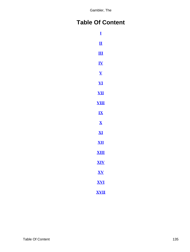# <span id="page-135-0"></span>**Table Of Content**

| I                          |  |
|----------------------------|--|
| $\overline{\mathbf{u}}$    |  |
| $\mathbf{m}$               |  |
| <u>IV</u>                  |  |
| $\overline{\mathbf{V}}$    |  |
| $\overline{\mathbf{V}}$    |  |
| $\underline{\textbf{VII}}$ |  |
| <u>VIII</u>                |  |
| $\mathbf{I}\mathbf{X}$     |  |
| $\overline{\mathbf{X}}$    |  |
| <u>XI</u>                  |  |
| <u>XII</u>                 |  |
| XШ                         |  |
| XIV                        |  |
| XV                         |  |
| <u>XVI</u>                 |  |
| <u>XVII</u>                |  |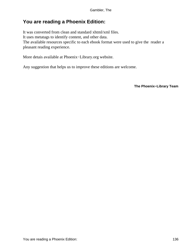# **You are reading a Phoenix Edition:**

It was converted from clean and standard xhtml/xml files. It uses metatags to identify content, and other data. The available resources specific to each ebook format were used to give the reader a pleasant reading experience.

More detais available at Phoenix−Library.org website.

Any suggestion that helps us to improve these editions are welcome.

**The Phoenix−Library Team**